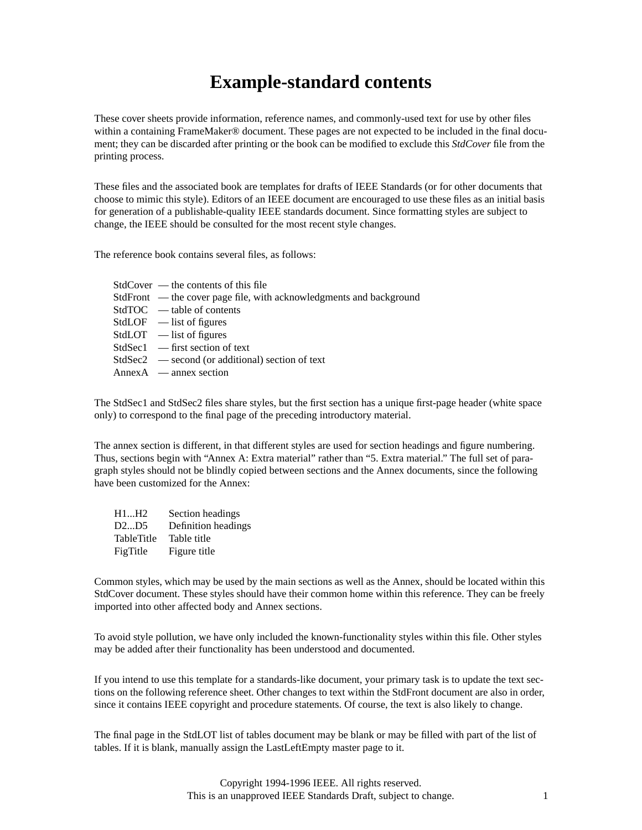## **Example-standard contents**

These cover sheets provide information, reference names, and commonly-used text for use by other files within a containing FrameMaker® document. These pages are not expected to be included in the final document; they can be discarded after printing or the book can be modified to exclude this *StdCover* file from the printing process.

These files and the associated book are templates for drafts of IEEE Standards (or for other documents that choose to mimic this style). Editors of an IEEE document are encouraged to use these files as an initial basis for generation of a publishable-quality IEEE standards document. Since formatting styles are subject to change, the IEEE should be consulted for the most recent style changes.

The reference book contains several files, as follows:

StdCover — the contents of this file StdFront — the cover page file, with acknowledgments and background StdTOC — table of contents  $StdLOF$  — list of figures StdLOT — list of figures StdSec1 — first section of text StdSec2 — second (or additional) section of text AnnexA — annex section

The StdSec1 and StdSec2 files share styles, but the first section has a unique first-page header (white space only) to correspond to the final page of the preceding introductory material.

The annex section is different, in that different styles are used for section headings and figure numbering. Thus, sections begin with "Annex A: Extra material" rather than "5. Extra material." The full set of paragraph styles should not be blindly copied between sections and the Annex documents, since the following have been customized for the Annex:

| H1…H2      | Section headings    |
|------------|---------------------|
| D2…D5      | Definition headings |
| TableTitle | Table title         |
| FigTitle   | Figure title        |

Common styles, which may be used by the main sections as well as the Annex, should be located within this StdCover document. These styles should have their common home within this reference. They can be freely imported into other affected body and Annex sections.

To avoid style pollution, we have only included the known-functionality styles within this file. Other styles may be added after their functionality has been understood and documented.

If you intend to use this template for a standards-like document, your primary task is to update the text sections on the following reference sheet. Other changes to text within the StdFront document are also in order, since it contains IEEE copyright and procedure statements. Of course, the text is also likely to change.

The final page in the StdLOT list of tables document may be blank or may be filled with part of the list of tables. If it is blank, manually assign the LastLeftEmpty master page to it.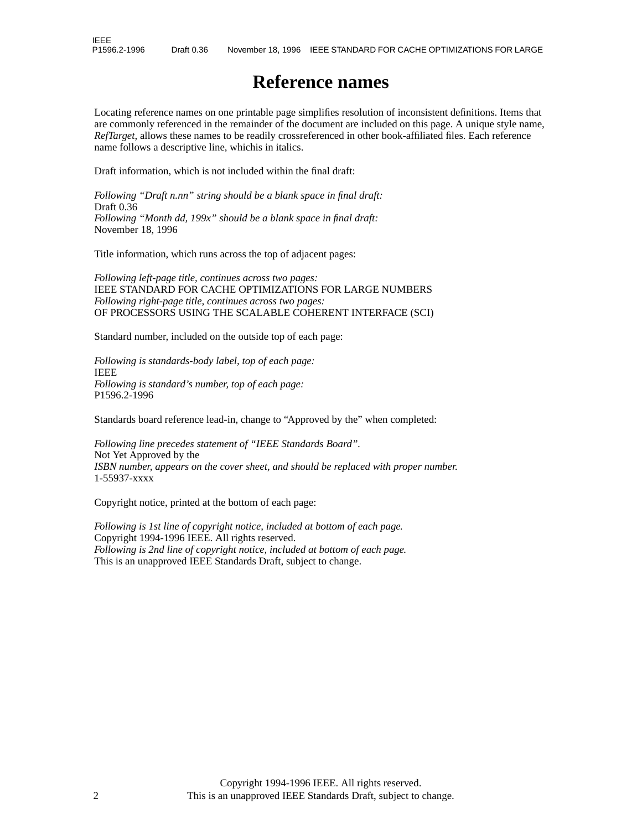## **Reference names**

Locating reference names on one printable page simplifies resolution of inconsistent definitions. Items that are commonly referenced in the remainder of the document are included on this page. A unique style name, *RefTarget*, allows these names to be readily crossreferenced in other book-affiliated files. Each reference name follows a descriptive line, whichis in italics.

Draft information, which is not included within the final draft:

*Following "Draft n.nn" string should be a blank space in final draft:* Draft 0.36 *Following "Month dd, 199x" should be a blank space in final draft:* November 18, 1996

Title information, which runs across the top of adjacent pages:

*Following left-page title, continues across two pages:* IEEE STANDARD FOR CACHE OPTIMIZATIONS FOR LARGE NUMBERS *Following right-page title, continues across two pages:* OF PROCESSORS USING THE SCALABLE COHERENT INTERFACE (SCI)

Standard number, included on the outside top of each page:

*Following is standards-body label, top of each page:* IEEE *Following is standard's number, top of each page:* P1596.2-1996

Standards board reference lead-in, change to "Approved by the" when completed:

*Following line precedes statement of "IEEE Standards Board".* Not Yet Approved by the *ISBN number, appears on the cover sheet, and should be replaced with proper number.* 1-55937-xxxx

Copyright notice, printed at the bottom of each page:

*Following is 1st line of copyright notice, included at bottom of each page.* Copyright 1994-1996 IEEE. All rights reserved. *Following is 2nd line of copyright notice, included at bottom of each page.* This is an unapproved IEEE Standards Draft, subject to change.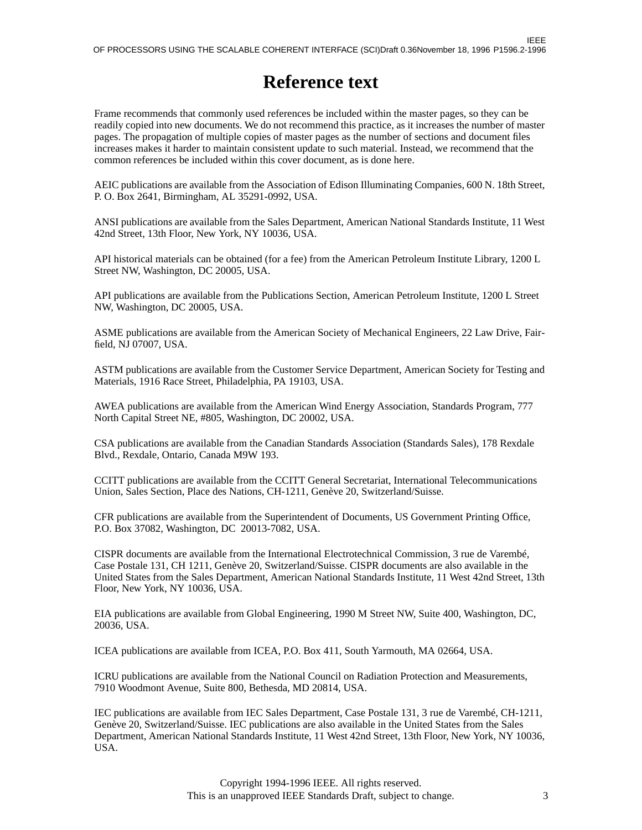## **Reference text**

Frame recommends that commonly used references be included within the master pages, so they can be readily copied into new documents. We do not recommend this practice, as it increases the number of master pages. The propagation of multiple copies of master pages as the number of sections and document files increases makes it harder to maintain consistent update to such material. Instead, we recommend that the common references be included within this cover document, as is done here.

AEIC publications are available from the Association of Edison Illuminating Companies, 600 N. 18th Street, P. O. Box 2641, Birmingham, AL 35291-0992, USA.

ANSI publications are available from the Sales Department, American National Standards Institute, 11 West 42nd Street, 13th Floor, New York, NY 10036, USA.

API historical materials can be obtained (for a fee) from the American Petroleum Institute Library, 1200 L Street NW, Washington, DC 20005, USA.

API publications are available from the Publications Section, American Petroleum Institute, 1200 L Street NW, Washington, DC 20005, USA.

ASME publications are available from the American Society of Mechanical Engineers, 22 Law Drive, Fairfield, NJ 07007, USA.

ASTM publications are available from the Customer Service Department, American Society for Testing and Materials, 1916 Race Street, Philadelphia, PA 19103, USA.

AWEA publications are available from the American Wind Energy Association, Standards Program, 777 North Capital Street NE, #805, Washington, DC 20002, USA.

CSA publications are available from the Canadian Standards Association (Standards Sales), 178 Rexdale Blvd., Rexdale, Ontario, Canada M9W 193.

CCITT publications are available from the CCITT General Secretariat, International Telecommunications Union, Sales Section, Place des Nations, CH-1211, Genève 20, Switzerland/Suisse.

CFR publications are available from the Superintendent of Documents, US Government Printing Office, P.O. Box 37082, Washington, DC 20013-7082, USA.

CISPR documents are available from the International Electrotechnical Commission, 3 rue de Varembé, Case Postale 131, CH 1211, Genève 20, Switzerland/Suisse. CISPR documents are also available in the United States from the Sales Department, American National Standards Institute, 11 West 42nd Street, 13th Floor, New York, NY 10036, USA.

EIA publications are available from Global Engineering, 1990 M Street NW, Suite 400, Washington, DC, 20036, USA.

ICEA publications are available from ICEA, P.O. Box 411, South Yarmouth, MA 02664, USA.

ICRU publications are available from the National Council on Radiation Protection and Measurements, 7910 Woodmont Avenue, Suite 800, Bethesda, MD 20814, USA.

IEC publications are available from IEC Sales Department, Case Postale 131, 3 rue de Varembé, CH-1211, Genève 20, Switzerland/Suisse. IEC publications are also available in the United States from the Sales Department, American National Standards Institute, 11 West 42nd Street, 13th Floor, New York, NY 10036, USA.

> Copyright 1994-1996 IEEE. All rights reserved. This is an unapproved IEEE Standards Draft, subject to change.  $3$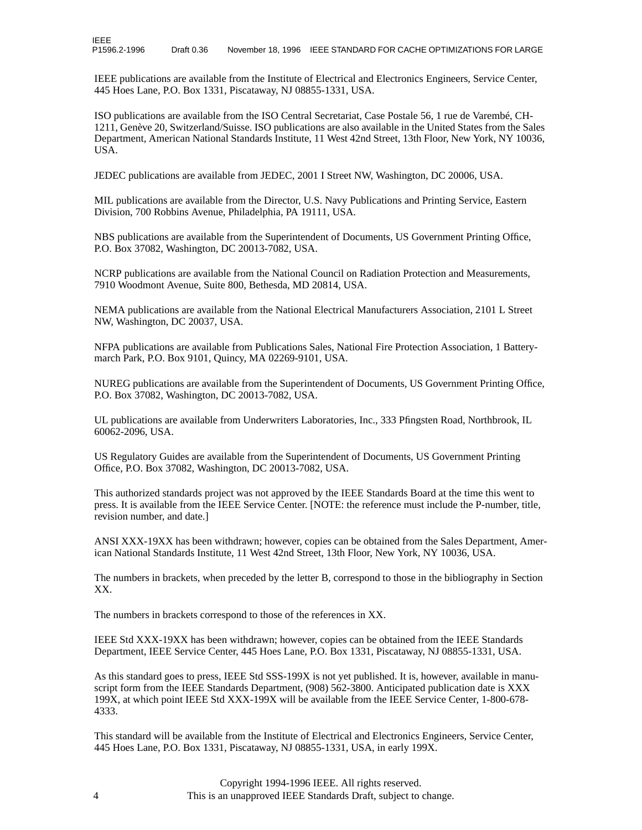IEEE publications are available from the Institute of Electrical and Electronics Engineers, Service Center, 445 Hoes Lane, P.O. Box 1331, Piscataway, NJ 08855-1331, USA.

ISO publications are available from the ISO Central Secretariat, Case Postale 56, 1 rue de Varembé, CH-1211, Genève 20, Switzerland/Suisse. ISO publications are also available in the United States from the Sales Department, American National Standards Institute, 11 West 42nd Street, 13th Floor, New York, NY 10036, USA.

JEDEC publications are available from JEDEC, 2001 I Street NW, Washington, DC 20006, USA.

MIL publications are available from the Director, U.S. Navy Publications and Printing Service, Eastern Division, 700 Robbins Avenue, Philadelphia, PA 19111, USA.

NBS publications are available from the Superintendent of Documents, US Government Printing Office, P.O. Box 37082, Washington, DC 20013-7082, USA.

NCRP publications are available from the National Council on Radiation Protection and Measurements, 7910 Woodmont Avenue, Suite 800, Bethesda, MD 20814, USA.

NEMA publications are available from the National Electrical Manufacturers Association, 2101 L Street NW, Washington, DC 20037, USA.

NFPA publications are available from Publications Sales, National Fire Protection Association, 1 Batterymarch Park, P.O. Box 9101, Quincy, MA 02269-9101, USA.

NUREG publications are available from the Superintendent of Documents, US Government Printing Office, P.O. Box 37082, Washington, DC 20013-7082, USA.

UL publications are available from Underwriters Laboratories, Inc., 333 Pfingsten Road, Northbrook, IL 60062-2096, USA.

US Regulatory Guides are available from the Superintendent of Documents, US Government Printing Office, P.O. Box 37082, Washington, DC 20013-7082, USA.

This authorized standards project was not approved by the IEEE Standards Board at the time this went to press. It is available from the IEEE Service Center. [NOTE: the reference must include the P-number, title, revision number, and date.]

ANSI XXX-19XX has been withdrawn; however, copies can be obtained from the Sales Department, American National Standards Institute, 11 West 42nd Street, 13th Floor, New York, NY 10036, USA.

The numbers in brackets, when preceded by the letter B, correspond to those in the bibliography in Section XX.

The numbers in brackets correspond to those of the references in XX.

IEEE Std XXX-19XX has been withdrawn; however, copies can be obtained from the IEEE Standards Department, IEEE Service Center, 445 Hoes Lane, P.O. Box 1331, Piscataway, NJ 08855-1331, USA.

As this standard goes to press, IEEE Std SSS-199X is not yet published. It is, however, available in manuscript form from the IEEE Standards Department, (908) 562-3800. Anticipated publication date is XXX 199X, at which point IEEE Std XXX-199X will be available from the IEEE Service Center, 1-800-678- 4333.

This standard will be available from the Institute of Electrical and Electronics Engineers, Service Center, 445 Hoes Lane, P.O. Box 1331, Piscataway, NJ 08855-1331, USA, in early 199X.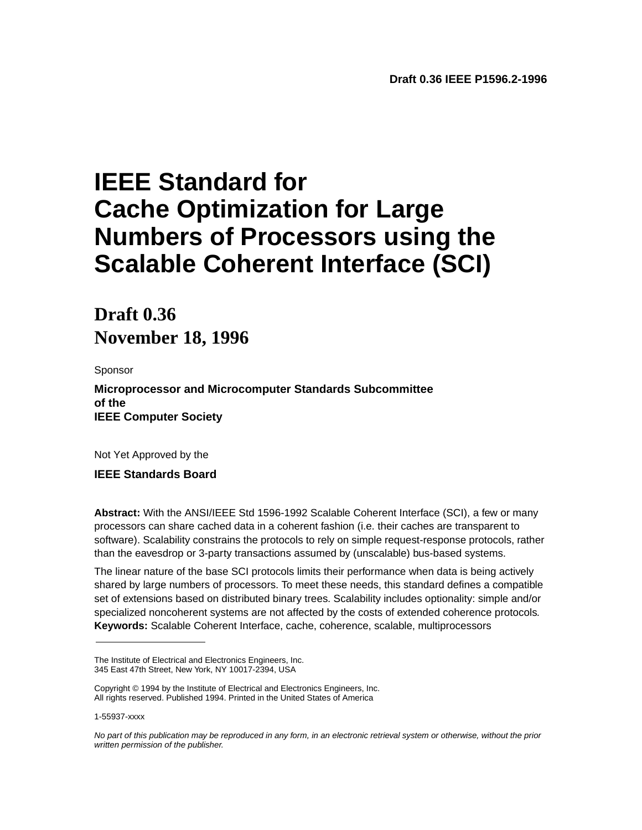# **IEEE Standard for Cache Optimization for Large Numbers of Processors using the Scalable Coherent Interface (SCI)**

## **Draft 0.36 November 18, 1996**

Sponsor

**Microprocessor and Microcomputer Standards Subcommittee of the IEEE Computer Society**

Not Yet Approved by the

**IEEE Standards Board**

**Abstract:** With the ANSI/IEEE Std 1596-1992 Scalable Coherent Interface (SCI), a few or many processors can share cached data in a coherent fashion (i.e. their caches are transparent to software). Scalability constrains the protocols to rely on simple request-response protocols, rather than the eavesdrop or 3-party transactions assumed by (unscalable) bus-based systems.

The linear nature of the base SCI protocols limits their performance when data is being actively shared by large numbers of processors. To meet these needs, this standard defines a compatible set of extensions based on distributed binary trees. Scalability includes optionality: simple and/or specialized noncoherent systems are not affected by the costs of extended coherence protocols*.* **Keywords:** Scalable Coherent Interface, cache, coherence, scalable, multiprocessors

The Institute of Electrical and Electronics Engineers, Inc. 345 East 47th Street, New York, NY 10017-2394, USA

Copyright © 1994 by the Institute of Electrical and Electronics Engineers, Inc. All rights reserved. Published 1994. Printed in the United States of America

<sup>1-55937-</sup>xxxx

*No part of this publication may be reproduced in any form, in an electronic retrieval system or otherwise, without the prior written permission of the publisher.*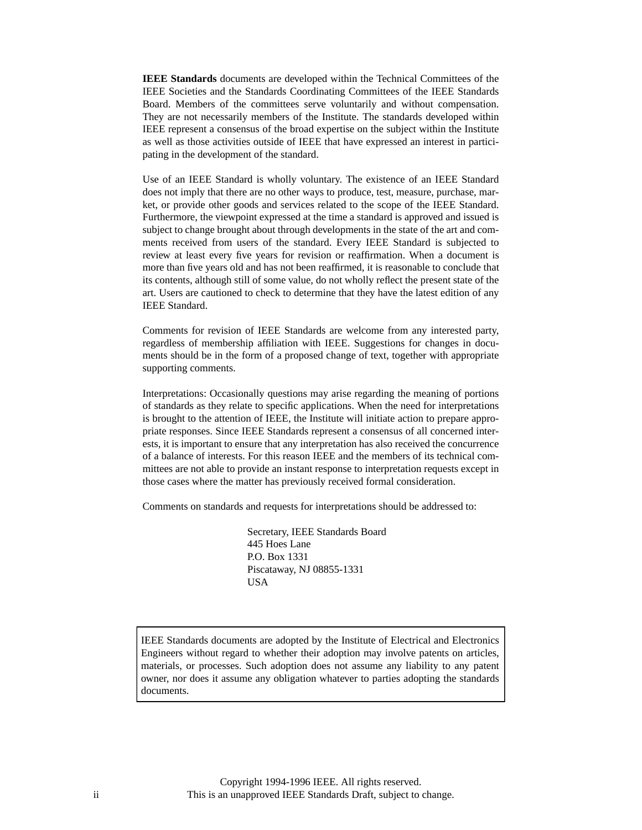**IEEE Standards** documents are developed within the Technical Committees of the IEEE Societies and the Standards Coordinating Committees of the IEEE Standards Board. Members of the committees serve voluntarily and without compensation. They are not necessarily members of the Institute. The standards developed within IEEE represent a consensus of the broad expertise on the subject within the Institute as well as those activities outside of IEEE that have expressed an interest in participating in the development of the standard.

Use of an IEEE Standard is wholly voluntary. The existence of an IEEE Standard does not imply that there are no other ways to produce, test, measure, purchase, market, or provide other goods and services related to the scope of the IEEE Standard. Furthermore, the viewpoint expressed at the time a standard is approved and issued is subject to change brought about through developments in the state of the art and comments received from users of the standard. Every IEEE Standard is subjected to review at least every five years for revision or reaffirmation. When a document is more than five years old and has not been reaffirmed, it is reasonable to conclude that its contents, although still of some value, do not wholly reflect the present state of the art. Users are cautioned to check to determine that they have the latest edition of any IEEE Standard.

Comments for revision of IEEE Standards are welcome from any interested party, regardless of membership affiliation with IEEE. Suggestions for changes in documents should be in the form of a proposed change of text, together with appropriate supporting comments.

Interpretations: Occasionally questions may arise regarding the meaning of portions of standards as they relate to specific applications. When the need for interpretations is brought to the attention of IEEE, the Institute will initiate action to prepare appropriate responses. Since IEEE Standards represent a consensus of all concerned interests, it is important to ensure that any interpretation has also received the concurrence of a balance of interests. For this reason IEEE and the members of its technical committees are not able to provide an instant response to interpretation requests except in those cases where the matter has previously received formal consideration.

Comments on standards and requests for interpretations should be addressed to:

Secretary, IEEE Standards Board 445 Hoes Lane P.O. Box 1331 Piscataway, NJ 08855-1331 USA

IEEE Standards documents are adopted by the Institute of Electrical and Electronics Engineers without regard to whether their adoption may involve patents on articles, materials, or processes. Such adoption does not assume any liability to any patent owner, nor does it assume any obligation whatever to parties adopting the standards documents.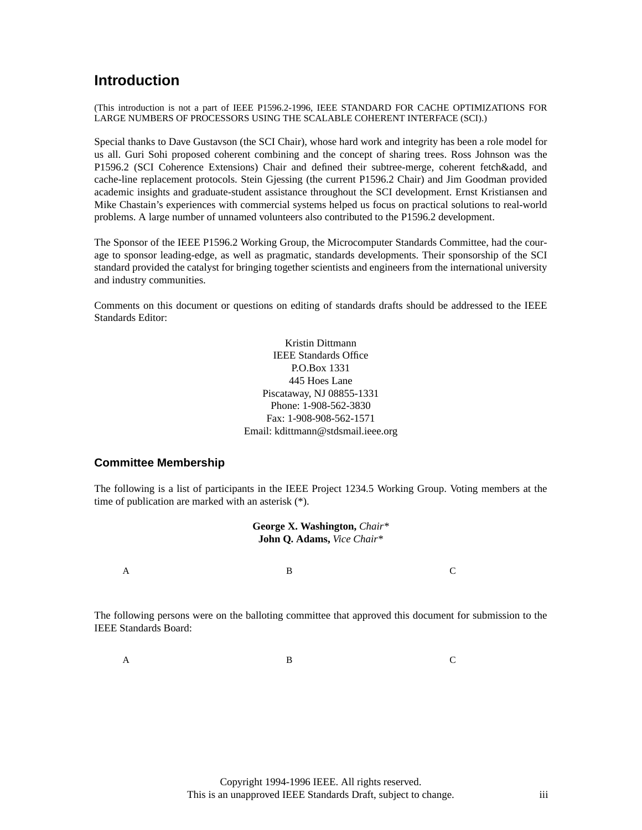### **Introduction**

(This introduction is not a part of IEEE P1596.2-1996, IEEE STANDARD FOR CACHE OPTIMIZATIONS FOR LARGE NUMBERS OF PROCESSORS USING THE SCALABLE COHERENT INTERFACE (SCI).)

Special thanks to Dave Gustavson (the SCI Chair), whose hard work and integrity has been a role model for us all. Guri Sohi proposed coherent combining and the concept of sharing trees. Ross Johnson was the P1596.2 (SCI Coherence Extensions) Chair and defined their subtree-merge, coherent fetch&add, and cache-line replacement protocols. Stein Gjessing (the current P1596.2 Chair) and Jim Goodman provided academic insights and graduate-student assistance throughout the SCI development. Ernst Kristiansen and Mike Chastain's experiences with commercial systems helped us focus on practical solutions to real-world problems. A large number of unnamed volunteers also contributed to the P1596.2 development.

The Sponsor of the IEEE P1596.2 Working Group, the Microcomputer Standards Committee, had the courage to sponsor leading-edge, as well as pragmatic, standards developments. Their sponsorship of the SCI standard provided the catalyst for bringing together scientists and engineers from the international university and industry communities.

Comments on this document or questions on editing of standards drafts should be addressed to the IEEE Standards Editor:

> Kristin Dittmann IEEE Standards Office P.O.Box 1331 445 Hoes Lane Piscataway, NJ 08855-1331 Phone: 1-908-562-3830 Fax: 1-908-908-562-1571 Email: kdittmann@stdsmail.ieee.org

#### **Committee Membership**

The following is a list of participants in the IEEE Project 1234.5 Working Group. Voting members at the time of publication are marked with an asterisk (\*).

> **George X. Washington,** *Chair\** **John Q. Adams,** *Vice Chair\**

A B C

The following persons were on the balloting committee that approved this document for submission to the IEEE Standards Board:

A B C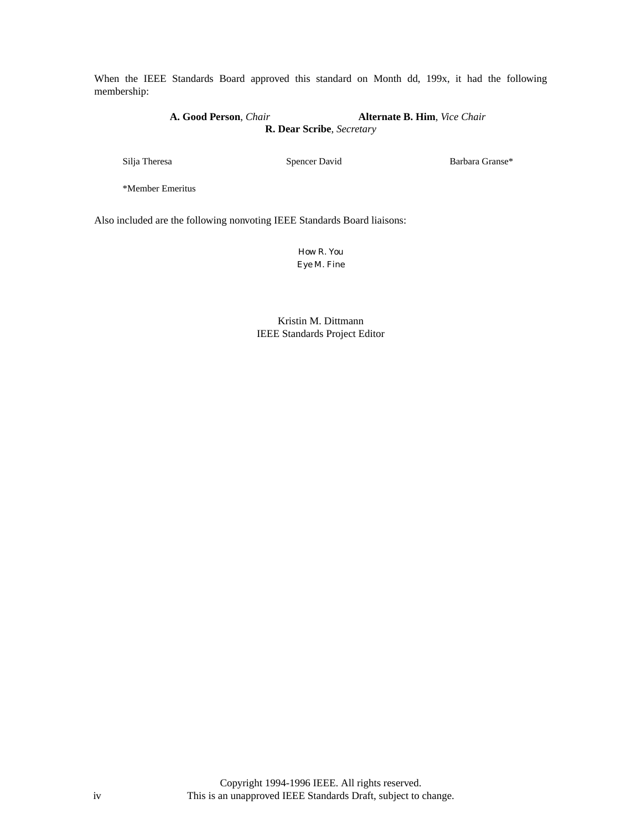When the IEEE Standards Board approved this standard on Month dd, 199x, it had the following membership:

> **A. Good Person**, *Chair* **Alternate B. Him**, *Vice Chair* **R. Dear Scribe**, *Secretary*

Silja Theresa Spencer David Barbara Granse\*

\*Member Emeritus

Also included are the following nonvoting IEEE Standards Board liaisons:

How R. You Eye M. Fine

Kristin M. Dittmann IEEE Standards Project Editor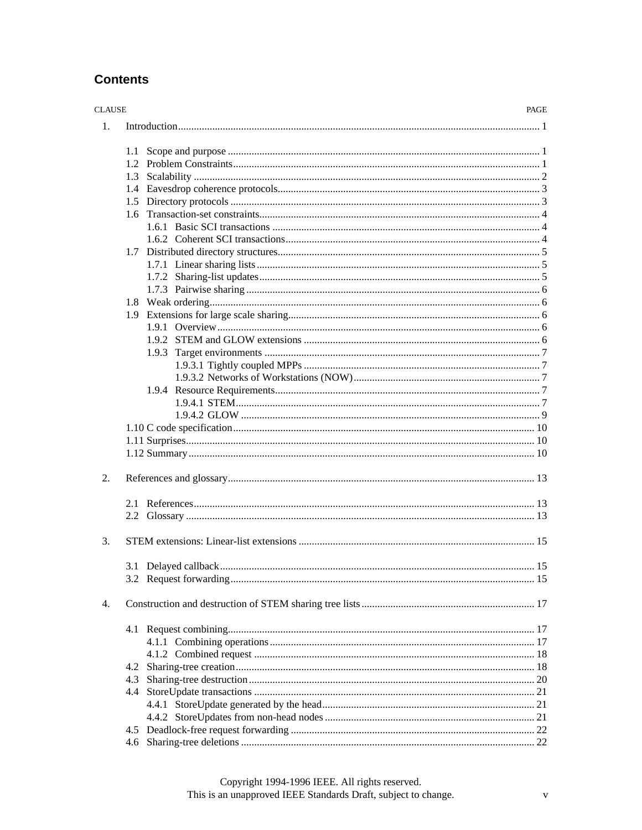### **Contents**

| CLAUSE |     | PAGE |
|--------|-----|------|
| 1.     |     |      |
|        | 1.1 |      |
|        |     |      |
|        |     |      |
|        |     |      |
|        |     |      |
|        | 1.6 |      |
|        |     |      |
|        |     |      |
|        |     |      |
|        |     |      |
|        |     |      |
|        |     |      |
|        |     |      |
|        |     |      |
|        |     |      |
|        |     |      |
|        |     |      |
|        |     |      |
|        |     |      |
|        |     |      |
|        |     |      |
|        |     |      |
|        |     |      |
|        |     |      |
|        |     |      |
|        |     |      |
| 2.     |     |      |
|        |     |      |
|        |     |      |
|        |     |      |
| 3.     |     |      |
|        |     |      |
|        |     |      |
| 4.     |     |      |
|        |     |      |
|        |     |      |
|        |     |      |
|        |     |      |
|        | 4.2 |      |
|        | 4.3 |      |
|        |     |      |
|        |     |      |
|        |     |      |
|        |     |      |
|        | 4.6 |      |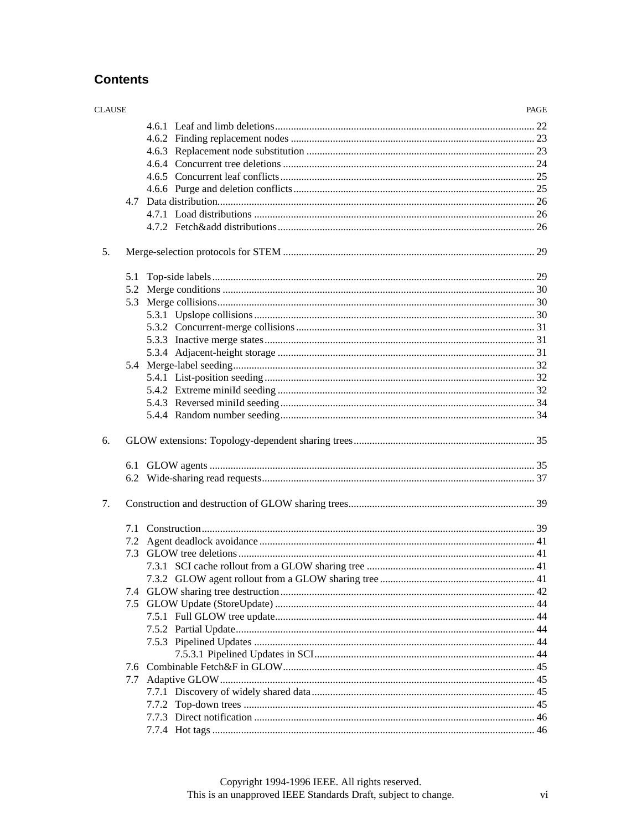### **Contents**

| <b>CLAUSE</b> |     | PAGE |
|---------------|-----|------|
|               |     |      |
|               |     |      |
|               |     |      |
|               |     |      |
|               |     |      |
|               |     |      |
|               |     |      |
|               |     |      |
|               |     |      |
| 5.            |     |      |
|               | 5.1 |      |
|               |     |      |
|               |     |      |
|               |     |      |
|               |     |      |
|               |     |      |
|               |     |      |
|               |     |      |
|               |     |      |
|               |     |      |
|               |     |      |
|               |     |      |
| 6.            |     |      |
|               |     |      |
|               |     |      |
| 7.            |     |      |
|               |     |      |
|               |     |      |
|               |     |      |
|               |     |      |
|               |     |      |
|               |     |      |
|               |     |      |
|               |     |      |
|               |     |      |
|               |     |      |
|               |     |      |
|               |     |      |
|               |     |      |
|               |     |      |
|               |     |      |
|               |     |      |
|               |     |      |
|               |     |      |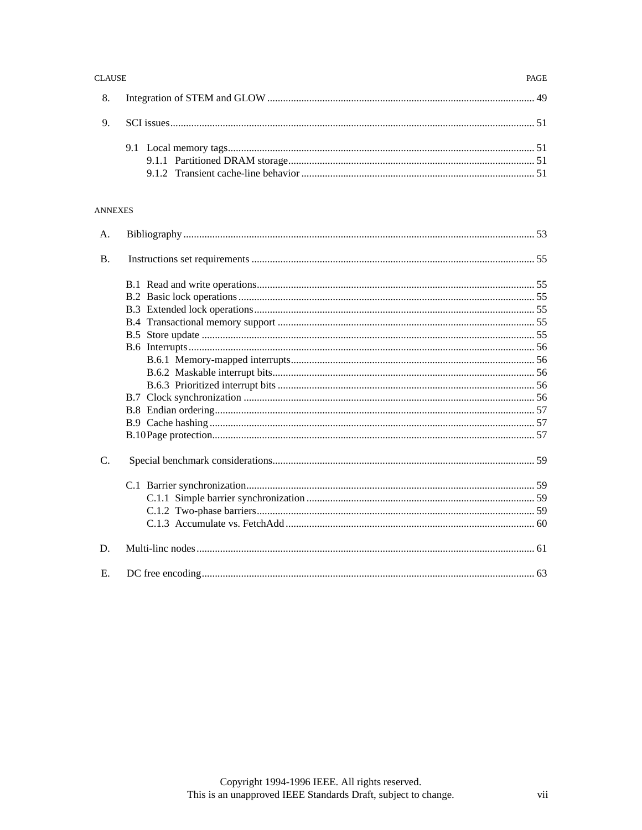#### **ANNEXES**

| A <sub>1</sub> |  |
|----------------|--|
| <b>B.</b>      |  |
|                |  |
|                |  |
|                |  |
|                |  |
|                |  |
|                |  |
|                |  |
|                |  |
|                |  |
|                |  |
|                |  |
|                |  |
|                |  |
| $C_{\cdot}$    |  |
|                |  |
|                |  |
|                |  |
|                |  |
| D.             |  |
| $E_{\cdot}$    |  |

PAGE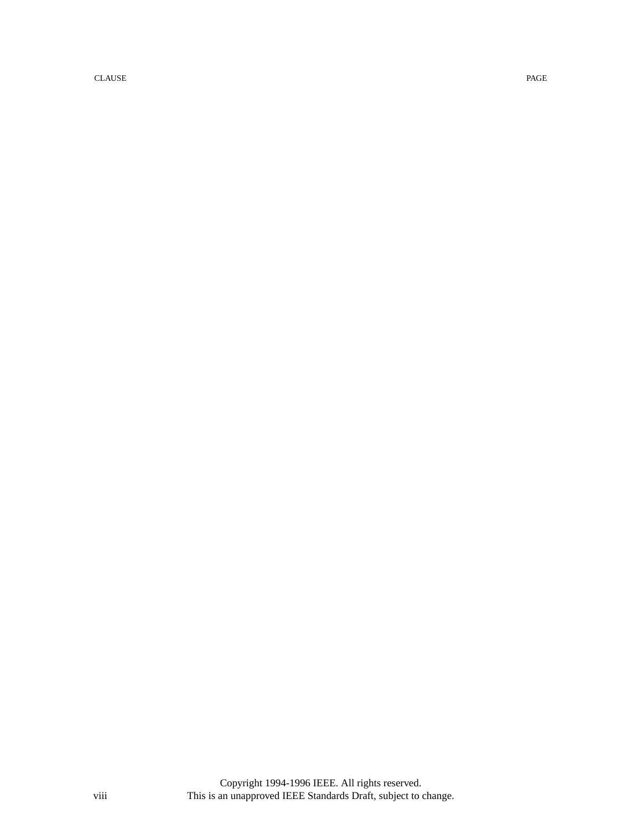CLAUSE PAGE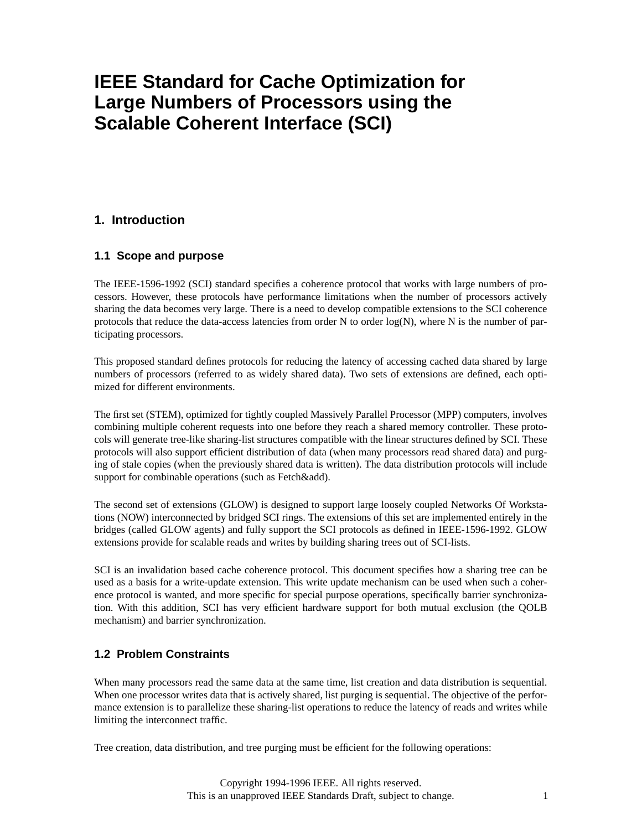## **IEEE Standard for Cache Optimization for Large Numbers of Processors using the Scalable Coherent Interface (SCI)**

### **1. Introduction**

#### **1.1 Scope and purpose**

The IEEE-1596-1992 (SCI) standard specifies a coherence protocol that works with large numbers of processors. However, these protocols have performance limitations when the number of processors actively sharing the data becomes very large. There is a need to develop compatible extensions to the SCI coherence protocols that reduce the data-access latencies from order N to order  $log(N)$ , where N is the number of participating processors.

This proposed standard defines protocols for reducing the latency of accessing cached data shared by large numbers of processors (referred to as widely shared data). Two sets of extensions are defined, each optimized for different environments.

The first set (STEM), optimized for tightly coupled Massively Parallel Processor (MPP) computers, involves combining multiple coherent requests into one before they reach a shared memory controller. These protocols will generate tree-like sharing-list structures compatible with the linear structures defined by SCI. These protocols will also support efficient distribution of data (when many processors read shared data) and purging of stale copies (when the previously shared data is written). The data distribution protocols will include support for combinable operations (such as Fetch&add).

The second set of extensions (GLOW) is designed to support large loosely coupled Networks Of Workstations (NOW) interconnected by bridged SCI rings. The extensions of this set are implemented entirely in the bridges (called GLOW agents) and fully support the SCI protocols as defined in IEEE-1596-1992. GLOW extensions provide for scalable reads and writes by building sharing trees out of SCI-lists.

SCI is an invalidation based cache coherence protocol. This document specifies how a sharing tree can be used as a basis for a write-update extension. This write update mechanism can be used when such a coherence protocol is wanted, and more specific for special purpose operations, specifically barrier synchronization. With this addition, SCI has very efficient hardware support for both mutual exclusion (the QOLB mechanism) and barrier synchronization.

#### **1.2 Problem Constraints**

When many processors read the same data at the same time, list creation and data distribution is sequential. When one processor writes data that is actively shared, list purging is sequential. The objective of the performance extension is to parallelize these sharing-list operations to reduce the latency of reads and writes while limiting the interconnect traffic.

Tree creation, data distribution, and tree purging must be efficient for the following operations: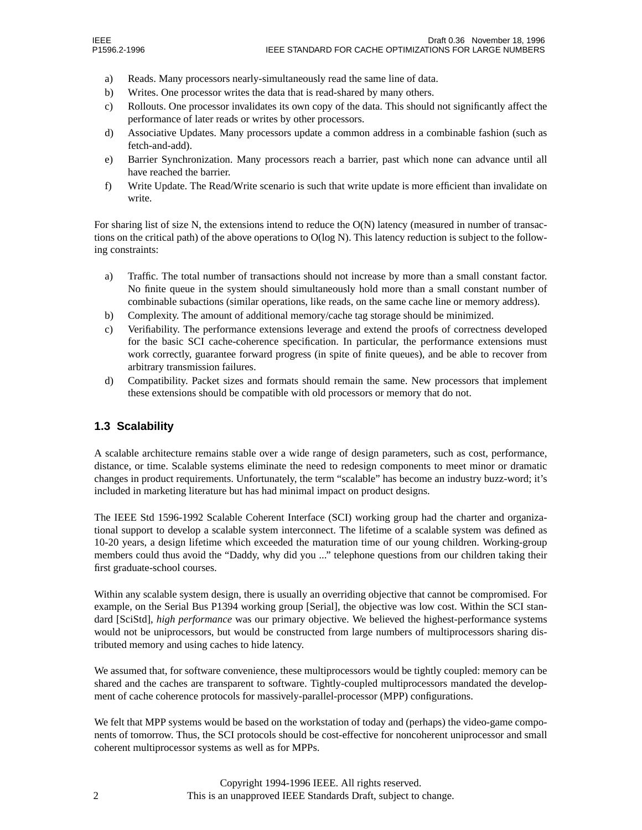- a) Reads. Many processors nearly-simultaneously read the same line of data.
- b) Writes. One processor writes the data that is read-shared by many others.
- c) Rollouts. One processor invalidates its own copy of the data. This should not significantly affect the performance of later reads or writes by other processors.
- d) Associative Updates. Many processors update a common address in a combinable fashion (such as fetch-and-add).
- e) Barrier Synchronization. Many processors reach a barrier, past which none can advance until all have reached the barrier.
- f) Write Update. The Read/Write scenario is such that write update is more efficient than invalidate on write.

For sharing list of size N, the extensions intend to reduce the O(N) latency (measured in number of transactions on the critical path) of the above operations to  $O(log N)$ . This latency reduction is subject to the following constraints:

- a) Traffic. The total number of transactions should not increase by more than a small constant factor. No finite queue in the system should simultaneously hold more than a small constant number of combinable subactions (similar operations, like reads, on the same cache line or memory address).
- b) Complexity. The amount of additional memory/cache tag storage should be minimized.
- c) Verifiability. The performance extensions leverage and extend the proofs of correctness developed for the basic SCI cache-coherence specification. In particular, the performance extensions must work correctly, guarantee forward progress (in spite of finite queues), and be able to recover from arbitrary transmission failures.
- d) Compatibility. Packet sizes and formats should remain the same. New processors that implement these extensions should be compatible with old processors or memory that do not.

#### **1.3 Scalability**

A scalable architecture remains stable over a wide range of design parameters, such as cost, performance, distance, or time. Scalable systems eliminate the need to redesign components to meet minor or dramatic changes in product requirements. Unfortunately, the term "scalable" has become an industry buzz-word; it's included in marketing literature but has had minimal impact on product designs.

The IEEE Std 1596-1992 Scalable Coherent Interface (SCI) working group had the charter and organizational support to develop a scalable system interconnect. The lifetime of a scalable system was defined as 10-20 years, a design lifetime which exceeded the maturation time of our young children. Working-group members could thus avoid the "Daddy, why did you ..." telephone questions from our children taking their first graduate-school courses.

Within any scalable system design, there is usually an overriding objective that cannot be compromised. For example, on the Serial Bus P1394 working group [Serial], the objective was low cost. Within the SCI standard [SciStd], *high performance* was our primary objective. We believed the highest-performance systems would not be uniprocessors, but would be constructed from large numbers of multiprocessors sharing distributed memory and using caches to hide latency.

We assumed that, for software convenience, these multiprocessors would be tightly coupled: memory can be shared and the caches are transparent to software. Tightly-coupled multiprocessors mandated the development of cache coherence protocols for massively-parallel-processor (MPP) configurations.

We felt that MPP systems would be based on the workstation of today and (perhaps) the video-game components of tomorrow. Thus, the SCI protocols should be cost-effective for noncoherent uniprocessor and small coherent multiprocessor systems as well as for MPPs.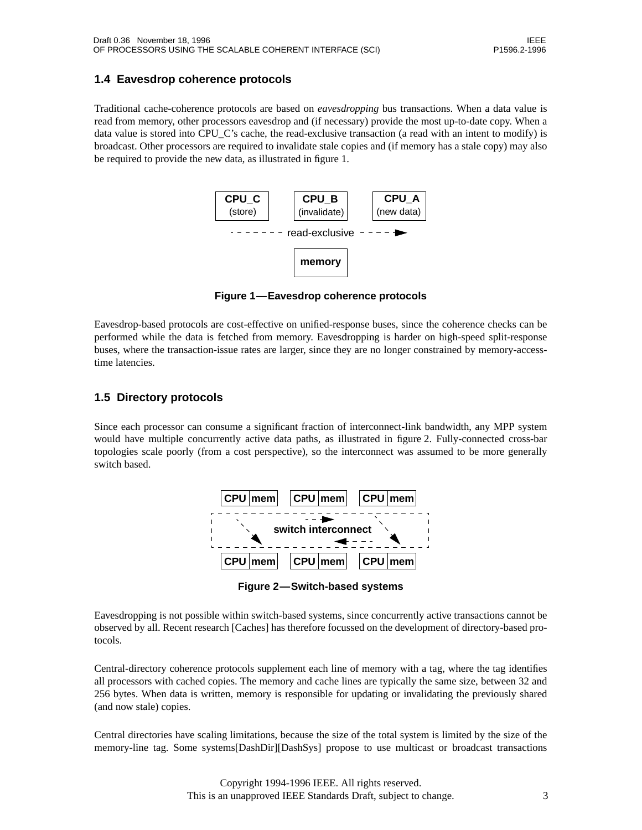#### **1.4 Eavesdrop coherence protocols**

Traditional cache-coherence protocols are based on *eavesdropping* bus transactions. When a data value is read from memory, other processors eavesdrop and (if necessary) provide the most up-to-date copy. When a data value is stored into CPU\_C's cache, the read-exclusive transaction (a read with an intent to modify) is broadcast. Other processors are required to invalidate stale copies and (if memory has a stale copy) may also be required to provide the new data, as illustrated in figure 1.



**Figure 1—Eavesdrop coherence protocols**

Eavesdrop-based protocols are cost-effective on unified-response buses, since the coherence checks can be performed while the data is fetched from memory. Eavesdropping is harder on high-speed split-response buses, where the transaction-issue rates are larger, since they are no longer constrained by memory-accesstime latencies.

#### **1.5 Directory protocols**

Since each processor can consume a significant fraction of interconnect-link bandwidth, any MPP system would have multiple concurrently active data paths, as illustrated in figure 2. Fully-connected cross-bar topologies scale poorly (from a cost perspective), so the interconnect was assumed to be more generally switch based.



**Figure 2—Switch-based systems**

Eavesdropping is not possible within switch-based systems, since concurrently active transactions cannot be observed by all. Recent research [Caches] has therefore focussed on the development of directory-based protocols.

Central-directory coherence protocols supplement each line of memory with a tag, where the tag identifies all processors with cached copies. The memory and cache lines are typically the same size, between 32 and 256 bytes. When data is written, memory is responsible for updating or invalidating the previously shared (and now stale) copies.

Central directories have scaling limitations, because the size of the total system is limited by the size of the memory-line tag. Some systems[DashDir][DashSys] propose to use multicast or broadcast transactions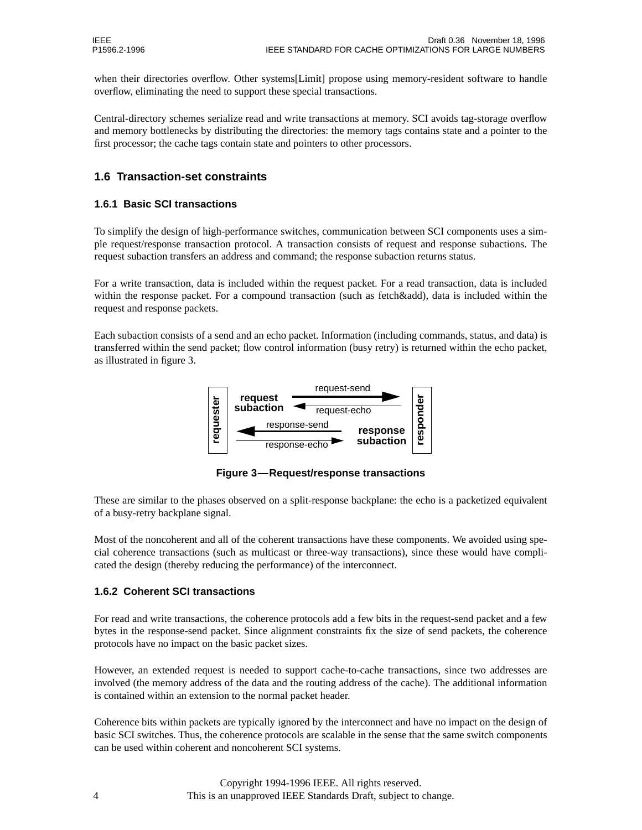when their directories overflow. Other systems[Limit] propose using memory-resident software to handle overflow, eliminating the need to support these special transactions.

Central-directory schemes serialize read and write transactions at memory. SCI avoids tag-storage overflow and memory bottlenecks by distributing the directories: the memory tags contains state and a pointer to the first processor; the cache tags contain state and pointers to other processors.

#### **1.6 Transaction-set constraints**

#### **1.6.1 Basic SCI transactions**

To simplify the design of high-performance switches, communication between SCI components uses a simple request/response transaction protocol. A transaction consists of request and response subactions. The request subaction transfers an address and command; the response subaction returns status.

For a write transaction, data is included within the request packet. For a read transaction, data is included within the response packet. For a compound transaction (such as fetch&add), data is included within the request and response packets.

Each subaction consists of a send and an echo packet. Information (including commands, status, and data) is transferred within the send packet; flow control information (busy retry) is returned within the echo packet, as illustrated in figure 3.



These are similar to the phases observed on a split-response backplane: the echo is a packetized equivalent of a busy-retry backplane signal.

Most of the noncoherent and all of the coherent transactions have these components. We avoided using special coherence transactions (such as multicast or three-way transactions), since these would have complicated the design (thereby reducing the performance) of the interconnect.

#### **1.6.2 Coherent SCI transactions**

For read and write transactions, the coherence protocols add a few bits in the request-send packet and a few bytes in the response-send packet. Since alignment constraints fix the size of send packets, the coherence protocols have no impact on the basic packet sizes.

However, an extended request is needed to support cache-to-cache transactions, since two addresses are involved (the memory address of the data and the routing address of the cache). The additional information is contained within an extension to the normal packet header.

Coherence bits within packets are typically ignored by the interconnect and have no impact on the design of basic SCI switches. Thus, the coherence protocols are scalable in the sense that the same switch components can be used within coherent and noncoherent SCI systems.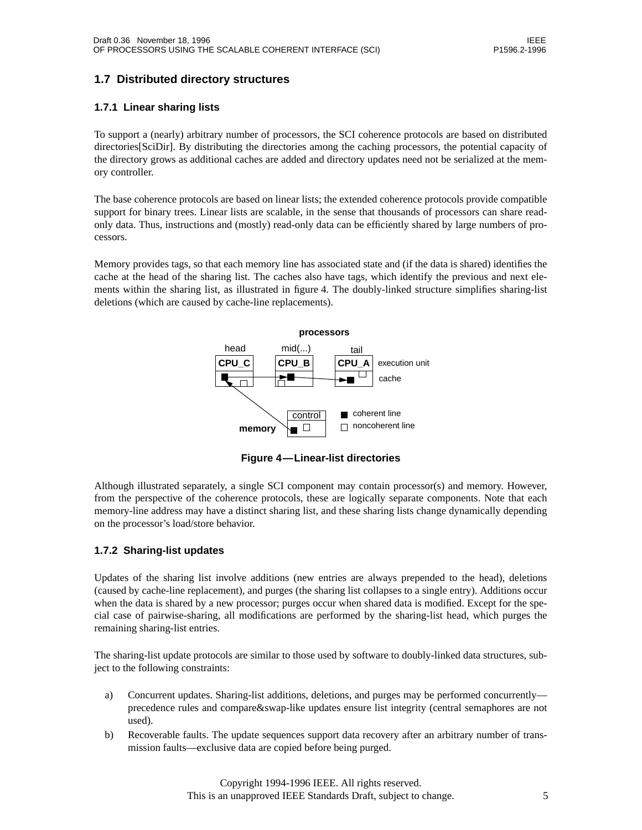#### **1.7 Distributed directory structures**

#### **1.7.1 Linear sharing lists**

To support a (nearly) arbitrary number of processors, the SCI coherence protocols are based on distributed directories[SciDir]. By distributing the directories among the caching processors, the potential capacity of the directory grows as additional caches are added and directory updates need not be serialized at the memory controller.

The base coherence protocols are based on linear lists; the extended coherence protocols provide compatible support for binary trees. Linear lists are scalable, in the sense that thousands of processors can share readonly data. Thus, instructions and (mostly) read-only data can be efficiently shared by large numbers of processors.

Memory provides tags, so that each memory line has associated state and (if the data is shared) identifies the cache at the head of the sharing list. The caches also have tags, which identify the previous and next elements within the sharing list, as illustrated in figure 4. The doubly-linked structure simplifies sharing-list deletions (which are caused by cache-line replacements).



**Figure 4—Linear-list directories**

Although illustrated separately, a single SCI component may contain processor(s) and memory. However, from the perspective of the coherence protocols, these are logically separate components. Note that each memory-line address may have a distinct sharing list, and these sharing lists change dynamically depending on the processor's load/store behavior.

#### **1.7.2 Sharing-list updates**

Updates of the sharing list involve additions (new entries are always prepended to the head), deletions (caused by cache-line replacement), and purges (the sharing list collapses to a single entry). Additions occur when the data is shared by a new processor; purges occur when shared data is modified. Except for the special case of pairwise-sharing, all modifications are performed by the sharing-list head, which purges the remaining sharing-list entries.

The sharing-list update protocols are similar to those used by software to doubly-linked data structures, subject to the following constraints:

- a) Concurrent updates. Sharing-list additions, deletions, and purges may be performed concurrently precedence rules and compare&swap-like updates ensure list integrity (central semaphores are not used).
- b) Recoverable faults. The update sequences support data recovery after an arbitrary number of transmission faults—exclusive data are copied before being purged.

Copyright 1994-1996 IEEE. All rights reserved. This is an unapproved IEEE Standards Draft, subject to change. 5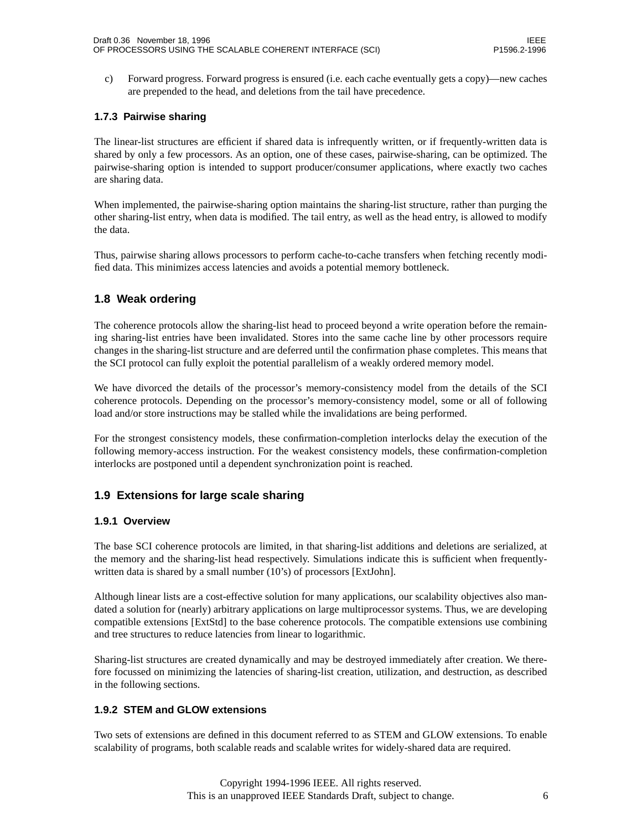c) Forward progress. Forward progress is ensured (i.e. each cache eventually gets a copy)—new caches are prepended to the head, and deletions from the tail have precedence.

#### **1.7.3 Pairwise sharing**

The linear-list structures are efficient if shared data is infrequently written, or if frequently-written data is shared by only a few processors. As an option, one of these cases, pairwise-sharing, can be optimized. The pairwise-sharing option is intended to support producer/consumer applications, where exactly two caches are sharing data.

When implemented, the pairwise-sharing option maintains the sharing-list structure, rather than purging the other sharing-list entry, when data is modified. The tail entry, as well as the head entry, is allowed to modify the data.

Thus, pairwise sharing allows processors to perform cache-to-cache transfers when fetching recently modified data. This minimizes access latencies and avoids a potential memory bottleneck.

#### **1.8 Weak ordering**

The coherence protocols allow the sharing-list head to proceed beyond a write operation before the remaining sharing-list entries have been invalidated. Stores into the same cache line by other processors require changes in the sharing-list structure and are deferred until the confirmation phase completes. This means that the SCI protocol can fully exploit the potential parallelism of a weakly ordered memory model.

We have divorced the details of the processor's memory-consistency model from the details of the SCI coherence protocols. Depending on the processor's memory-consistency model, some or all of following load and/or store instructions may be stalled while the invalidations are being performed.

For the strongest consistency models, these confirmation-completion interlocks delay the execution of the following memory-access instruction. For the weakest consistency models, these confirmation-completion interlocks are postponed until a dependent synchronization point is reached.

#### **1.9 Extensions for large scale sharing**

#### **1.9.1 Overview**

The base SCI coherence protocols are limited, in that sharing-list additions and deletions are serialized, at the memory and the sharing-list head respectively. Simulations indicate this is sufficient when frequentlywritten data is shared by a small number (10's) of processors [ExtJohn].

Although linear lists are a cost-effective solution for many applications, our scalability objectives also mandated a solution for (nearly) arbitrary applications on large multiprocessor systems. Thus, we are developing compatible extensions [ExtStd] to the base coherence protocols. The compatible extensions use combining and tree structures to reduce latencies from linear to logarithmic.

Sharing-list structures are created dynamically and may be destroyed immediately after creation. We therefore focussed on minimizing the latencies of sharing-list creation, utilization, and destruction, as described in the following sections.

#### **1.9.2 STEM and GLOW extensions**

Two sets of extensions are defined in this document referred to as STEM and GLOW extensions. To enable scalability of programs, both scalable reads and scalable writes for widely-shared data are required.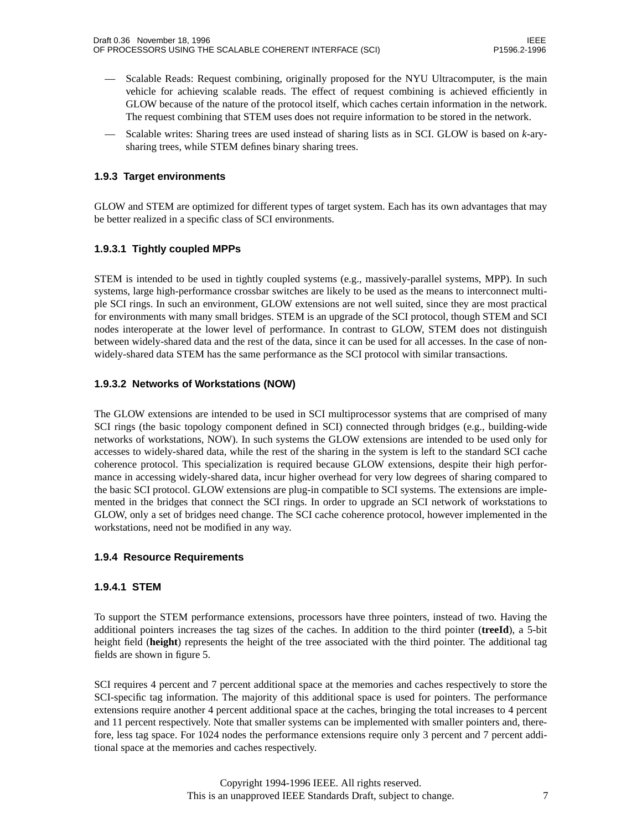- Scalable Reads: Request combining, originally proposed for the NYU Ultracomputer, is the main vehicle for achieving scalable reads. The effect of request combining is achieved efficiently in GLOW because of the nature of the protocol itself, which caches certain information in the network. The request combining that STEM uses does not require information to be stored in the network.
- Scalable writes: Sharing trees are used instead of sharing lists as in SCI. GLOW is based on *k*-arysharing trees, while STEM defines binary sharing trees.

#### **1.9.3 Target environments**

GLOW and STEM are optimized for different types of target system. Each has its own advantages that may be better realized in a specific class of SCI environments.

#### **1.9.3.1 Tightly coupled MPPs**

STEM is intended to be used in tightly coupled systems (e.g., massively-parallel systems, MPP). In such systems, large high-performance crossbar switches are likely to be used as the means to interconnect multiple SCI rings. In such an environment, GLOW extensions are not well suited, since they are most practical for environments with many small bridges. STEM is an upgrade of the SCI protocol, though STEM and SCI nodes interoperate at the lower level of performance. In contrast to GLOW, STEM does not distinguish between widely-shared data and the rest of the data, since it can be used for all accesses. In the case of nonwidely-shared data STEM has the same performance as the SCI protocol with similar transactions.

#### **1.9.3.2 Networks of Workstations (NOW)**

The GLOW extensions are intended to be used in SCI multiprocessor systems that are comprised of many SCI rings (the basic topology component defined in SCI) connected through bridges (e.g., building-wide networks of workstations, NOW). In such systems the GLOW extensions are intended to be used only for accesses to widely-shared data, while the rest of the sharing in the system is left to the standard SCI cache coherence protocol. This specialization is required because GLOW extensions, despite their high performance in accessing widely-shared data, incur higher overhead for very low degrees of sharing compared to the basic SCI protocol. GLOW extensions are plug-in compatible to SCI systems. The extensions are implemented in the bridges that connect the SCI rings. In order to upgrade an SCI network of workstations to GLOW, only a set of bridges need change. The SCI cache coherence protocol, however implemented in the workstations, need not be modified in any way.

#### **1.9.4 Resource Requirements**

#### **1.9.4.1 STEM**

To support the STEM performance extensions, processors have three pointers, instead of two. Having the additional pointers increases the tag sizes of the caches. In addition to the third pointer (**treeId**), a 5-bit height field (**height**) represents the height of the tree associated with the third pointer. The additional tag fields are shown in figure 5.

SCI requires 4 percent and 7 percent additional space at the memories and caches respectively to store the SCI-specific tag information. The majority of this additional space is used for pointers. The performance extensions require another 4 percent additional space at the caches, bringing the total increases to 4 percent and 11 percent respectively. Note that smaller systems can be implemented with smaller pointers and, therefore, less tag space. For 1024 nodes the performance extensions require only 3 percent and 7 percent additional space at the memories and caches respectively.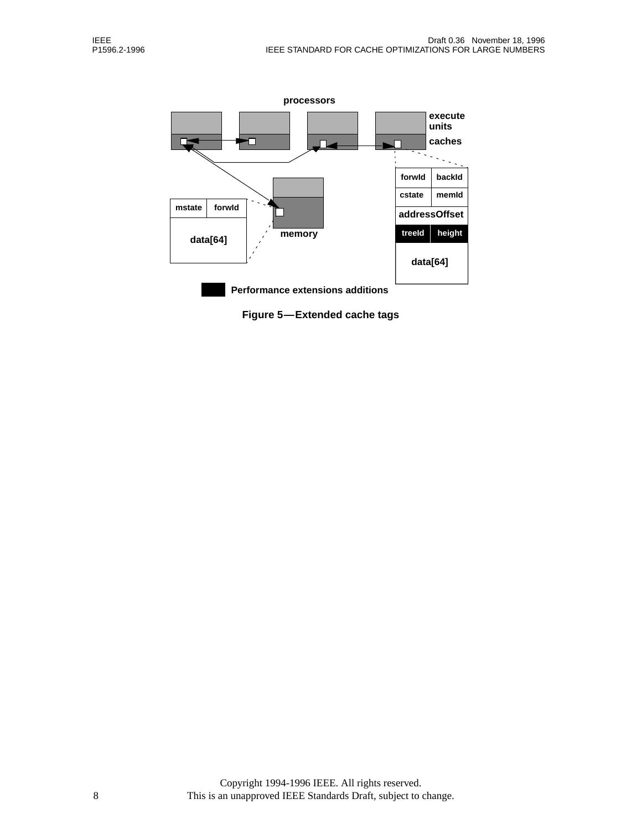

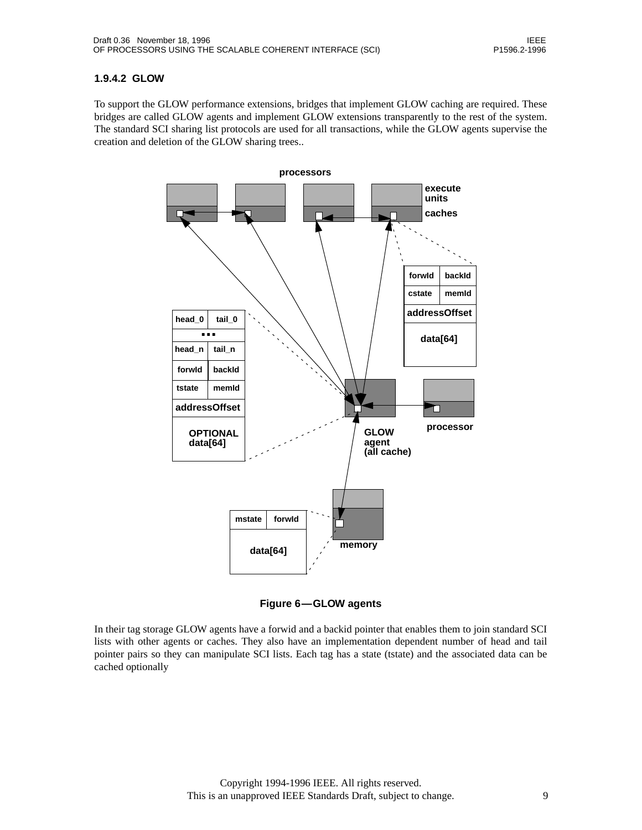#### **1.9.4.2 GLOW**

To support the GLOW performance extensions, bridges that implement GLOW caching are required. These bridges are called GLOW agents and implement GLOW extensions transparently to the rest of the system. The standard SCI sharing list protocols are used for all transactions, while the GLOW agents supervise the creation and deletion of the GLOW sharing trees..



**Figure 6—GLOW agents**

In their tag storage GLOW agents have a forwid and a backid pointer that enables them to join standard SCI lists with other agents or caches. They also have an implementation dependent number of head and tail pointer pairs so they can manipulate SCI lists. Each tag has a state (tstate) and the associated data can be cached optionally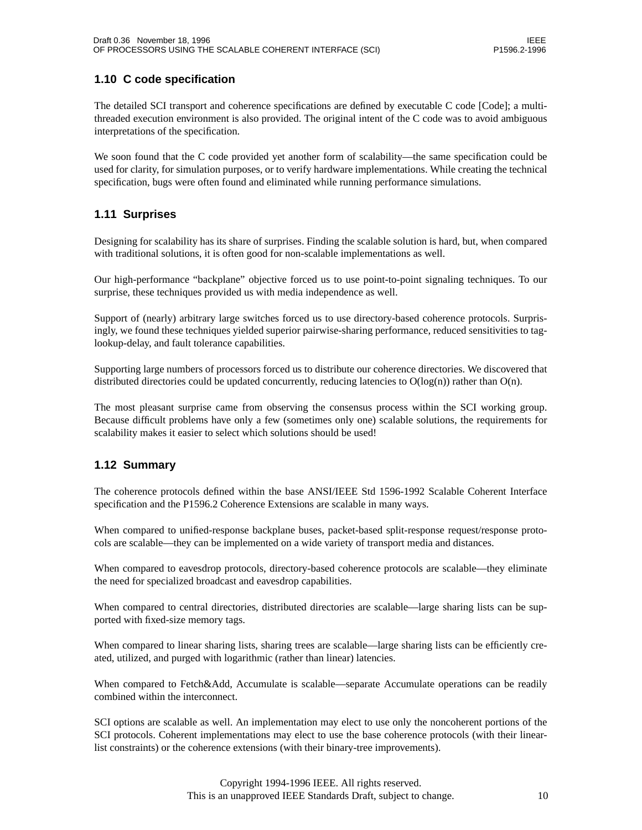#### **1.10 C code specification**

The detailed SCI transport and coherence specifications are defined by executable C code [Code]; a multithreaded execution environment is also provided. The original intent of the C code was to avoid ambiguous interpretations of the specification.

We soon found that the C code provided yet another form of scalability—the same specification could be used for clarity, for simulation purposes, or to verify hardware implementations. While creating the technical specification, bugs were often found and eliminated while running performance simulations.

#### **1.11 Surprises**

Designing for scalability has its share of surprises. Finding the scalable solution is hard, but, when compared with traditional solutions, it is often good for non-scalable implementations as well.

Our high-performance "backplane" objective forced us to use point-to-point signaling techniques. To our surprise, these techniques provided us with media independence as well.

Support of (nearly) arbitrary large switches forced us to use directory-based coherence protocols. Surprisingly, we found these techniques yielded superior pairwise-sharing performance, reduced sensitivities to taglookup-delay, and fault tolerance capabilities.

Supporting large numbers of processors forced us to distribute our coherence directories. We discovered that distributed directories could be updated concurrently, reducing latencies to  $O(log(n))$  rather than  $O(n)$ .

The most pleasant surprise came from observing the consensus process within the SCI working group. Because difficult problems have only a few (sometimes only one) scalable solutions, the requirements for scalability makes it easier to select which solutions should be used!

#### **1.12 Summary**

The coherence protocols defined within the base ANSI/IEEE Std 1596-1992 Scalable Coherent Interface specification and the P1596.2 Coherence Extensions are scalable in many ways.

When compared to unified-response backplane buses, packet-based split-response request/response protocols are scalable—they can be implemented on a wide variety of transport media and distances.

When compared to eavesdrop protocols, directory-based coherence protocols are scalable—they eliminate the need for specialized broadcast and eavesdrop capabilities.

When compared to central directories, distributed directories are scalable—large sharing lists can be supported with fixed-size memory tags.

When compared to linear sharing lists, sharing trees are scalable—large sharing lists can be efficiently created, utilized, and purged with logarithmic (rather than linear) latencies.

When compared to Fetch&Add, Accumulate is scalable—separate Accumulate operations can be readily combined within the interconnect.

SCI options are scalable as well. An implementation may elect to use only the noncoherent portions of the SCI protocols. Coherent implementations may elect to use the base coherence protocols (with their linearlist constraints) or the coherence extensions (with their binary-tree improvements).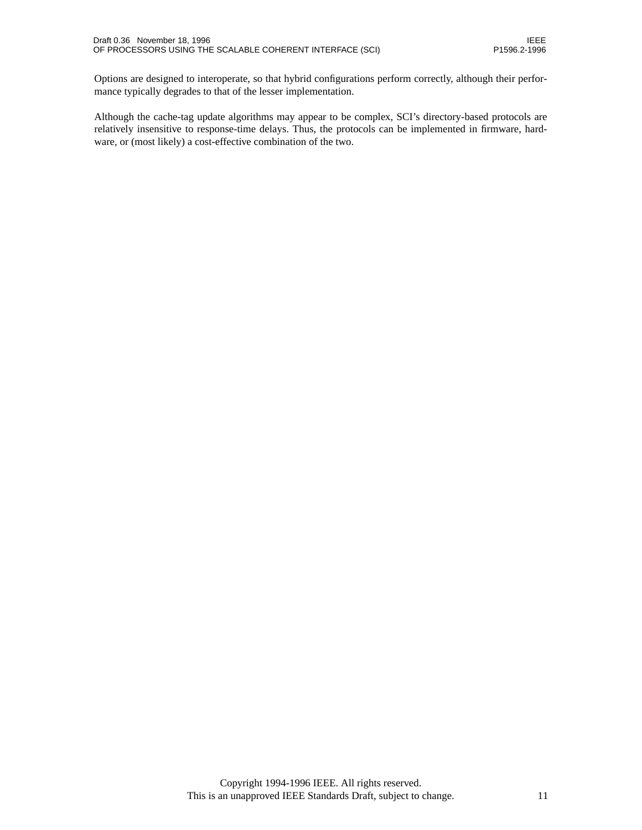Options are designed to interoperate, so that hybrid configurations perform correctly, although their performance typically degrades to that of the lesser implementation.

Although the cache-tag update algorithms may appear to be complex, SCI's directory-based protocols are relatively insensitive to response-time delays. Thus, the protocols can be implemented in firmware, hardware, or (most likely) a cost-effective combination of the two.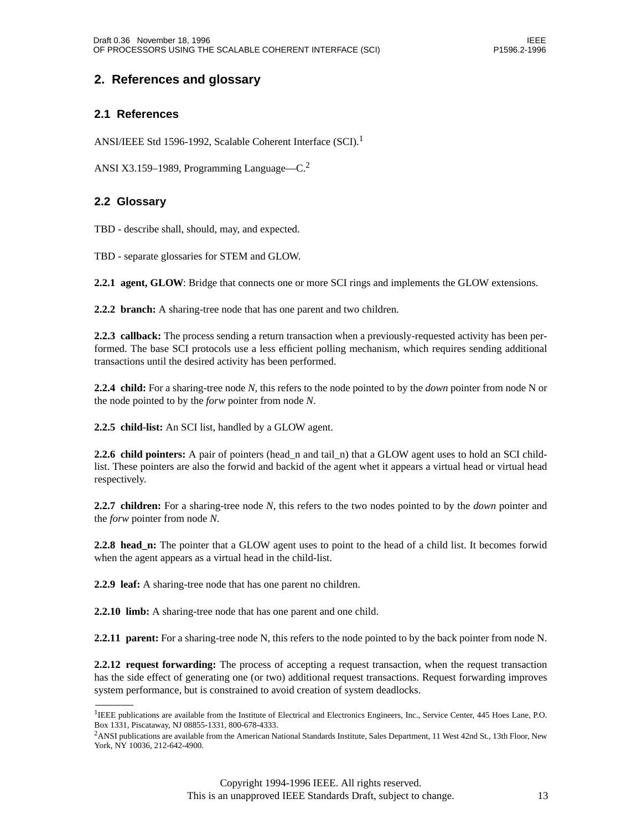### **2. References and glossary**

#### **2.1 References**

ANSI/IEEE Std 1596-1992, Scalable Coherent Interface (SCI).<sup>1</sup>

ANSI X3.159–1989, Programming Language—C.<sup>2</sup>

#### **2.2 Glossary**

TBD - describe shall, should, may, and expected.

TBD - separate glossaries for STEM and GLOW.

**2.2.1 agent, GLOW**: Bridge that connects one or more SCI rings and implements the GLOW extensions.

**2.2.2 branch:** A sharing-tree node that has one parent and two children.

**2.2.3 callback:** The process sending a return transaction when a previously-requested activity has been performed. The base SCI protocols use a less efficient polling mechanism, which requires sending additional transactions until the desired activity has been performed.

**2.2.4 child:** For a sharing-tree node *N*, this refers to the node pointed to by the *down* pointer from node N or the node pointed to by the *forw* pointer from node *N*.

**2.2.5 child-list:** An SCI list, handled by a GLOW agent.

**2.2.6 child pointers:** A pair of pointers (head\_n and tail\_n) that a GLOW agent uses to hold an SCI childlist. These pointers are also the forwid and backid of the agent whet it appears a virtual head or virtual head respectively.

**2.2.7 children:** For a sharing-tree node *N*, this refers to the two nodes pointed to by the *down* pointer and the *forw* pointer from node *N*.

**2.2.8 head\_n:** The pointer that a GLOW agent uses to point to the head of a child list. It becomes forwid when the agent appears as a virtual head in the child-list.

**2.2.9 leaf:** A sharing-tree node that has one parent no children.

**2.2.10 limb:** A sharing-tree node that has one parent and one child.

**2.2.11 parent:** For a sharing-tree node N, this refers to the node pointed to by the back pointer from node N.

**2.2.12 request forwarding:** The process of accepting a request transaction, when the request transaction has the side effect of generating one (or two) additional request transactions. Request forwarding improves system performance, but is constrained to avoid creation of system deadlocks.

<sup>&</sup>lt;sup>1</sup>IEEE publications are available from the Institute of Electrical and Electronics Engineers, Inc., Service Center, 445 Hoes Lane, P.O. Box 1331, Piscataway, NJ 08855-1331, 800-678-4333.

<sup>&</sup>lt;sup>2</sup>ANSI publications are available from the American National Standards Institute, Sales Department, 11 West 42nd St., 13th Floor, New York, NY 10036, 212-642-4900.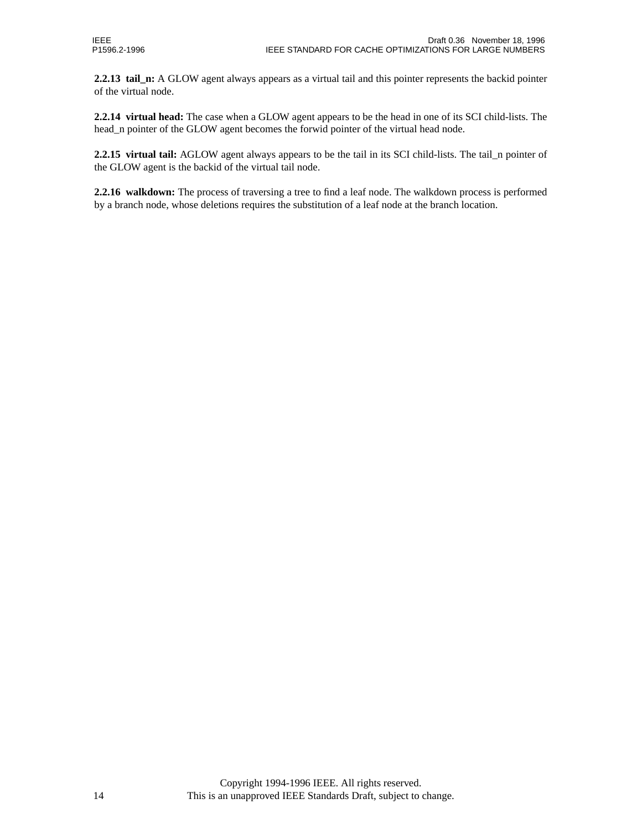**2.2.13 tail\_n:** A GLOW agent always appears as a virtual tail and this pointer represents the backid pointer of the virtual node.

**2.2.14 virtual head:** The case when a GLOW agent appears to be the head in one of its SCI child-lists. The head\_n pointer of the GLOW agent becomes the forwid pointer of the virtual head node.

**2.2.15 virtual tail:** AGLOW agent always appears to be the tail in its SCI child-lists. The tail\_n pointer of the GLOW agent is the backid of the virtual tail node.

**2.2.16 walkdown:** The process of traversing a tree to find a leaf node. The walkdown process is performed by a branch node, whose deletions requires the substitution of a leaf node at the branch location.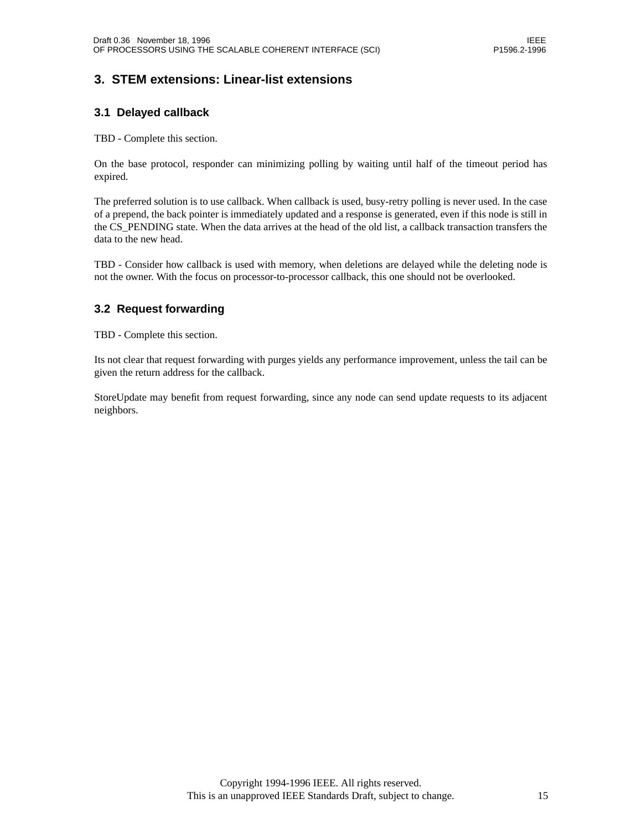### **3. STEM extensions: Linear-list extensions**

#### **3.1 Delayed callback**

TBD - Complete this section.

On the base protocol, responder can minimizing polling by waiting until half of the timeout period has expired.

The preferred solution is to use callback. When callback is used, busy-retry polling is never used. In the case of a prepend, the back pointer is immediately updated and a response is generated, even if this node is still in the CS\_PENDING state. When the data arrives at the head of the old list, a callback transaction transfers the data to the new head.

TBD - Consider how callback is used with memory, when deletions are delayed while the deleting node is not the owner. With the focus on processor-to-processor callback, this one should not be overlooked.

#### **3.2 Request forwarding**

TBD - Complete this section.

Its not clear that request forwarding with purges yields any performance improvement, unless the tail can be given the return address for the callback.

StoreUpdate may benefit from request forwarding, since any node can send update requests to its adjacent neighbors.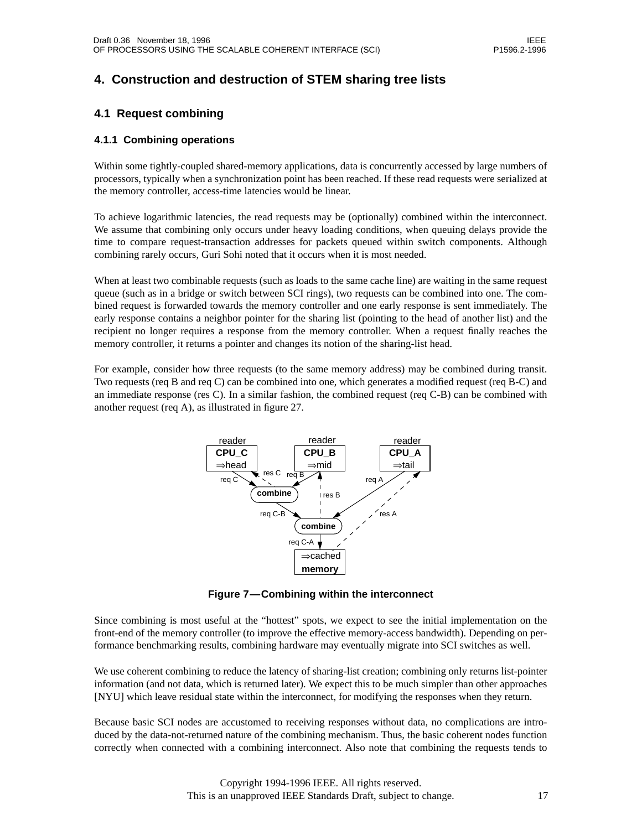### **4. Construction and destruction of STEM sharing tree lists**

### **4.1 Request combining**

#### **4.1.1 Combining operations**

Within some tightly-coupled shared-memory applications, data is concurrently accessed by large numbers of processors, typically when a synchronization point has been reached. If these read requests were serialized at the memory controller, access-time latencies would be linear.

To achieve logarithmic latencies, the read requests may be (optionally) combined within the interconnect. We assume that combining only occurs under heavy loading conditions, when queuing delays provide the time to compare request-transaction addresses for packets queued within switch components. Although combining rarely occurs, Guri Sohi noted that it occurs when it is most needed.

When at least two combinable requests (such as loads to the same cache line) are waiting in the same request queue (such as in a bridge or switch between SCI rings), two requests can be combined into one. The combined request is forwarded towards the memory controller and one early response is sent immediately. The early response contains a neighbor pointer for the sharing list (pointing to the head of another list) and the recipient no longer requires a response from the memory controller. When a request finally reaches the memory controller, it returns a pointer and changes its notion of the sharing-list head.

For example, consider how three requests (to the same memory address) may be combined during transit. Two requests (req B and req C) can be combined into one, which generates a modified request (req B-C) and an immediate response (res C). In a similar fashion, the combined request (req C-B) can be combined with another request (req A), as illustrated in figure 27.



**Figure 7—Combining within the interconnect**

Since combining is most useful at the "hottest" spots, we expect to see the initial implementation on the front-end of the memory controller (to improve the effective memory-access bandwidth). Depending on performance benchmarking results, combining hardware may eventually migrate into SCI switches as well.

We use coherent combining to reduce the latency of sharing-list creation; combining only returns list-pointer information (and not data, which is returned later). We expect this to be much simpler than other approaches [NYU] which leave residual state within the interconnect, for modifying the responses when they return.

Because basic SCI nodes are accustomed to receiving responses without data, no complications are introduced by the data-not-returned nature of the combining mechanism. Thus, the basic coherent nodes function correctly when connected with a combining interconnect. Also note that combining the requests tends to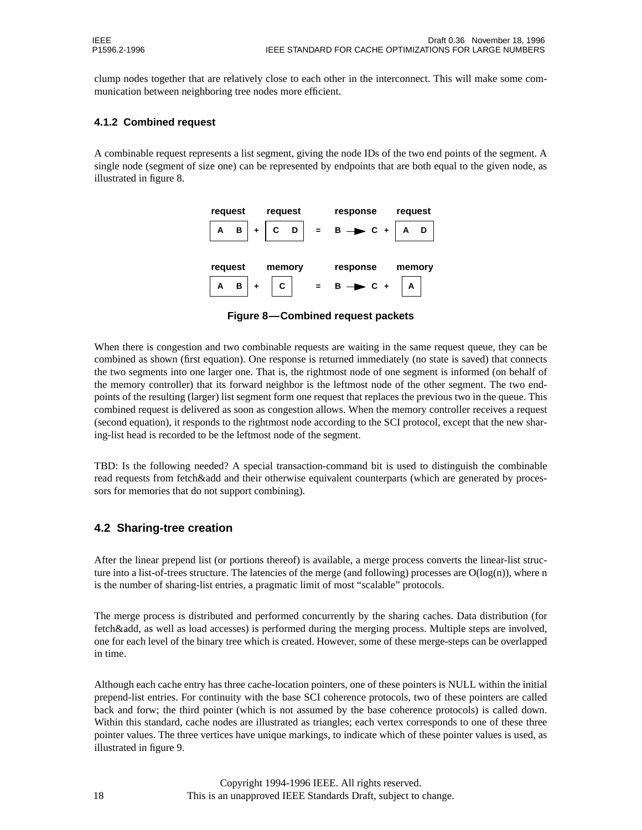clump nodes together that are relatively close to each other in the interconnect. This will make some communication between neighboring tree nodes more efficient.

#### **4.1.2 Combined request**

A combinable request represents a list segment, giving the node IDs of the two end points of the segment. A single node (segment of size one) can be represented by endpoints that are both equal to the given node, as illustrated in figure 8.



**Figure 8—Combined request packets**

When there is congestion and two combinable requests are waiting in the same request queue, they can be combined as shown (first equation). One response is returned immediately (no state is saved) that connects the two segments into one larger one. That is, the rightmost node of one segment is informed (on behalf of the memory controller) that its forward neighbor is the leftmost node of the other segment. The two endpoints of the resulting (larger) list segment form one request that replaces the previous two in the queue. This combined request is delivered as soon as congestion allows. When the memory controller receives a request (second equation), it responds to the rightmost node according to the SCI protocol, except that the new sharing-list head is recorded to be the leftmost node of the segment.

TBD: Is the following needed? A special transaction-command bit is used to distinguish the combinable read requests from fetch&add and their otherwise equivalent counterparts (which are generated by processors for memories that do not support combining).

#### **4.2 Sharing-tree creation**

After the linear prepend list (or portions thereof) is available, a merge process converts the linear-list structure into a list-of-trees structure. The latencies of the merge (and following) processes are  $O(log(n))$ , where n is the number of sharing-list entries, a pragmatic limit of most "scalable" protocols.

The merge process is distributed and performed concurrently by the sharing caches. Data distribution (for fetch&add, as well as load accesses) is performed during the merging process. Multiple steps are involved, one for each level of the binary tree which is created. However, some of these merge-steps can be overlapped in time.

Although each cache entry has three cache-location pointers, one of these pointers is NULL within the initial prepend-list entries. For continuity with the base SCI coherence protocols, two of these pointers are called back and forw; the third pointer (which is not assumed by the base coherence protocols) is called down. Within this standard, cache nodes are illustrated as triangles; each vertex corresponds to one of these three pointer values. The three vertices have unique markings, to indicate which of these pointer values is used, as illustrated in figure 9.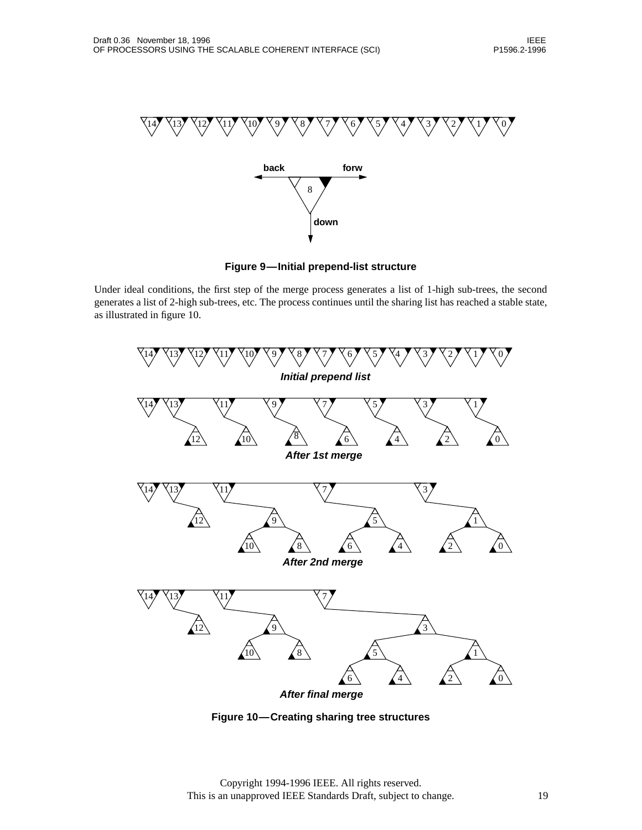

**Figure 9—Initial prepend-list structure**

Under ideal conditions, the first step of the merge process generates a list of 1-high sub-trees, the second generates a list of 2-high sub-trees, etc. The process continues until the sharing list has reached a stable state, as illustrated in figure 10.



**Figure 10—Creating sharing tree structures**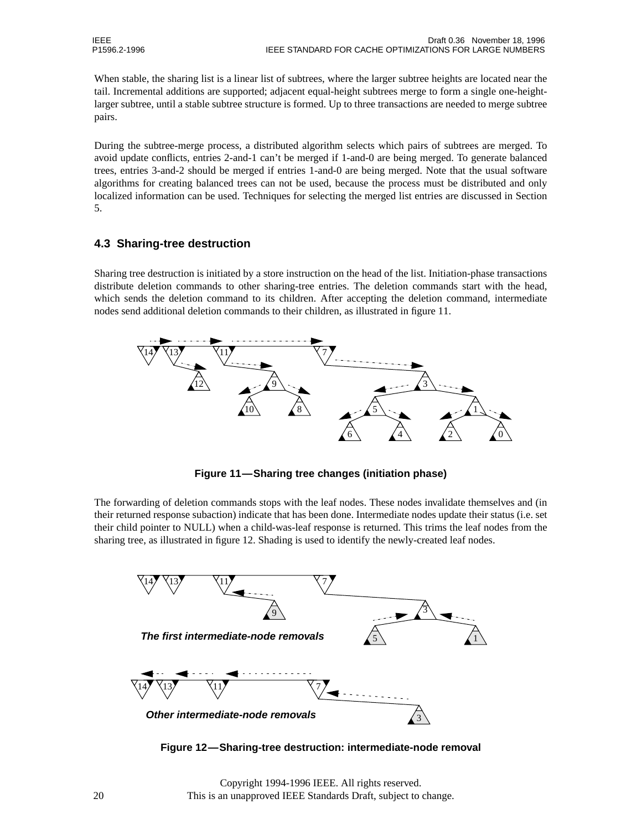When stable, the sharing list is a linear list of subtrees, where the larger subtree heights are located near the tail. Incremental additions are supported; adjacent equal-height subtrees merge to form a single one-heightlarger subtree, until a stable subtree structure is formed. Up to three transactions are needed to merge subtree pairs.

During the subtree-merge process, a distributed algorithm selects which pairs of subtrees are merged. To avoid update conflicts, entries 2-and-1 can't be merged if 1-and-0 are being merged. To generate balanced trees, entries 3-and-2 should be merged if entries 1-and-0 are being merged. Note that the usual software algorithms for creating balanced trees can not be used, because the process must be distributed and only localized information can be used. Techniques for selecting the merged list entries are discussed in Section 5.

#### **4.3 Sharing-tree destruction**

Sharing tree destruction is initiated by a store instruction on the head of the list. Initiation-phase transactions distribute deletion commands to other sharing-tree entries. The deletion commands start with the head, which sends the deletion command to its children. After accepting the deletion command, intermediate nodes send additional deletion commands to their children, as illustrated in figure 11.



**Figure 11—Sharing tree changes (initiation phase)**

The forwarding of deletion commands stops with the leaf nodes. These nodes invalidate themselves and (in their returned response subaction) indicate that has been done. Intermediate nodes update their status (i.e. set their child pointer to NULL) when a child-was-leaf response is returned. This trims the leaf nodes from the sharing tree, as illustrated in figure 12. Shading is used to identify the newly-created leaf nodes.



**Figure 12—Sharing-tree destruction: intermediate-node removal**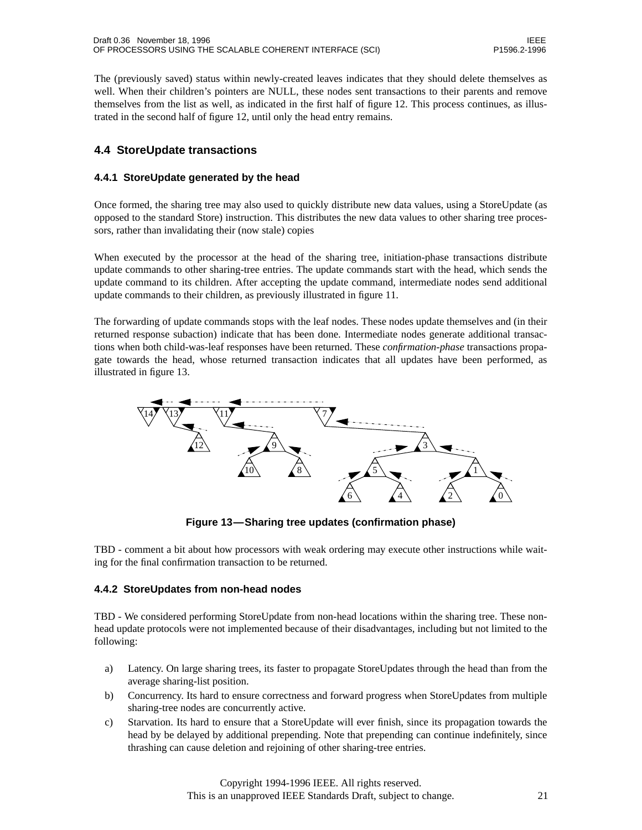The (previously saved) status within newly-created leaves indicates that they should delete themselves as well. When their children's pointers are NULL, these nodes sent transactions to their parents and remove themselves from the list as well, as indicated in the first half of figure 12. This process continues, as illustrated in the second half of figure 12, until only the head entry remains.

### **4.4 StoreUpdate transactions**

#### **4.4.1 StoreUpdate generated by the head**

Once formed, the sharing tree may also used to quickly distribute new data values, using a StoreUpdate (as opposed to the standard Store) instruction. This distributes the new data values to other sharing tree processors, rather than invalidating their (now stale) copies

When executed by the processor at the head of the sharing tree, initiation-phase transactions distribute update commands to other sharing-tree entries. The update commands start with the head, which sends the update command to its children. After accepting the update command, intermediate nodes send additional update commands to their children, as previously illustrated in figure 11.

The forwarding of update commands stops with the leaf nodes. These nodes update themselves and (in their returned response subaction) indicate that has been done. Intermediate nodes generate additional transactions when both child-was-leaf responses have been returned. These *confirmation-phase* transactions propagate towards the head, whose returned transaction indicates that all updates have been performed, as illustrated in figure 13.



**Figure 13—Sharing tree updates (confirmation phase)**

TBD - comment a bit about how processors with weak ordering may execute other instructions while waiting for the final confirmation transaction to be returned.

#### **4.4.2 StoreUpdates from non-head nodes**

TBD - We considered performing StoreUpdate from non-head locations within the sharing tree. These nonhead update protocols were not implemented because of their disadvantages, including but not limited to the following:

- a) Latency. On large sharing trees, its faster to propagate StoreUpdates through the head than from the average sharing-list position.
- b) Concurrency. Its hard to ensure correctness and forward progress when StoreUpdates from multiple sharing-tree nodes are concurrently active.
- c) Starvation. Its hard to ensure that a StoreUpdate will ever finish, since its propagation towards the head by be delayed by additional prepending. Note that prepending can continue indefinitely, since thrashing can cause deletion and rejoining of other sharing-tree entries.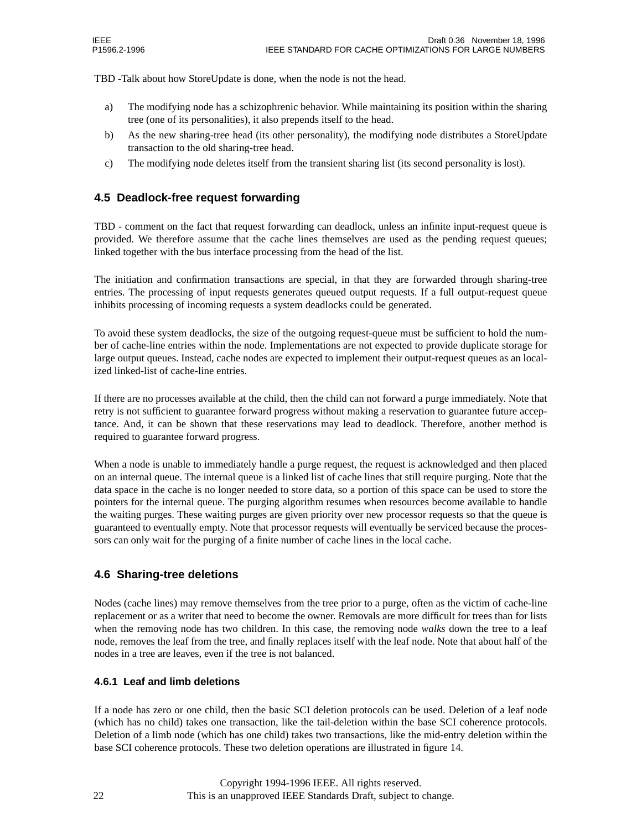TBD -Talk about how StoreUpdate is done, when the node is not the head.

- a) The modifying node has a schizophrenic behavior. While maintaining its position within the sharing tree (one of its personalities), it also prepends itself to the head.
- b) As the new sharing-tree head (its other personality), the modifying node distributes a StoreUpdate transaction to the old sharing-tree head.
- c) The modifying node deletes itself from the transient sharing list (its second personality is lost).

#### **4.5 Deadlock-free request forwarding**

TBD - comment on the fact that request forwarding can deadlock, unless an infinite input-request queue is provided. We therefore assume that the cache lines themselves are used as the pending request queues; linked together with the bus interface processing from the head of the list.

The initiation and confirmation transactions are special, in that they are forwarded through sharing-tree entries. The processing of input requests generates queued output requests. If a full output-request queue inhibits processing of incoming requests a system deadlocks could be generated.

To avoid these system deadlocks, the size of the outgoing request-queue must be sufficient to hold the number of cache-line entries within the node. Implementations are not expected to provide duplicate storage for large output queues. Instead, cache nodes are expected to implement their output-request queues as an localized linked-list of cache-line entries.

If there are no processes available at the child, then the child can not forward a purge immediately. Note that retry is not sufficient to guarantee forward progress without making a reservation to guarantee future acceptance. And, it can be shown that these reservations may lead to deadlock. Therefore, another method is required to guarantee forward progress.

When a node is unable to immediately handle a purge request, the request is acknowledged and then placed on an internal queue. The internal queue is a linked list of cache lines that still require purging. Note that the data space in the cache is no longer needed to store data, so a portion of this space can be used to store the pointers for the internal queue. The purging algorithm resumes when resources become available to handle the waiting purges. These waiting purges are given priority over new processor requests so that the queue is guaranteed to eventually empty. Note that processor requests will eventually be serviced because the processors can only wait for the purging of a finite number of cache lines in the local cache.

#### **4.6 Sharing-tree deletions**

Nodes (cache lines) may remove themselves from the tree prior to a purge, often as the victim of cache-line replacement or as a writer that need to become the owner. Removals are more difficult for trees than for lists when the removing node has two children. In this case, the removing node *walks* down the tree to a leaf node, removes the leaf from the tree, and finally replaces itself with the leaf node. Note that about half of the nodes in a tree are leaves, even if the tree is not balanced.

#### **4.6.1 Leaf and limb deletions**

If a node has zero or one child, then the basic SCI deletion protocols can be used. Deletion of a leaf node (which has no child) takes one transaction, like the tail-deletion within the base SCI coherence protocols. Deletion of a limb node (which has one child) takes two transactions, like the mid-entry deletion within the base SCI coherence protocols. These two deletion operations are illustrated in figure 14.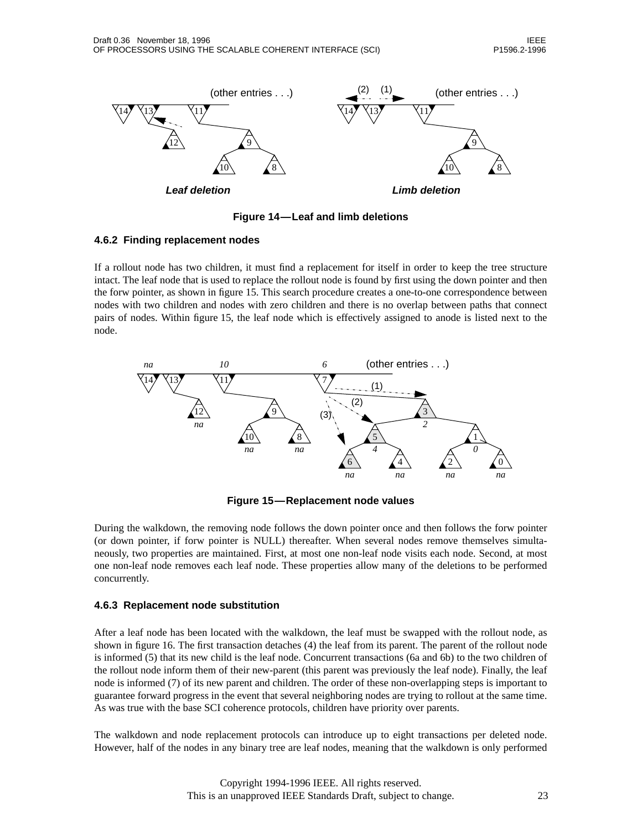

**Figure 14—Leaf and limb deletions**

#### **4.6.2 Finding replacement nodes**

If a rollout node has two children, it must find a replacement for itself in order to keep the tree structure intact. The leaf node that is used to replace the rollout node is found by first using the down pointer and then the forw pointer, as shown in figure 15. This search procedure creates a one-to-one correspondence between nodes with two children and nodes with zero children and there is no overlap between paths that connect pairs of nodes. Within figure 15, the leaf node which is effectively assigned to anode is listed next to the node.



**Figure 15—Replacement node values**

During the walkdown, the removing node follows the down pointer once and then follows the forw pointer (or down pointer, if forw pointer is NULL) thereafter. When several nodes remove themselves simultaneously, two properties are maintained. First, at most one non-leaf node visits each node. Second, at most one non-leaf node removes each leaf node. These properties allow many of the deletions to be performed concurrently.

#### **4.6.3 Replacement node substitution**

After a leaf node has been located with the walkdown, the leaf must be swapped with the rollout node, as shown in figure 16. The first transaction detaches (4) the leaf from its parent. The parent of the rollout node is informed (5) that its new child is the leaf node. Concurrent transactions (6a and 6b) to the two children of the rollout node inform them of their new-parent (this parent was previously the leaf node). Finally, the leaf node is informed (7) of its new parent and children. The order of these non-overlapping steps is important to guarantee forward progress in the event that several neighboring nodes are trying to rollout at the same time. As was true with the base SCI coherence protocols, children have priority over parents.

The walkdown and node replacement protocols can introduce up to eight transactions per deleted node. However, half of the nodes in any binary tree are leaf nodes, meaning that the walkdown is only performed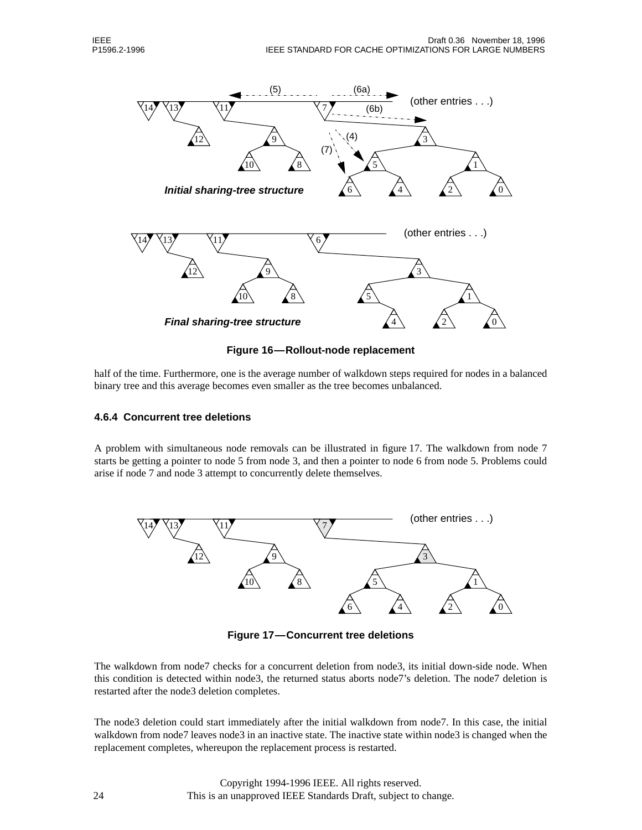

**Figure 16—Rollout-node replacement**

half of the time. Furthermore, one is the average number of walkdown steps required for nodes in a balanced binary tree and this average becomes even smaller as the tree becomes unbalanced.

#### **4.6.4 Concurrent tree deletions**

A problem with simultaneous node removals can be illustrated in figure 17. The walkdown from node 7 starts be getting a pointer to node 5 from node 3, and then a pointer to node 6 from node 5. Problems could arise if node 7 and node 3 attempt to concurrently delete themselves.



**Figure 17—Concurrent tree deletions**

The walkdown from node7 checks for a concurrent deletion from node3, its initial down-side node. When this condition is detected within node3, the returned status aborts node7's deletion. The node7 deletion is restarted after the node3 deletion completes.

The node3 deletion could start immediately after the initial walkdown from node7. In this case, the initial walkdown from node7 leaves node3 in an inactive state. The inactive state within node3 is changed when the replacement completes, whereupon the replacement process is restarted.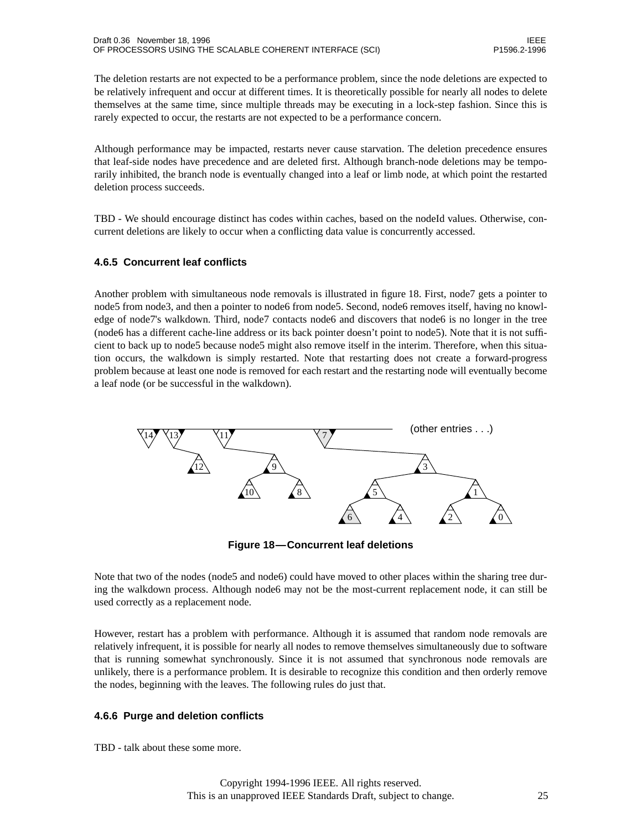The deletion restarts are not expected to be a performance problem, since the node deletions are expected to be relatively infrequent and occur at different times. It is theoretically possible for nearly all nodes to delete themselves at the same time, since multiple threads may be executing in a lock-step fashion. Since this is rarely expected to occur, the restarts are not expected to be a performance concern.

Although performance may be impacted, restarts never cause starvation. The deletion precedence ensures that leaf-side nodes have precedence and are deleted first. Although branch-node deletions may be temporarily inhibited, the branch node is eventually changed into a leaf or limb node, at which point the restarted deletion process succeeds.

TBD - We should encourage distinct has codes within caches, based on the nodeId values. Otherwise, concurrent deletions are likely to occur when a conflicting data value is concurrently accessed.

#### **4.6.5 Concurrent leaf conflicts**

Another problem with simultaneous node removals is illustrated in figure 18. First, node7 gets a pointer to node5 from node3, and then a pointer to node6 from node5. Second, node6 removes itself, having no knowledge of node7's walkdown. Third, node7 contacts node6 and discovers that node6 is no longer in the tree (node6 has a different cache-line address or its back pointer doesn't point to node5). Note that it is not sufficient to back up to node5 because node5 might also remove itself in the interim. Therefore, when this situation occurs, the walkdown is simply restarted. Note that restarting does not create a forward-progress problem because at least one node is removed for each restart and the restarting node will eventually become a leaf node (or be successful in the walkdown).



**Figure 18—Concurrent leaf deletions**

Note that two of the nodes (node5 and node6) could have moved to other places within the sharing tree during the walkdown process. Although node6 may not be the most-current replacement node, it can still be used correctly as a replacement node.

However, restart has a problem with performance. Although it is assumed that random node removals are relatively infrequent, it is possible for nearly all nodes to remove themselves simultaneously due to software that is running somewhat synchronously. Since it is not assumed that synchronous node removals are unlikely, there is a performance problem. It is desirable to recognize this condition and then orderly remove the nodes, beginning with the leaves. The following rules do just that.

#### **4.6.6 Purge and deletion conflicts**

TBD - talk about these some more.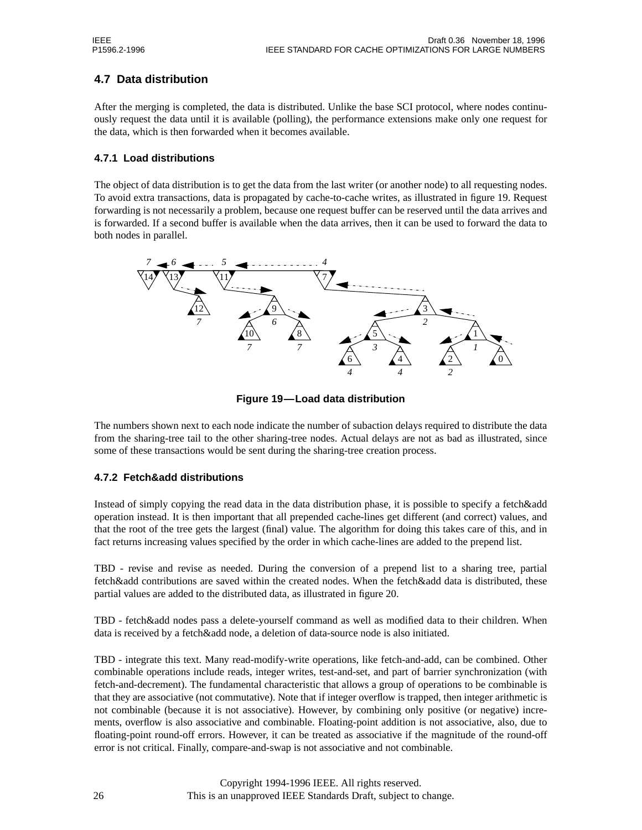# **4.7 Data distribution**

After the merging is completed, the data is distributed. Unlike the base SCI protocol, where nodes continuously request the data until it is available (polling), the performance extensions make only one request for the data, which is then forwarded when it becomes available.

### **4.7.1 Load distributions**

The object of data distribution is to get the data from the last writer (or another node) to all requesting nodes. To avoid extra transactions, data is propagated by cache-to-cache writes, as illustrated in figure 19. Request forwarding is not necessarily a problem, because one request buffer can be reserved until the data arrives and is forwarded. If a second buffer is available when the data arrives, then it can be used to forward the data to both nodes in parallel.



**Figure 19—Load data distribution**

The numbers shown next to each node indicate the number of subaction delays required to distribute the data from the sharing-tree tail to the other sharing-tree nodes. Actual delays are not as bad as illustrated, since some of these transactions would be sent during the sharing-tree creation process.

# **4.7.2 Fetch&add distributions**

Instead of simply copying the read data in the data distribution phase, it is possible to specify a fetch&add operation instead. It is then important that all prepended cache-lines get different (and correct) values, and that the root of the tree gets the largest (final) value. The algorithm for doing this takes care of this, and in fact returns increasing values specified by the order in which cache-lines are added to the prepend list.

TBD - revise and revise as needed. During the conversion of a prepend list to a sharing tree, partial fetch&add contributions are saved within the created nodes. When the fetch&add data is distributed, these partial values are added to the distributed data, as illustrated in figure 20.

TBD - fetch&add nodes pass a delete-yourself command as well as modified data to their children. When data is received by a fetch&add node, a deletion of data-source node is also initiated.

TBD - integrate this text. Many read-modify-write operations, like fetch-and-add, can be combined. Other combinable operations include reads, integer writes, test-and-set, and part of barrier synchronization (with fetch-and-decrement). The fundamental characteristic that allows a group of operations to be combinable is that they are associative (not commutative). Note that if integer overflow is trapped, then integer arithmetic is not combinable (because it is not associative). However, by combining only positive (or negative) increments, overflow is also associative and combinable. Floating-point addition is not associative, also, due to floating-point round-off errors. However, it can be treated as associative if the magnitude of the round-off error is not critical. Finally, compare-and-swap is not associative and not combinable.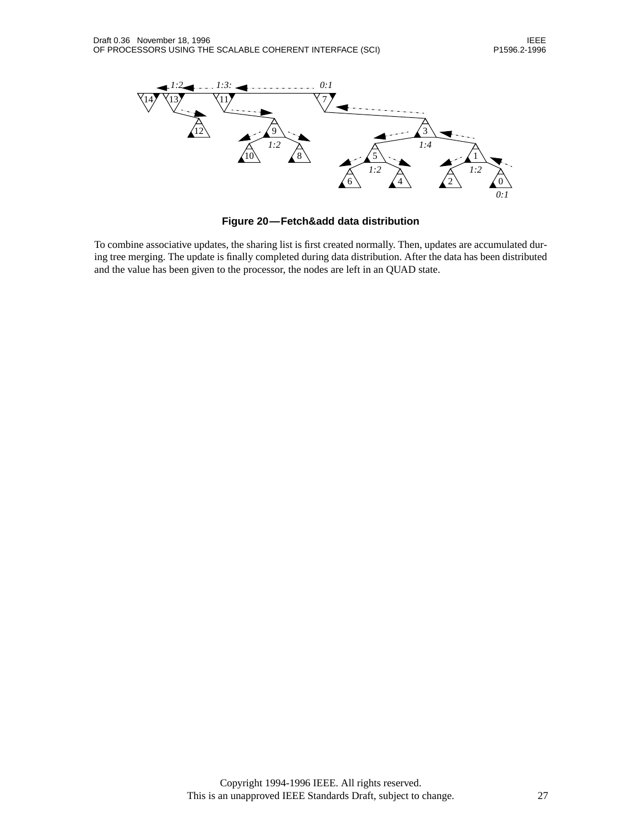

**Figure 20—Fetch&add data distribution**

To combine associative updates, the sharing list is first created normally. Then, updates are accumulated during tree merging. The update is finally completed during data distribution. After the data has been distributed and the value has been given to the processor, the nodes are left in an QUAD state.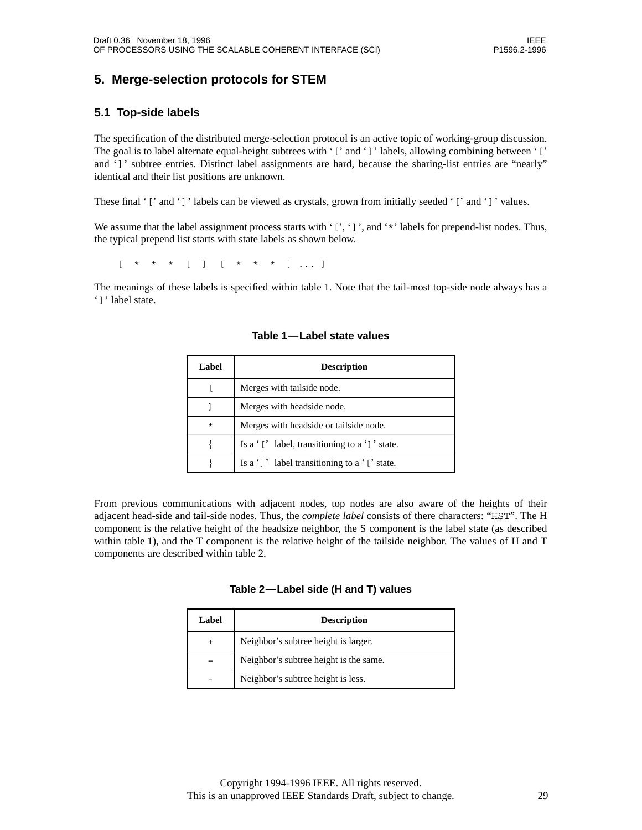# **5. Merge-selection protocols for STEM**

### **5.1 Top-side labels**

The specification of the distributed merge-selection protocol is an active topic of working-group discussion. The goal is to label alternate equal-height subtrees with '[' and ']' labels, allowing combining between '[' and ']' subtree entries. Distinct label assignments are hard, because the sharing-list entries are "nearly" identical and their list positions are unknown.

These final '[' and ']' labels can be viewed as crystals, grown from initially seeded '[' and ']' values.

We assume that the label assignment process starts with '[', ']', and '\*' labels for prepend-list nodes. Thus, the typical prepend list starts with state labels as shown below.

 $[ * * * * [ ] [ * * * * ] ... ]$ 

The meanings of these labels is specified within table 1. Note that the tail-most top-side node always has a ']' label state.

| Label   | <b>Description</b>                               |  |
|---------|--------------------------------------------------|--|
|         | Merges with tailside node.                       |  |
|         | Merges with headside node.                       |  |
| $\star$ | Merges with headside or tailside node.           |  |
|         | Is a $'$ [' label, transitioning to a ']' state. |  |
|         | Is a ']' label transitioning to a '[' state.     |  |

#### **Table 1—Label state values**

From previous communications with adjacent nodes, top nodes are also aware of the heights of their adjacent head-side and tail-side nodes. Thus, the *complete label* consists of there characters: "HST". The H component is the relative height of the headsize neighbor, the S component is the label state (as described within table 1), and the T component is the relative height of the tailside neighbor. The values of H and T components are described within table 2.

| Table 2—Label side (H and T) values |  |  |
|-------------------------------------|--|--|
|-------------------------------------|--|--|

| Label | <b>Description</b>                     |
|-------|----------------------------------------|
|       | Neighbor's subtree height is larger.   |
|       | Neighbor's subtree height is the same. |
|       | Neighbor's subtree height is less.     |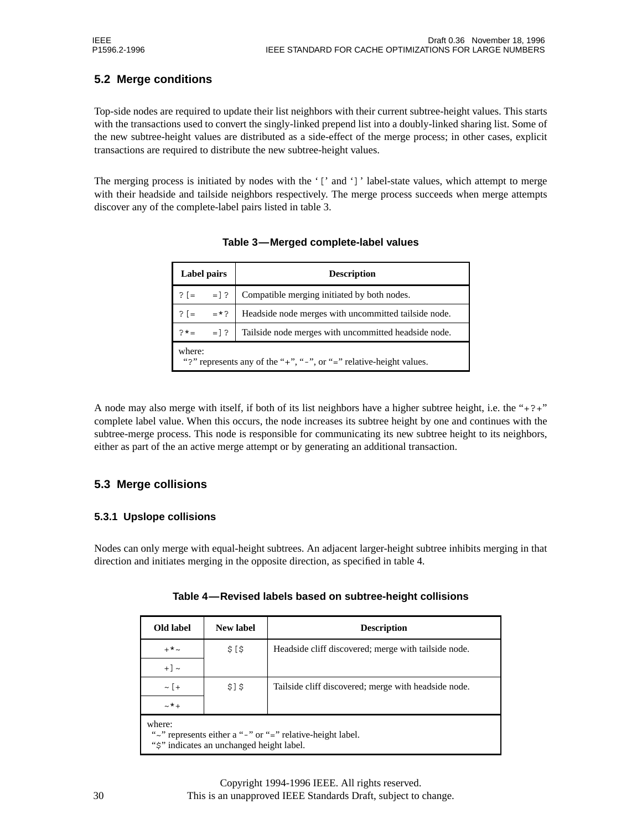# **5.2 Merge conditions**

Top-side nodes are required to update their list neighbors with their current subtree-height values. This starts with the transactions used to convert the singly-linked prepend list into a doubly-linked sharing list. Some of the new subtree-height values are distributed as a side-effect of the merge process; in other cases, explicit transactions are required to distribute the new subtree-height values.

The merging process is initiated by nodes with the '[' and ']' label-state values, which attempt to merge with their headside and tailside neighbors respectively. The merge process succeeds when merge attempts discover any of the complete-label pairs listed in table 3.

| Label pairs                                                                  |              | <b>Description</b>                                   |  |  |
|------------------------------------------------------------------------------|--------------|------------------------------------------------------|--|--|
| $? = =$ = 1?                                                                 |              | Compatible merging initiated by both nodes.          |  |  |
| $?$ $=$                                                                      | $= * ?$      | Headside node merges with uncommitted tailside node. |  |  |
|                                                                              | $?* =$ =   ? | Tailside node merges with uncommitted headside node. |  |  |
| where:<br>"?" represents any of the "+", "-", or "=" relative-height values. |              |                                                      |  |  |

# **Table 3—Merged complete-label values**

A node may also merge with itself, if both of its list neighbors have a higher subtree height, i.e. the "+?+" complete label value. When this occurs, the node increases its subtree height by one and continues with the subtree-merge process. This node is responsible for communicating its new subtree height to its neighbors, either as part of the an active merge attempt or by generating an additional transaction.

# **5.3 Merge collisions**

# **5.3.1 Upslope collisions**

Nodes can only merge with equal-height subtrees. An adjacent larger-height subtree inhibits merging in that direction and initiates merging in the opposite direction, as specified in table 4.

| Old label                                                                                                        | <b>New label</b> | <b>Description</b>                                   |
|------------------------------------------------------------------------------------------------------------------|------------------|------------------------------------------------------|
| $+$ *~                                                                                                           | \$55             | Headside cliff discovered; merge with tailside node. |
| $+$ ] ~                                                                                                          |                  |                                                      |
| $\sim$ [+                                                                                                        | $$]$ \$          | Tailside cliff discovered; merge with headside node. |
| $\sim \star +$                                                                                                   |                  |                                                      |
| where:<br>"~" represents either a "-" or "=" relative-height label.<br>"\$" indicates an unchanged height label. |                  |                                                      |

### **Table 4—Revised labels based on subtree-height collisions**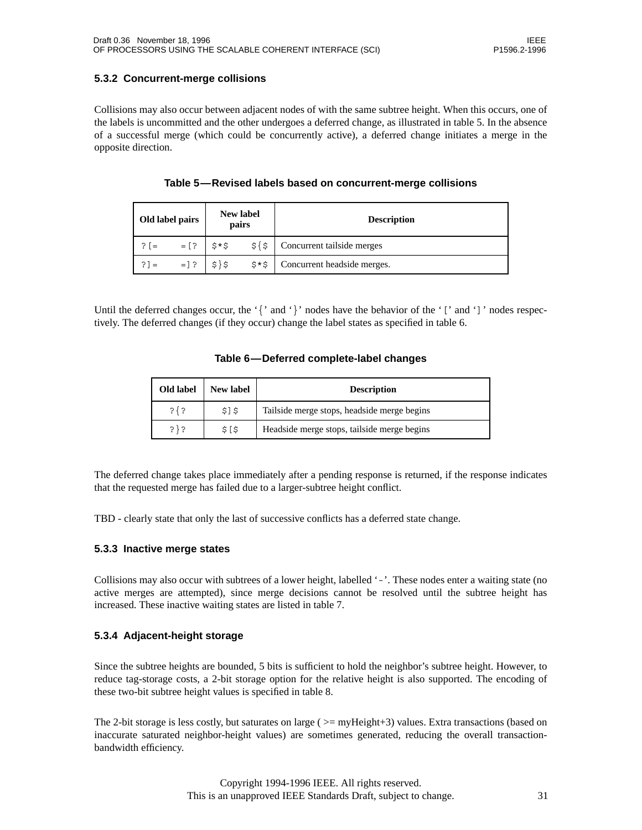#### **5.3.2 Concurrent-merge collisions**

Collisions may also occur between adjacent nodes of with the same subtree height. When this occurs, one of the labels is uncommitted and the other undergoes a deferred change, as illustrated in table 5. In the absence of a successful merge (which could be concurrently active), a deferred change initiates a merge in the opposite direction.

|  |  | Table 5-Revised labels based on concurrent-merge collisions |  |
|--|--|-------------------------------------------------------------|--|
|--|--|-------------------------------------------------------------|--|

| Old label pairs |         | <b>New label</b> | pairs   | <b>Description</b>                                     |
|-----------------|---------|------------------|---------|--------------------------------------------------------|
| $?$ $=$         | $= [ ?$ | \$*\$            |         | $\frac{1}{2}$ $\frac{1}{2}$ Concurrent tailside merges |
| $? =$           | $=$ 3.  | $5$ } \$         | $5 * 5$ | Concurrent headside merges.                            |

Until the deferred changes occur, the '{' and '}' nodes have the behavior of the '[' and ']' nodes respectively. The deferred changes (if they occur) change the label states as specified in table 6.

#### **Table 6—Deferred complete-label changes**

| Old label | <b>New label</b> | <b>Description</b>                          |
|-----------|------------------|---------------------------------------------|
| $?$ { ?   | \$15             | Tailside merge stops, headside merge begins |
| $?$ } ?   | \$15             | Headside merge stops, tailside merge begins |

The deferred change takes place immediately after a pending response is returned, if the response indicates that the requested merge has failed due to a larger-subtree height conflict.

TBD - clearly state that only the last of successive conflicts has a deferred state change.

#### **5.3.3 Inactive merge states**

Collisions may also occur with subtrees of a lower height, labelled '-'. These nodes enter a waiting state (no active merges are attempted), since merge decisions cannot be resolved until the subtree height has increased. These inactive waiting states are listed in table 7.

### **5.3.4 Adjacent-height storage**

Since the subtree heights are bounded, 5 bits is sufficient to hold the neighbor's subtree height. However, to reduce tag-storage costs, a 2-bit storage option for the relative height is also supported. The encoding of these two-bit subtree height values is specified in table 8.

The 2-bit storage is less costly, but saturates on large ( $>=$  myHeight+3) values. Extra transactions (based on inaccurate saturated neighbor-height values) are sometimes generated, reducing the overall transactionbandwidth efficiency.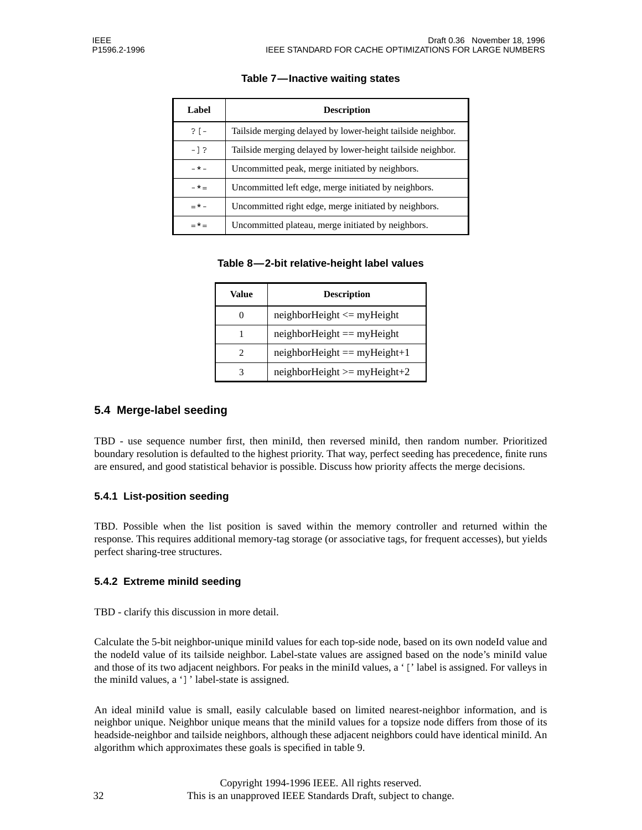### **Table 7—Inactive waiting states**

| Label     | <b>Description</b>                                          |
|-----------|-------------------------------------------------------------|
| $?$ [ -   | Tailside merging delayed by lower-height tailside neighbor. |
| $-1?$     | Tailside merging delayed by lower-height tailside neighbor. |
| $ +$ $-$  | Uncommitted peak, merge initiated by neighbors.             |
| $-$ * $=$ | Uncommitted left edge, merge initiated by neighbors.        |
| $-$ * $-$ | Uncommitted right edge, merge initiated by neighbors.       |
| $-$ * $-$ | Uncommitted plateau, merge initiated by neighbors.          |

### **Table 8—2-bit relative-height label values**

| Value | <b>Description</b>              |
|-------|---------------------------------|
|       | $neighborHeight \leq myHeight$  |
|       | $neighborHeight == myHeight$    |
|       | $neighborHeight == myHeight +1$ |
|       | $neighborHeight >= myHeight +2$ |

## **5.4 Merge-label seeding**

TBD - use sequence number first, then miniId, then reversed miniId, then random number. Prioritized boundary resolution is defaulted to the highest priority. That way, perfect seeding has precedence, finite runs are ensured, and good statistical behavior is possible. Discuss how priority affects the merge decisions.

### **5.4.1 List-position seeding**

TBD. Possible when the list position is saved within the memory controller and returned within the response. This requires additional memory-tag storage (or associative tags, for frequent accesses), but yields perfect sharing-tree structures.

### **5.4.2 Extreme miniId seeding**

TBD - clarify this discussion in more detail.

Calculate the 5-bit neighbor-unique miniId values for each top-side node, based on its own nodeId value and the nodeId value of its tailside neighbor. Label-state values are assigned based on the node's miniId value and those of its two adjacent neighbors. For peaks in the miniId values, a '[' label is assigned. For valleys in the miniId values, a ']' label-state is assigned.

An ideal miniId value is small, easily calculable based on limited nearest-neighbor information, and is neighbor unique. Neighbor unique means that the miniId values for a topsize node differs from those of its headside-neighbor and tailside neighbors, although these adjacent neighbors could have identical miniId. An algorithm which approximates these goals is specified in table 9.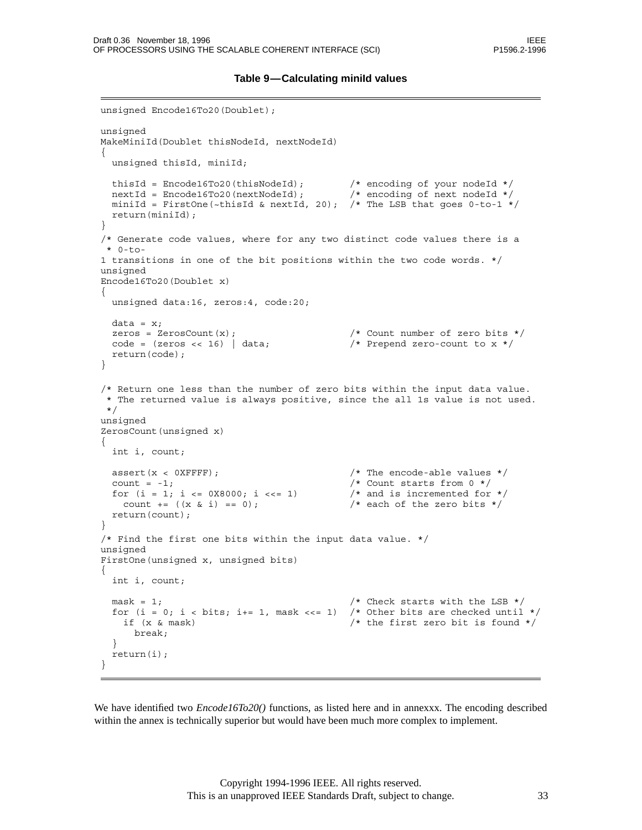#### **Table 9—Calculating miniId values**

```
unsigned Encode16To20(Doublet);
unsigned
MakeMiniId(Doublet thisNodeId, nextNodeId)
{
 unsigned thisId, miniId;
  thisId = Encode16To20(thisNodeId); \qquad /* encoding of your nodeId */
  nextId = Encode16To20(nextNodeId); /* encoding of next nodeId */
  <code>miniId = FirstOne(~thisId & nextId, 20); /* The LSB that goes 0-to-1 */</code>
 return(miniId);
}
/* Generate code values, where for any two distinct code values there is a
* 0-to-
1 transitions in one of the bit positions within the two code words. */
unsigned
Encode16To20(Doublet x)
{
 unsigned data:16, zeros:4, code:20;
 data = x;zeros = ZerosCount(x); \frac{1}{x} /* Count number of zero bits */
  \text{code} = (\text{zeros} \ltimes 16) | \text{data}; /* Prepend zero-count to x */
 return(code);
}
/* Return one less than the number of zero bits within the input data value.
 * The returned value is always positive, since the all 1s value is not used.
*/
unsigned
ZerosCount(unsigned x)
{
 int i, count;
 assert(x < 0XFFFF); \frac{1}{x} The encode-able values \frac{x}{x}count = -1;<br>
for (i = 1; i <= 0X8000; i <<= 1) \qquad /* Count starts from 0 */<br>
for (i = 1; i <= 0X8000; i <<= 1) \qquad /* and is incremented for */
  for (i = 1; i \le 0X8000; i \le 1)count += ((x \& i) == 0); /* each of the zero bits */return(count);
}
/* Find the first one bits within the input data value. */
unsigned
FirstOne(unsigned x, unsigned bits)
{
  int i, count;
 mask = 1; \frac{1}{2} /* Check starts with the LSB \frac{x}{2}for (i = 0; i < bits; i+= 1, mask <<= 1) /* Other bits are checked until */
   if (x & mask) /* the first zero bit is found */
     break;
  }
  return(i);
}
```
We have identified two *Encode16To20()* functions, as listed here and in annexxx. The encoding described within the annex is technically superior but would have been much more complex to implement.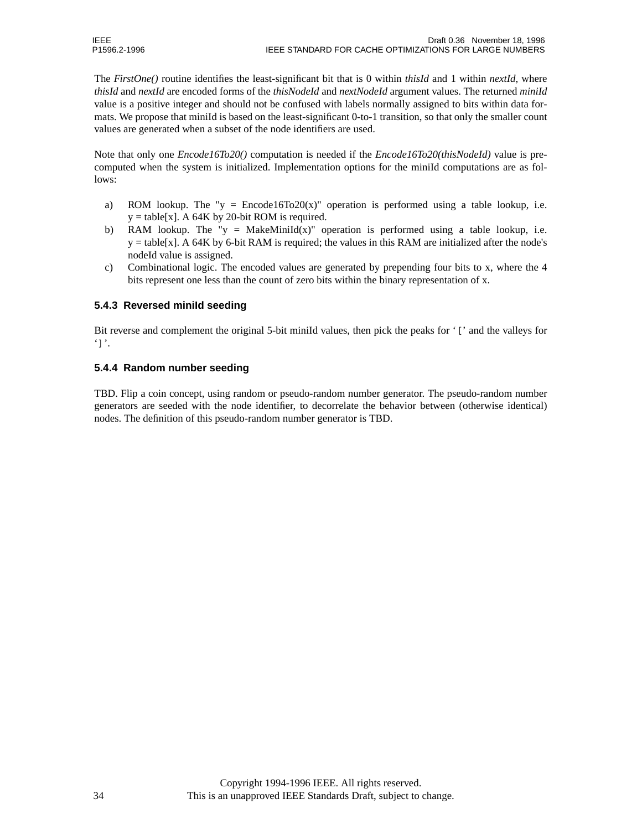The *FirstOne()* routine identifies the least-significant bit that is 0 within *thisId* and 1 within *nextId*, where *thisId* and *nextId* are encoded forms of the *thisNodeId* and *nextNodeId* argument values. The returned *miniId* value is a positive integer and should not be confused with labels normally assigned to bits within data formats. We propose that miniId is based on the least-significant 0-to-1 transition, so that only the smaller count values are generated when a subset of the node identifiers are used.

Note that only one *Encode16To20()* computation is needed if the *Encode16To20(thisNodeId)* value is precomputed when the system is initialized. Implementation options for the miniId computations are as follows:

- a) ROM lookup. The "y = Encode16To20(x)" operation is performed using a table lookup, i.e.  $y =$  table[x]. A 64K by 20-bit ROM is required.
- b) RAM lookup. The "y = MakeMiniId(x)" operation is performed using a table lookup, i.e. y = table[x]. A 64K by 6-bit RAM is required; the values in this RAM are initialized after the node's nodeId value is assigned.
- c) Combinational logic. The encoded values are generated by prepending four bits to x, where the 4 bits represent one less than the count of zero bits within the binary representation of x.

### **5.4.3 Reversed miniId seeding**

Bit reverse and complement the original 5-bit miniId values, then pick the peaks for '[' and the valleys for ']'.

#### **5.4.4 Random number seeding**

TBD. Flip a coin concept, using random or pseudo-random number generator. The pseudo-random number generators are seeded with the node identifier, to decorrelate the behavior between (otherwise identical) nodes. The definition of this pseudo-random number generator is TBD.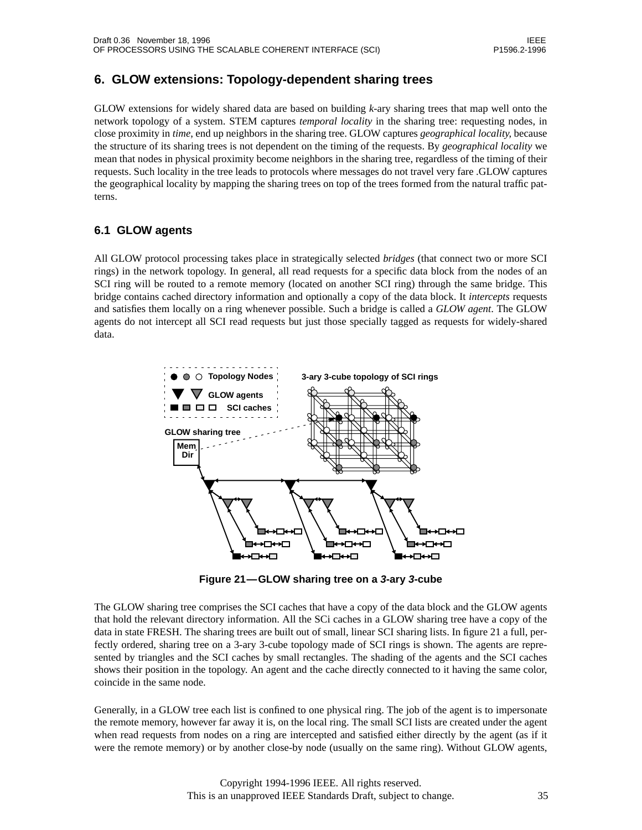# **6. GLOW extensions: Topology-dependent sharing trees**

GLOW extensions for widely shared data are based on building *k*-ary sharing trees that map well onto the network topology of a system. STEM captures *temporal locality* in the sharing tree: requesting nodes, in close proximity in *time*, end up neighbors in the sharing tree. GLOW captures *geographical locality*, because the structure of its sharing trees is not dependent on the timing of the requests. By *geographical locality* we mean that nodes in physical proximity become neighbors in the sharing tree, regardless of the timing of their requests. Such locality in the tree leads to protocols where messages do not travel very fare .GLOW captures the geographical locality by mapping the sharing trees on top of the trees formed from the natural traffic patterns.

# **6.1 GLOW agents**

All GLOW protocol processing takes place in strategically selected *bridges* (that connect two or more SCI rings) in the network topology. In general, all read requests for a specific data block from the nodes of an SCI ring will be routed to a remote memory (located on another SCI ring) through the same bridge. This bridge contains cached directory information and optionally a copy of the data block. It *intercepts* requests and satisfies them locally on a ring whenever possible. Such a bridge is called a *GLOW agent*. The GLOW agents do not intercept all SCI read requests but just those specially tagged as requests for widely-shared data.



**Figure 21—GLOW sharing tree on a** *3***-ary** *3***-cube**

The GLOW sharing tree comprises the SCI caches that have a copy of the data block and the GLOW agents that hold the relevant directory information. All the SCi caches in a GLOW sharing tree have a copy of the data in state FRESH. The sharing trees are built out of small, linear SCI sharing lists. In figure 21 a full, perfectly ordered, sharing tree on a 3-ary 3-cube topology made of SCI rings is shown. The agents are represented by triangles and the SCI caches by small rectangles. The shading of the agents and the SCI caches shows their position in the topology. An agent and the cache directly connected to it having the same color, coincide in the same node.

Generally, in a GLOW tree each list is confined to one physical ring. The job of the agent is to impersonate the remote memory, however far away it is, on the local ring. The small SCI lists are created under the agent when read requests from nodes on a ring are intercepted and satisfied either directly by the agent (as if it were the remote memory) or by another close-by node (usually on the same ring). Without GLOW agents,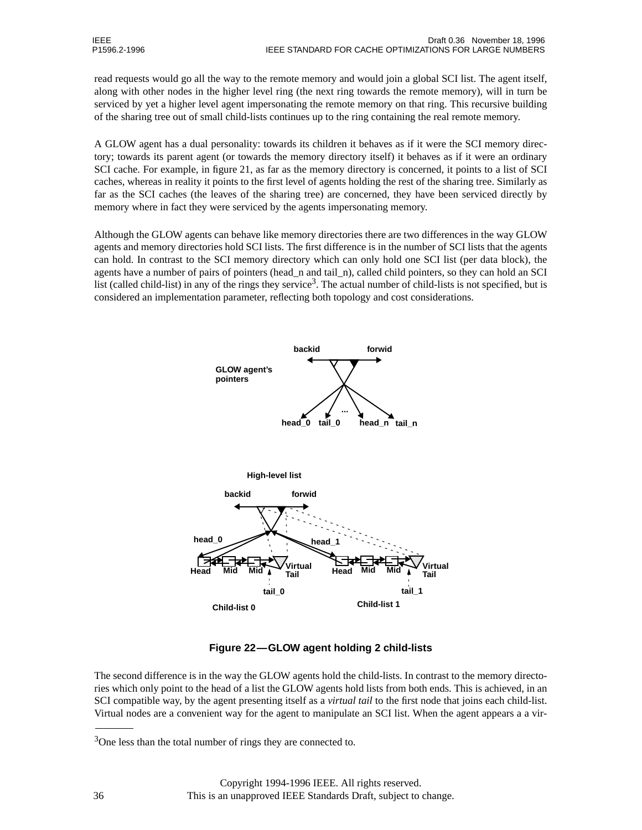read requests would go all the way to the remote memory and would join a global SCI list. The agent itself, along with other nodes in the higher level ring (the next ring towards the remote memory), will in turn be serviced by yet a higher level agent impersonating the remote memory on that ring. This recursive building of the sharing tree out of small child-lists continues up to the ring containing the real remote memory.

A GLOW agent has a dual personality: towards its children it behaves as if it were the SCI memory directory; towards its parent agent (or towards the memory directory itself) it behaves as if it were an ordinary SCI cache. For example, in figure 21, as far as the memory directory is concerned, it points to a list of SCI caches, whereas in reality it points to the first level of agents holding the rest of the sharing tree. Similarly as far as the SCI caches (the leaves of the sharing tree) are concerned, they have been serviced directly by memory where in fact they were serviced by the agents impersonating memory.

Although the GLOW agents can behave like memory directories there are two differences in the way GLOW agents and memory directories hold SCI lists. The first difference is in the number of SCI lists that the agents can hold. In contrast to the SCI memory directory which can only hold one SCI list (per data block), the agents have a number of pairs of pointers (head\_n and tail\_n), called child pointers, so they can hold an SCI list (called child-list) in any of the rings they service<sup>3</sup>. The actual number of child-lists is not specified, but is considered an implementation parameter, reflecting both topology and cost considerations.



**Figure 22—GLOW agent holding 2 child-lists**

The second difference is in the way the GLOW agents hold the child-lists. In contrast to the memory directories which only point to the head of a list the GLOW agents hold lists from both ends. This is achieved, in an SCI compatible way, by the agent presenting itself as a *virtual tail* to the first node that joins each child-list. Virtual nodes are a convenient way for the agent to manipulate an SCI list. When the agent appears a a vir-

<sup>&</sup>lt;sup>3</sup>One less than the total number of rings they are connected to.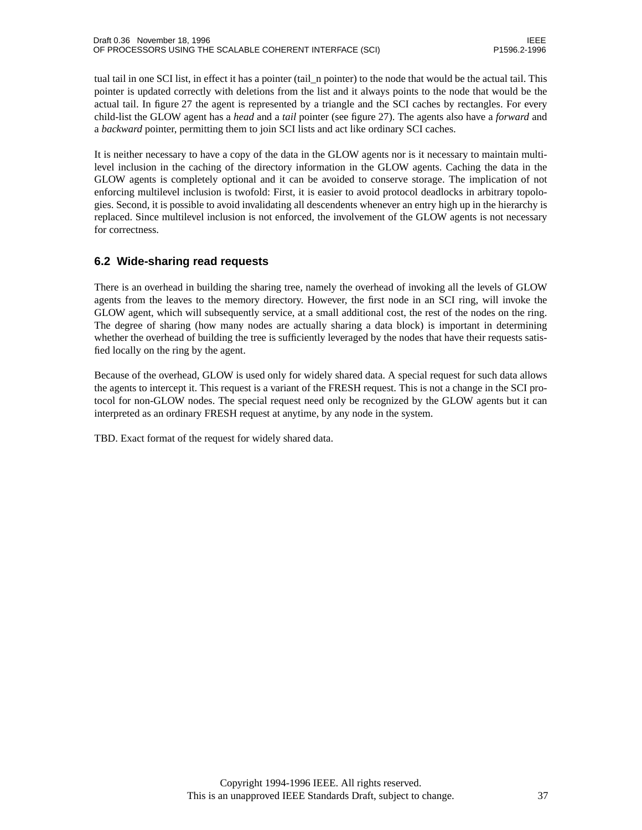tual tail in one SCI list, in effect it has a pointer (tail\_n pointer) to the node that would be the actual tail. This pointer is updated correctly with deletions from the list and it always points to the node that would be the actual tail. In figure 27 the agent is represented by a triangle and the SCI caches by rectangles. For every child-list the GLOW agent has a *head* and a *tail* pointer (see figure 27). The agents also have a *forward* and a *backward* pointer, permitting them to join SCI lists and act like ordinary SCI caches.

It is neither necessary to have a copy of the data in the GLOW agents nor is it necessary to maintain multilevel inclusion in the caching of the directory information in the GLOW agents. Caching the data in the GLOW agents is completely optional and it can be avoided to conserve storage. The implication of not enforcing multilevel inclusion is twofold: First, it is easier to avoid protocol deadlocks in arbitrary topologies. Second, it is possible to avoid invalidating all descendents whenever an entry high up in the hierarchy is replaced. Since multilevel inclusion is not enforced, the involvement of the GLOW agents is not necessary for correctness.

# **6.2 Wide-sharing read requests**

There is an overhead in building the sharing tree, namely the overhead of invoking all the levels of GLOW agents from the leaves to the memory directory. However, the first node in an SCI ring, will invoke the GLOW agent, which will subsequently service, at a small additional cost, the rest of the nodes on the ring. The degree of sharing (how many nodes are actually sharing a data block) is important in determining whether the overhead of building the tree is sufficiently leveraged by the nodes that have their requests satisfied locally on the ring by the agent.

Because of the overhead, GLOW is used only for widely shared data. A special request for such data allows the agents to intercept it. This request is a variant of the FRESH request. This is not a change in the SCI protocol for non-GLOW nodes. The special request need only be recognized by the GLOW agents but it can interpreted as an ordinary FRESH request at anytime, by any node in the system.

TBD. Exact format of the request for widely shared data.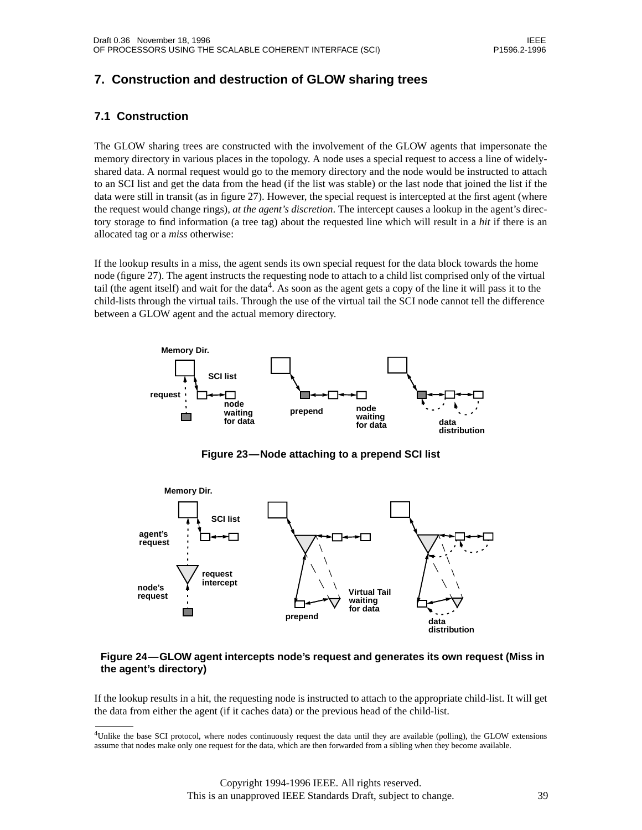# **7. Construction and destruction of GLOW sharing trees**

# **7.1 Construction**

The GLOW sharing trees are constructed with the involvement of the GLOW agents that impersonate the memory directory in various places in the topology. A node uses a special request to access a line of widelyshared data. A normal request would go to the memory directory and the node would be instructed to attach to an SCI list and get the data from the head (if the list was stable) or the last node that joined the list if the data were still in transit (as in figure 27). However, the special request is intercepted at the first agent (where the request would change rings), *at the agent's discretion*. The intercept causes a lookup in the agent's directory storage to find information (a tree tag) about the requested line which will result in a *hit* if there is an allocated tag or a *miss* otherwise:

If the lookup results in a miss, the agent sends its own special request for the data block towards the home node (figure 27). The agent instructs the requesting node to attach to a child list comprised only of the virtual tail (the agent itself) and wait for the data<sup>4</sup>. As soon as the agent gets a copy of the line it will pass it to the child-lists through the virtual tails. Through the use of the virtual tail the SCI node cannot tell the difference between a GLOW agent and the actual memory directory.



**Figure 23—Node attaching to a prepend SCI list**



#### **Figure 24—GLOW agent intercepts node's request and generates its own request (Miss in the agent's directory)**

If the lookup results in a hit, the requesting node is instructed to attach to the appropriate child-list. It will get the data from either the agent (if it caches data) or the previous head of the child-list.

<sup>4</sup> Unlike the base SCI protocol, where nodes continuously request the data until they are available (polling), the GLOW extensions assume that nodes make only one request for the data, which are then forwarded from a sibling when they become available.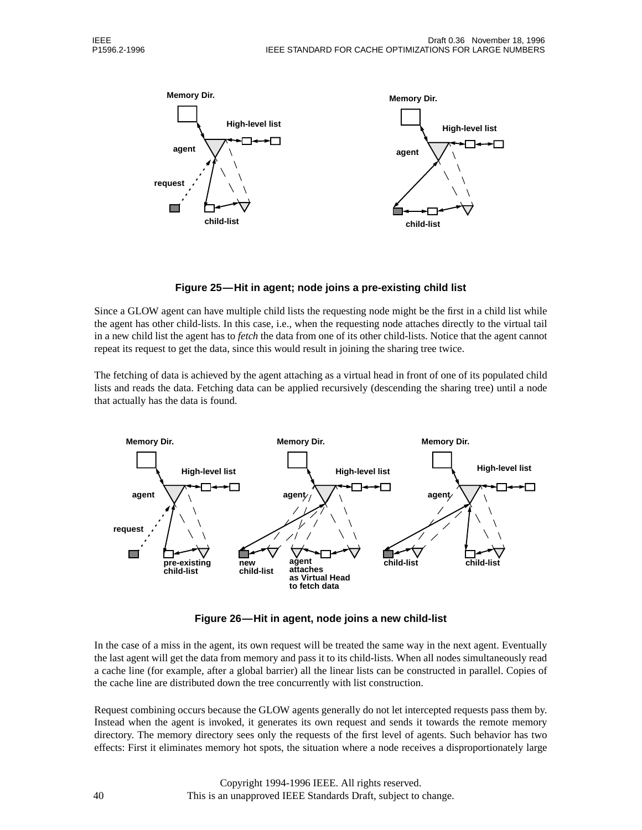

### **Figure 25—Hit in agent; node joins a pre-existing child list**

Since a GLOW agent can have multiple child lists the requesting node might be the first in a child list while the agent has other child-lists. In this case, i.e., when the requesting node attaches directly to the virtual tail in a new child list the agent has to *fetch* the data from one of its other child-lists. Notice that the agent cannot repeat its request to get the data, since this would result in joining the sharing tree twice.

The fetching of data is achieved by the agent attaching as a virtual head in front of one of its populated child lists and reads the data. Fetching data can be applied recursively (descending the sharing tree) until a node that actually has the data is found.



**Figure 26—Hit in agent, node joins a new child-list**

In the case of a miss in the agent, its own request will be treated the same way in the next agent. Eventually the last agent will get the data from memory and pass it to its child-lists. When all nodes simultaneously read a cache line (for example, after a global barrier) all the linear lists can be constructed in parallel. Copies of the cache line are distributed down the tree concurrently with list construction.

Request combining occurs because the GLOW agents generally do not let intercepted requests pass them by. Instead when the agent is invoked, it generates its own request and sends it towards the remote memory directory. The memory directory sees only the requests of the first level of agents. Such behavior has two effects: First it eliminates memory hot spots, the situation where a node receives a disproportionately large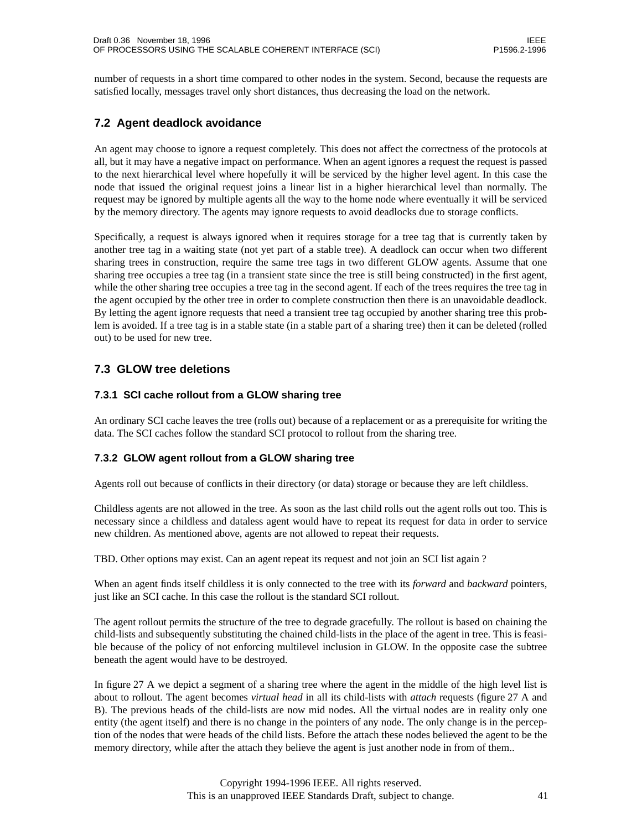number of requests in a short time compared to other nodes in the system. Second, because the requests are satisfied locally, messages travel only short distances, thus decreasing the load on the network.

# **7.2 Agent deadlock avoidance**

An agent may choose to ignore a request completely. This does not affect the correctness of the protocols at all, but it may have a negative impact on performance. When an agent ignores a request the request is passed to the next hierarchical level where hopefully it will be serviced by the higher level agent. In this case the node that issued the original request joins a linear list in a higher hierarchical level than normally. The request may be ignored by multiple agents all the way to the home node where eventually it will be serviced by the memory directory. The agents may ignore requests to avoid deadlocks due to storage conflicts.

Specifically, a request is always ignored when it requires storage for a tree tag that is currently taken by another tree tag in a waiting state (not yet part of a stable tree). A deadlock can occur when two different sharing trees in construction, require the same tree tags in two different GLOW agents. Assume that one sharing tree occupies a tree tag (in a transient state since the tree is still being constructed) in the first agent, while the other sharing tree occupies a tree tag in the second agent. If each of the trees requires the tree tag in the agent occupied by the other tree in order to complete construction then there is an unavoidable deadlock. By letting the agent ignore requests that need a transient tree tag occupied by another sharing tree this problem is avoided. If a tree tag is in a stable state (in a stable part of a sharing tree) then it can be deleted (rolled out) to be used for new tree.

### **7.3 GLOW tree deletions**

#### **7.3.1 SCI cache rollout from a GLOW sharing tree**

An ordinary SCI cache leaves the tree (rolls out) because of a replacement or as a prerequisite for writing the data. The SCI caches follow the standard SCI protocol to rollout from the sharing tree.

### **7.3.2 GLOW agent rollout from a GLOW sharing tree**

Agents roll out because of conflicts in their directory (or data) storage or because they are left childless.

Childless agents are not allowed in the tree. As soon as the last child rolls out the agent rolls out too. This is necessary since a childless and dataless agent would have to repeat its request for data in order to service new children. As mentioned above, agents are not allowed to repeat their requests.

TBD. Other options may exist. Can an agent repeat its request and not join an SCI list again ?

When an agent finds itself childless it is only connected to the tree with its *forward* and *backward* pointers, just like an SCI cache. In this case the rollout is the standard SCI rollout.

The agent rollout permits the structure of the tree to degrade gracefully. The rollout is based on chaining the child-lists and subsequently substituting the chained child-lists in the place of the agent in tree. This is feasible because of the policy of not enforcing multilevel inclusion in GLOW. In the opposite case the subtree beneath the agent would have to be destroyed.

In figure 27 A we depict a segment of a sharing tree where the agent in the middle of the high level list is about to rollout. The agent becomes *virtual head* in all its child-lists with *attach* requests (figure 27 A and B). The previous heads of the child-lists are now mid nodes. All the virtual nodes are in reality only one entity (the agent itself) and there is no change in the pointers of any node. The only change is in the perception of the nodes that were heads of the child lists. Before the attach these nodes believed the agent to be the memory directory, while after the attach they believe the agent is just another node in from of them..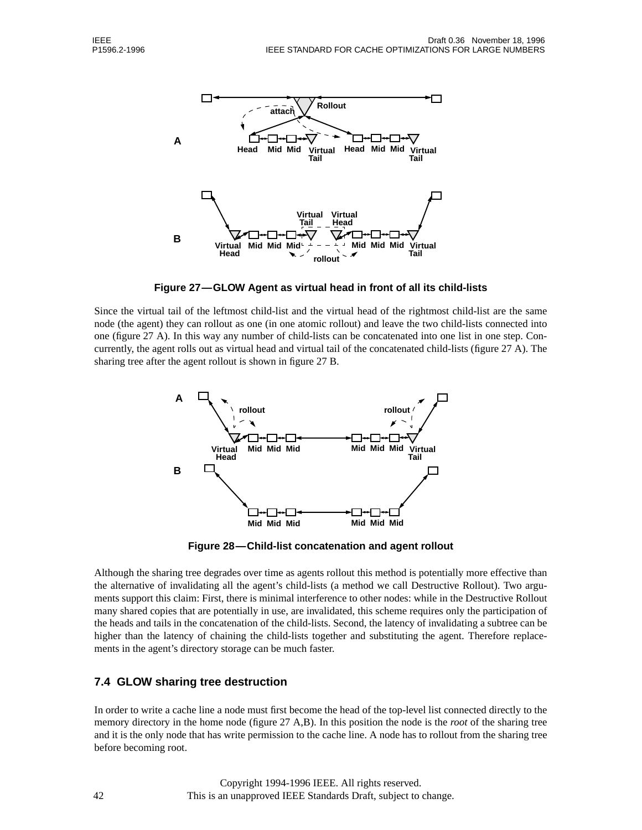

**Figure 27—GLOW Agent as virtual head in front of all its child-lists**

Since the virtual tail of the leftmost child-list and the virtual head of the rightmost child-list are the same node (the agent) they can rollout as one (in one atomic rollout) and leave the two child-lists connected into one (figure 27 A). In this way any number of child-lists can be concatenated into one list in one step. Concurrently, the agent rolls out as virtual head and virtual tail of the concatenated child-lists (figure 27 A). The sharing tree after the agent rollout is shown in figure 27 B.



**Figure 28—Child-list concatenation and agent rollout**

Although the sharing tree degrades over time as agents rollout this method is potentially more effective than the alternative of invalidating all the agent's child-lists (a method we call Destructive Rollout). Two arguments support this claim: First, there is minimal interference to other nodes: while in the Destructive Rollout many shared copies that are potentially in use, are invalidated, this scheme requires only the participation of the heads and tails in the concatenation of the child-lists. Second, the latency of invalidating a subtree can be higher than the latency of chaining the child-lists together and substituting the agent. Therefore replacements in the agent's directory storage can be much faster.

# **7.4 GLOW sharing tree destruction**

In order to write a cache line a node must first become the head of the top-level list connected directly to the memory directory in the home node (figure 27 A,B). In this position the node is the *root* of the sharing tree and it is the only node that has write permission to the cache line. A node has to rollout from the sharing tree before becoming root.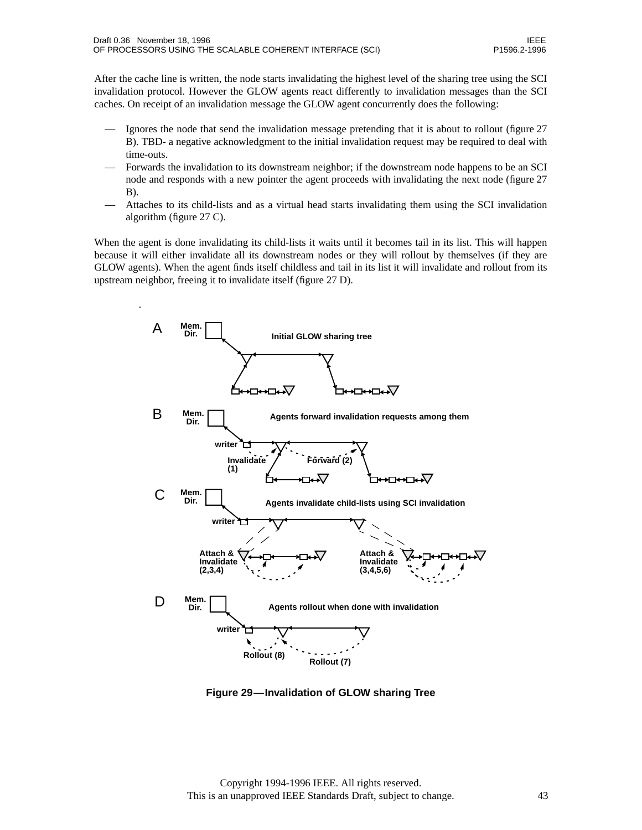After the cache line is written, the node starts invalidating the highest level of the sharing tree using the SCI invalidation protocol. However the GLOW agents react differently to invalidation messages than the SCI caches. On receipt of an invalidation message the GLOW agent concurrently does the following:

- Ignores the node that send the invalidation message pretending that it is about to rollout (figure 27 B). TBD- a negative acknowledgment to the initial invalidation request may be required to deal with time-outs.
- Forwards the invalidation to its downstream neighbor; if the downstream node happens to be an SCI node and responds with a new pointer the agent proceeds with invalidating the next node (figure 27 B).
- Attaches to its child-lists and as a virtual head starts invalidating them using the SCI invalidation algorithm (figure 27 C).

When the agent is done invalidating its child-lists it waits until it becomes tail in its list. This will happen because it will either invalidate all its downstream nodes or they will rollout by themselves (if they are GLOW agents). When the agent finds itself childless and tail in its list it will invalidate and rollout from its upstream neighbor, freeing it to invalidate itself (figure 27 D).



**Figure 29—Invalidation of GLOW sharing Tree**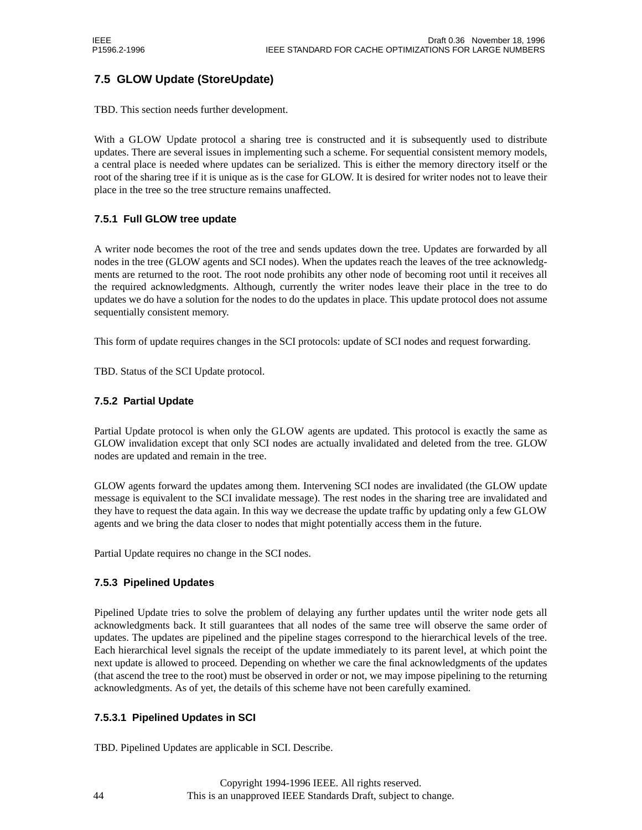# **7.5 GLOW Update (StoreUpdate)**

TBD. This section needs further development.

With a GLOW Update protocol a sharing tree is constructed and it is subsequently used to distribute updates. There are several issues in implementing such a scheme. For sequential consistent memory models, a central place is needed where updates can be serialized. This is either the memory directory itself or the root of the sharing tree if it is unique as is the case for GLOW. It is desired for writer nodes not to leave their place in the tree so the tree structure remains unaffected.

### **7.5.1 Full GLOW tree update**

A writer node becomes the root of the tree and sends updates down the tree. Updates are forwarded by all nodes in the tree (GLOW agents and SCI nodes). When the updates reach the leaves of the tree acknowledgments are returned to the root. The root node prohibits any other node of becoming root until it receives all the required acknowledgments. Although, currently the writer nodes leave their place in the tree to do updates we do have a solution for the nodes to do the updates in place. This update protocol does not assume sequentially consistent memory.

This form of update requires changes in the SCI protocols: update of SCI nodes and request forwarding.

TBD. Status of the SCI Update protocol.

#### **7.5.2 Partial Update**

Partial Update protocol is when only the GLOW agents are updated. This protocol is exactly the same as GLOW invalidation except that only SCI nodes are actually invalidated and deleted from the tree. GLOW nodes are updated and remain in the tree.

GLOW agents forward the updates among them. Intervening SCI nodes are invalidated (the GLOW update message is equivalent to the SCI invalidate message). The rest nodes in the sharing tree are invalidated and they have to request the data again. In this way we decrease the update traffic by updating only a few GLOW agents and we bring the data closer to nodes that might potentially access them in the future.

Partial Update requires no change in the SCI nodes.

### **7.5.3 Pipelined Updates**

Pipelined Update tries to solve the problem of delaying any further updates until the writer node gets all acknowledgments back. It still guarantees that all nodes of the same tree will observe the same order of updates. The updates are pipelined and the pipeline stages correspond to the hierarchical levels of the tree. Each hierarchical level signals the receipt of the update immediately to its parent level, at which point the next update is allowed to proceed. Depending on whether we care the final acknowledgments of the updates (that ascend the tree to the root) must be observed in order or not, we may impose pipelining to the returning acknowledgments. As of yet, the details of this scheme have not been carefully examined.

#### **7.5.3.1 Pipelined Updates in SCI**

TBD. Pipelined Updates are applicable in SCI. Describe.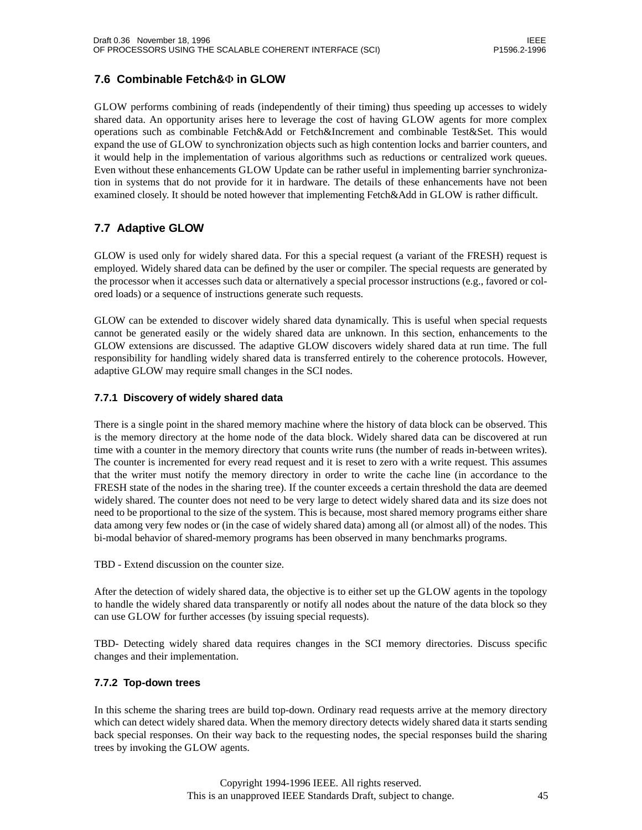# **7.6 Combinable Fetch&**Φ **in GLOW**

GLOW performs combining of reads (independently of their timing) thus speeding up accesses to widely shared data. An opportunity arises here to leverage the cost of having GLOW agents for more complex operations such as combinable Fetch&Add or Fetch&Increment and combinable Test&Set. This would expand the use of GLOW to synchronization objects such as high contention locks and barrier counters, and it would help in the implementation of various algorithms such as reductions or centralized work queues. Even without these enhancements GLOW Update can be rather useful in implementing barrier synchronization in systems that do not provide for it in hardware. The details of these enhancements have not been examined closely. It should be noted however that implementing Fetch&Add in GLOW is rather difficult.

# **7.7 Adaptive GLOW**

GLOW is used only for widely shared data. For this a special request (a variant of the FRESH) request is employed. Widely shared data can be defined by the user or compiler. The special requests are generated by the processor when it accesses such data or alternatively a special processor instructions (e.g., favored or colored loads) or a sequence of instructions generate such requests.

GLOW can be extended to discover widely shared data dynamically. This is useful when special requests cannot be generated easily or the widely shared data are unknown. In this section, enhancements to the GLOW extensions are discussed. The adaptive GLOW discovers widely shared data at run time. The full responsibility for handling widely shared data is transferred entirely to the coherence protocols. However, adaptive GLOW may require small changes in the SCI nodes.

### **7.7.1 Discovery of widely shared data**

There is a single point in the shared memory machine where the history of data block can be observed. This is the memory directory at the home node of the data block. Widely shared data can be discovered at run time with a counter in the memory directory that counts write runs (the number of reads in-between writes). The counter is incremented for every read request and it is reset to zero with a write request. This assumes that the writer must notify the memory directory in order to write the cache line (in accordance to the FRESH state of the nodes in the sharing tree). If the counter exceeds a certain threshold the data are deemed widely shared. The counter does not need to be very large to detect widely shared data and its size does not need to be proportional to the size of the system. This is because, most shared memory programs either share data among very few nodes or (in the case of widely shared data) among all (or almost all) of the nodes. This bi-modal behavior of shared-memory programs has been observed in many benchmarks programs.

TBD - Extend discussion on the counter size.

After the detection of widely shared data, the objective is to either set up the GLOW agents in the topology to handle the widely shared data transparently or notify all nodes about the nature of the data block so they can use GLOW for further accesses (by issuing special requests).

TBD- Detecting widely shared data requires changes in the SCI memory directories. Discuss specific changes and their implementation.

### **7.7.2 Top-down trees**

In this scheme the sharing trees are build top-down. Ordinary read requests arrive at the memory directory which can detect widely shared data. When the memory directory detects widely shared data it starts sending back special responses. On their way back to the requesting nodes, the special responses build the sharing trees by invoking the GLOW agents.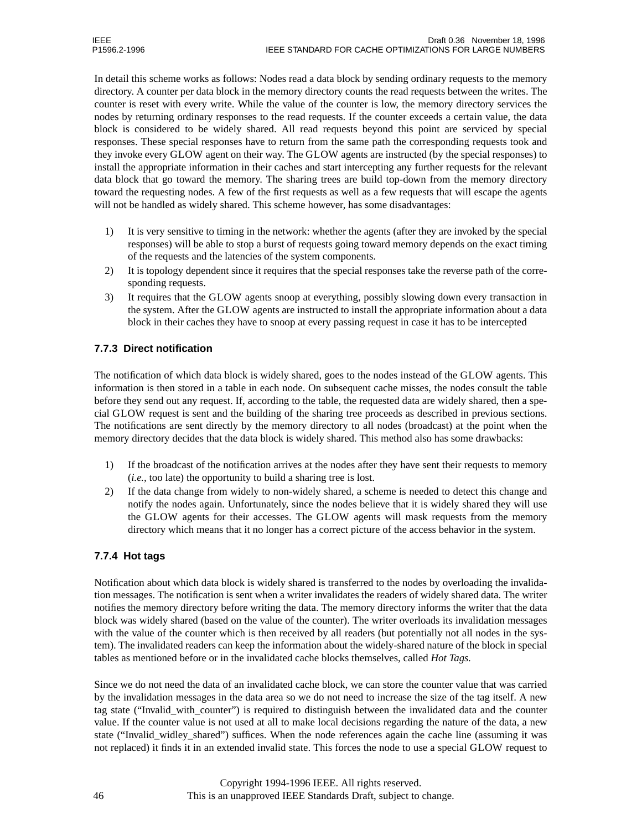In detail this scheme works as follows: Nodes read a data block by sending ordinary requests to the memory directory. A counter per data block in the memory directory counts the read requests between the writes. The counter is reset with every write. While the value of the counter is low, the memory directory services the nodes by returning ordinary responses to the read requests. If the counter exceeds a certain value, the data block is considered to be widely shared. All read requests beyond this point are serviced by special responses. These special responses have to return from the same path the corresponding requests took and they invoke every GLOW agent on their way. The GLOW agents are instructed (by the special responses) to install the appropriate information in their caches and start intercepting any further requests for the relevant data block that go toward the memory. The sharing trees are build top-down from the memory directory toward the requesting nodes. A few of the first requests as well as a few requests that will escape the agents will not be handled as widely shared. This scheme however, has some disadvantages:

- 1) It is very sensitive to timing in the network: whether the agents (after they are invoked by the special responses) will be able to stop a burst of requests going toward memory depends on the exact timing of the requests and the latencies of the system components.
- 2) It is topology dependent since it requires that the special responses take the reverse path of the corresponding requests.
- 3) It requires that the GLOW agents snoop at everything, possibly slowing down every transaction in the system. After the GLOW agents are instructed to install the appropriate information about a data block in their caches they have to snoop at every passing request in case it has to be intercepted

# **7.7.3 Direct notification**

The notification of which data block is widely shared, goes to the nodes instead of the GLOW agents. This information is then stored in a table in each node. On subsequent cache misses, the nodes consult the table before they send out any request. If, according to the table, the requested data are widely shared, then a special GLOW request is sent and the building of the sharing tree proceeds as described in previous sections. The notifications are sent directly by the memory directory to all nodes (broadcast) at the point when the memory directory decides that the data block is widely shared. This method also has some drawbacks:

- 1) If the broadcast of the notification arrives at the nodes after they have sent their requests to memory (*i.e.,* too late) the opportunity to build a sharing tree is lost.
- 2) If the data change from widely to non-widely shared, a scheme is needed to detect this change and notify the nodes again. Unfortunately, since the nodes believe that it is widely shared they will use the GLOW agents for their accesses. The GLOW agents will mask requests from the memory directory which means that it no longer has a correct picture of the access behavior in the system.

# **7.7.4 Hot tags**

Notification about which data block is widely shared is transferred to the nodes by overloading the invalidation messages. The notification is sent when a writer invalidates the readers of widely shared data. The writer notifies the memory directory before writing the data. The memory directory informs the writer that the data block was widely shared (based on the value of the counter). The writer overloads its invalidation messages with the value of the counter which is then received by all readers (but potentially not all nodes in the system). The invalidated readers can keep the information about the widely-shared nature of the block in special tables as mentioned before or in the invalidated cache blocks themselves, called *Hot Tags.*

Since we do not need the data of an invalidated cache block, we can store the counter value that was carried by the invalidation messages in the data area so we do not need to increase the size of the tag itself. A new tag state ("Invalid\_with\_counter") is required to distinguish between the invalidated data and the counter value. If the counter value is not used at all to make local decisions regarding the nature of the data, a new state ("Invalid\_widley\_shared") suffices. When the node references again the cache line (assuming it was not replaced) it finds it in an extended invalid state. This forces the node to use a special GLOW request to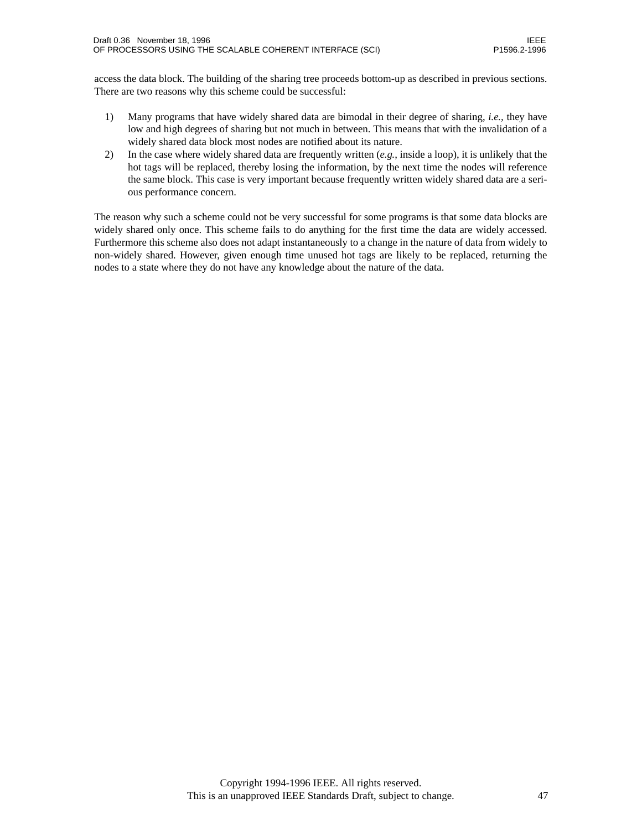access the data block. The building of the sharing tree proceeds bottom-up as described in previous sections. There are two reasons why this scheme could be successful:

- 1) Many programs that have widely shared data are bimodal in their degree of sharing, *i.e.,* they have low and high degrees of sharing but not much in between. This means that with the invalidation of a widely shared data block most nodes are notified about its nature.
- 2) In the case where widely shared data are frequently written (*e.g.*, inside a loop), it is unlikely that the hot tags will be replaced, thereby losing the information, by the next time the nodes will reference the same block. This case is very important because frequently written widely shared data are a serious performance concern.

The reason why such a scheme could not be very successful for some programs is that some data blocks are widely shared only once. This scheme fails to do anything for the first time the data are widely accessed. Furthermore this scheme also does not adapt instantaneously to a change in the nature of data from widely to non-widely shared. However, given enough time unused hot tags are likely to be replaced, returning the nodes to a state where they do not have any knowledge about the nature of the data.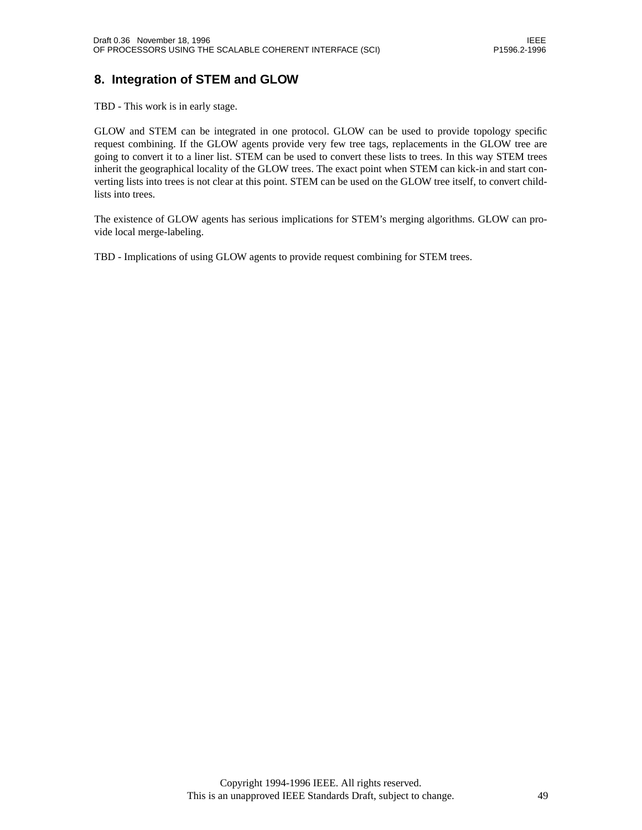# **8. Integration of STEM and GLOW**

TBD - This work is in early stage.

GLOW and STEM can be integrated in one protocol. GLOW can be used to provide topology specific request combining. If the GLOW agents provide very few tree tags, replacements in the GLOW tree are going to convert it to a liner list. STEM can be used to convert these lists to trees. In this way STEM trees inherit the geographical locality of the GLOW trees. The exact point when STEM can kick-in and start converting lists into trees is not clear at this point. STEM can be used on the GLOW tree itself, to convert childlists into trees.

The existence of GLOW agents has serious implications for STEM's merging algorithms. GLOW can provide local merge-labeling.

TBD - Implications of using GLOW agents to provide request combining for STEM trees.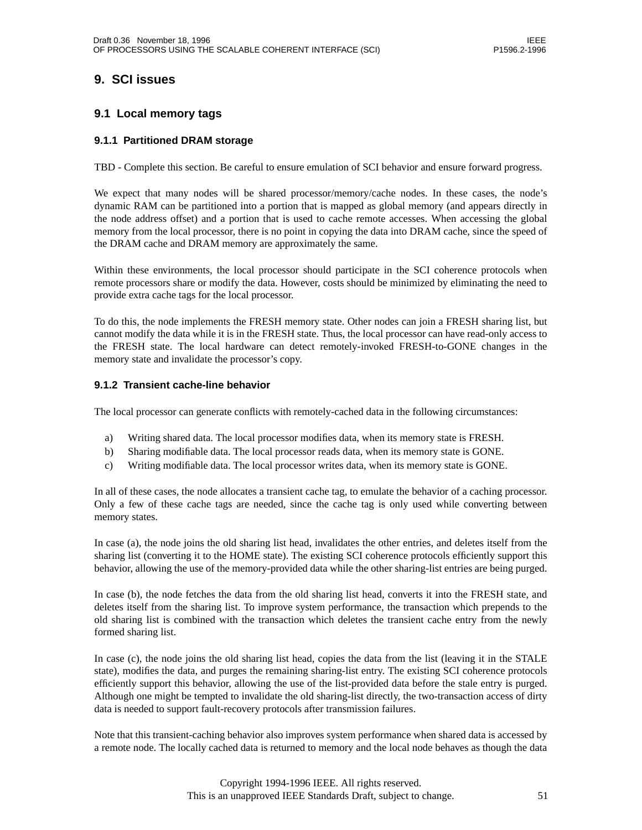# **9. SCI issues**

### **9.1 Local memory tags**

### **9.1.1 Partitioned DRAM storage**

TBD - Complete this section. Be careful to ensure emulation of SCI behavior and ensure forward progress.

We expect that many nodes will be shared processor/memory/cache nodes. In these cases, the node's dynamic RAM can be partitioned into a portion that is mapped as global memory (and appears directly in the node address offset) and a portion that is used to cache remote accesses. When accessing the global memory from the local processor, there is no point in copying the data into DRAM cache, since the speed of the DRAM cache and DRAM memory are approximately the same.

Within these environments, the local processor should participate in the SCI coherence protocols when remote processors share or modify the data. However, costs should be minimized by eliminating the need to provide extra cache tags for the local processor.

To do this, the node implements the FRESH memory state. Other nodes can join a FRESH sharing list, but cannot modify the data while it is in the FRESH state. Thus, the local processor can have read-only access to the FRESH state. The local hardware can detect remotely-invoked FRESH-to-GONE changes in the memory state and invalidate the processor's copy.

#### **9.1.2 Transient cache-line behavior**

The local processor can generate conflicts with remotely-cached data in the following circumstances:

- a) Writing shared data. The local processor modifies data, when its memory state is FRESH.
- b) Sharing modifiable data. The local processor reads data, when its memory state is GONE.
- c) Writing modifiable data. The local processor writes data, when its memory state is GONE.

In all of these cases, the node allocates a transient cache tag, to emulate the behavior of a caching processor. Only a few of these cache tags are needed, since the cache tag is only used while converting between memory states.

In case (a), the node joins the old sharing list head, invalidates the other entries, and deletes itself from the sharing list (converting it to the HOME state). The existing SCI coherence protocols efficiently support this behavior, allowing the use of the memory-provided data while the other sharing-list entries are being purged.

In case (b), the node fetches the data from the old sharing list head, converts it into the FRESH state, and deletes itself from the sharing list. To improve system performance, the transaction which prepends to the old sharing list is combined with the transaction which deletes the transient cache entry from the newly formed sharing list.

In case (c), the node joins the old sharing list head, copies the data from the list (leaving it in the STALE state), modifies the data, and purges the remaining sharing-list entry. The existing SCI coherence protocols efficiently support this behavior, allowing the use of the list-provided data before the stale entry is purged. Although one might be tempted to invalidate the old sharing-list directly, the two-transaction access of dirty data is needed to support fault-recovery protocols after transmission failures.

Note that this transient-caching behavior also improves system performance when shared data is accessed by a remote node. The locally cached data is returned to memory and the local node behaves as though the data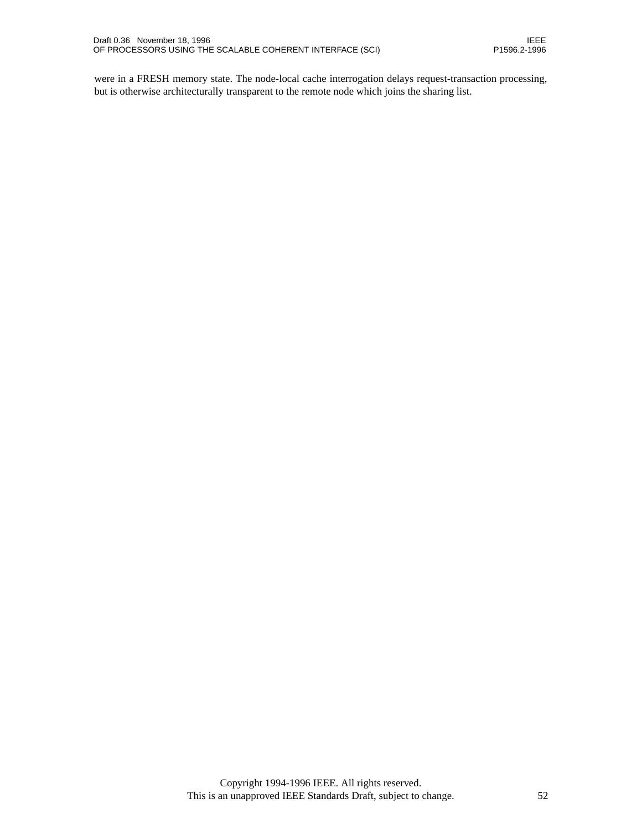were in a FRESH memory state. The node-local cache interrogation delays request-transaction processing, but is otherwise architecturally transparent to the remote node which joins the sharing list.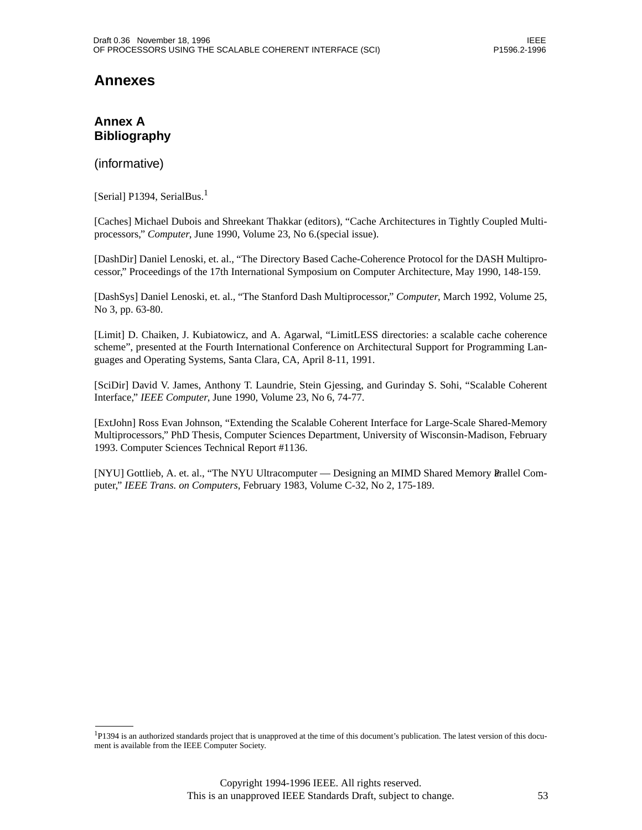# **Annexes**

# **Annex A Bibliography**

(informative)

[Serial] P1394, SerialBus.<sup>1</sup>

[Caches] Michael Dubois and Shreekant Thakkar (editors), "Cache Architectures in Tightly Coupled Multiprocessors," *Computer*, June 1990, Volume 23, No 6.(special issue).

[DashDir] Daniel Lenoski, et. al., "The Directory Based Cache-Coherence Protocol for the DASH Multiprocessor," Proceedings of the 17th International Symposium on Computer Architecture, May 1990, 148-159.

[DashSys] Daniel Lenoski, et. al., "The Stanford Dash Multiprocessor," *Computer*, March 1992, Volume 25, No 3, pp. 63-80.

[Limit] D. Chaiken, J. Kubiatowicz, and A. Agarwal, "LimitLESS directories: a scalable cache coherence scheme", presented at the Fourth International Conference on Architectural Support for Programming Languages and Operating Systems, Santa Clara, CA, April 8-11, 1991.

[SciDir] David V. James, Anthony T. Laundrie, Stein Gjessing, and Gurinday S. Sohi, "Scalable Coherent Interface," *IEEE Computer*, June 1990, Volume 23, No 6, 74-77.

[ExtJohn] Ross Evan Johnson, "Extending the Scalable Coherent Interface for Large-Scale Shared-Memory Multiprocessors," PhD Thesis, Computer Sciences Department, University of Wisconsin-Madison, February 1993. Computer Sciences Technical Report #1136.

[NYU] Gottlieb, A. et. al., "The NYU Ultracomputer — Designing an MIMD Shared Memory Parallel Computer," *IEEE Trans. on Computers*, February 1983, Volume C-32, No 2, 175-189.

<sup>&</sup>lt;sup>1</sup>P1394 is an authorized standards project that is unapproved at the time of this document's publication. The latest version of this document is available from the IEEE Computer Society.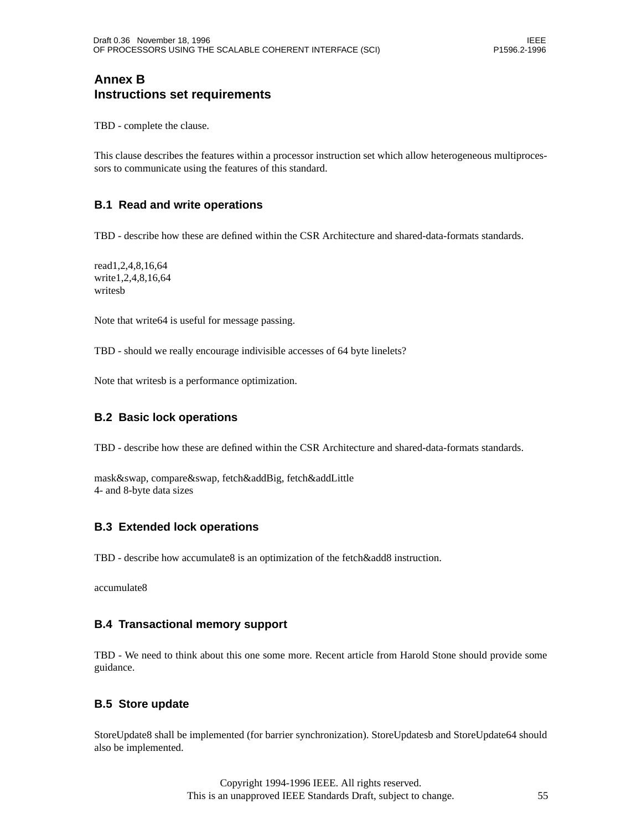# **Annex B Instructions set requirements**

TBD - complete the clause.

This clause describes the features within a processor instruction set which allow heterogeneous multiprocessors to communicate using the features of this standard.

# **B.1 Read and write operations**

TBD - describe how these are defined within the CSR Architecture and shared-data-formats standards.

read1,2,4,8,16,64 write1,2,4,8,16,64 writesb

Note that write64 is useful for message passing.

TBD - should we really encourage indivisible accesses of 64 byte linelets?

Note that writesb is a performance optimization.

# **B.2 Basic lock operations**

TBD - describe how these are defined within the CSR Architecture and shared-data-formats standards.

```
mask&swap, compare&swap, fetch&addBig, fetch&addLittle
4- and 8-byte data sizes
```
# **B.3 Extended lock operations**

TBD - describe how accumulate8 is an optimization of the fetch&add8 instruction.

accumulate8

### **B.4 Transactional memory support**

TBD - We need to think about this one some more. Recent article from Harold Stone should provide some guidance.

### **B.5 Store update**

StoreUpdate8 shall be implemented (for barrier synchronization). StoreUpdatesb and StoreUpdate64 should also be implemented.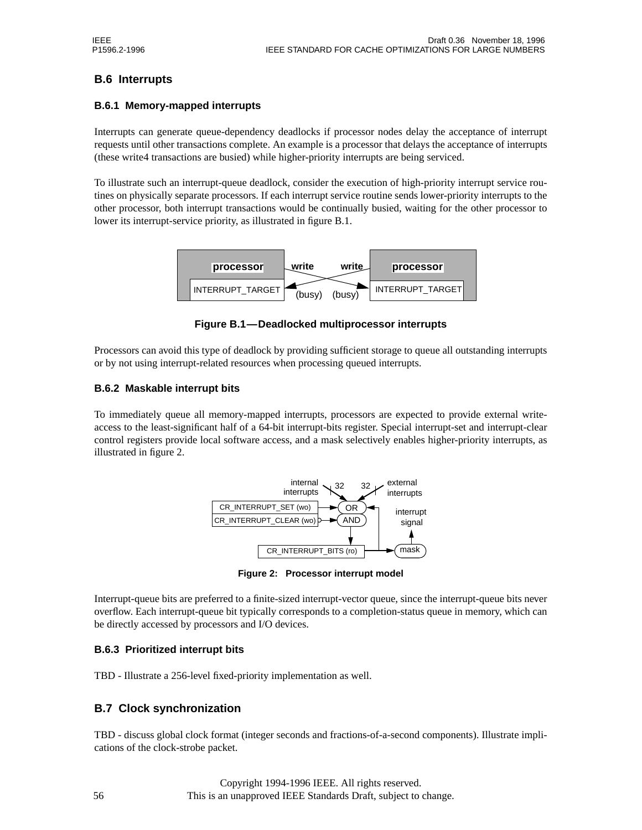# **B.6 Interrupts**

#### **B.6.1 Memory-mapped interrupts**

Interrupts can generate queue-dependency deadlocks if processor nodes delay the acceptance of interrupt requests until other transactions complete. An example is a processor that delays the acceptance of interrupts (these write4 transactions are busied) while higher-priority interrupts are being serviced.

To illustrate such an interrupt-queue deadlock, consider the execution of high-priority interrupt service routines on physically separate processors. If each interrupt service routine sends lower-priority interrupts to the other processor, both interrupt transactions would be continually busied, waiting for the other processor to lower its interrupt-service priority, as illustrated in figure B.1.



**Figure B.1—Deadlocked multiprocessor interrupts**

Processors can avoid this type of deadlock by providing sufficient storage to queue all outstanding interrupts or by not using interrupt-related resources when processing queued interrupts.

### **B.6.2 Maskable interrupt bits**

To immediately queue all memory-mapped interrupts, processors are expected to provide external writeaccess to the least-significant half of a 64-bit interrupt-bits register. Special interrupt-set and interrupt-clear control registers provide local software access, and a mask selectively enables higher-priority interrupts, as illustrated in figure 2.



**Figure 2: Processor interrupt model**

Interrupt-queue bits are preferred to a finite-sized interrupt-vector queue, since the interrupt-queue bits never overflow. Each interrupt-queue bit typically corresponds to a completion-status queue in memory, which can be directly accessed by processors and I/O devices.

### **B.6.3 Prioritized interrupt bits**

TBD - Illustrate a 256-level fixed-priority implementation as well.

# **B.7 Clock synchronization**

TBD - discuss global clock format (integer seconds and fractions-of-a-second components). Illustrate implications of the clock-strobe packet.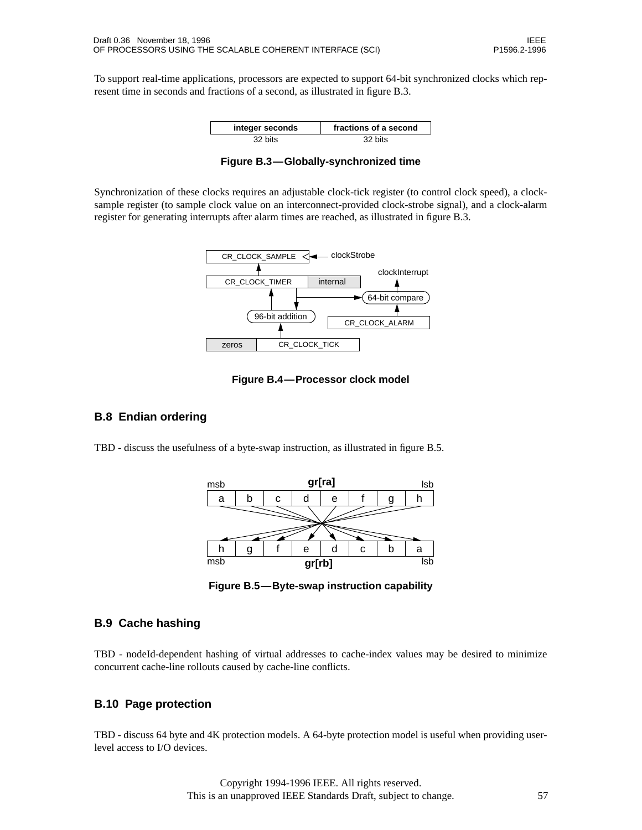To support real-time applications, processors are expected to support 64-bit synchronized clocks which represent time in seconds and fractions of a second, as illustrated in figure B.3.

| integer seconds | fractions of a second |
|-----------------|-----------------------|
| 32 bits         |                       |

**Figure B.3—Globally-synchronized time**

Synchronization of these clocks requires an adjustable clock-tick register (to control clock speed), a clocksample register (to sample clock value on an interconnect-provided clock-strobe signal), and a clock-alarm register for generating interrupts after alarm times are reached, as illustrated in figure B.3.



**Figure B.4—Processor clock model**

# **B.8 Endian ordering**

TBD - discuss the usefulness of a byte-swap instruction, as illustrated in figure B.5.



**Figure B.5—Byte-swap instruction capability**

# **B.9 Cache hashing**

TBD - nodeId-dependent hashing of virtual addresses to cache-index values may be desired to minimize concurrent cache-line rollouts caused by cache-line conflicts.

# **B.10 Page protection**

TBD - discuss 64 byte and 4K protection models. A 64-byte protection model is useful when providing userlevel access to I/O devices.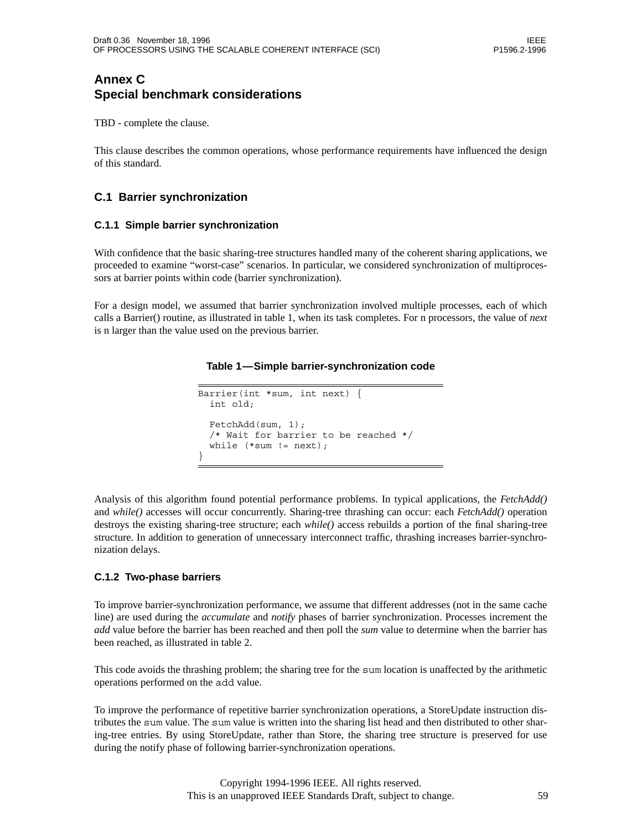# **Annex C Special benchmark considerations**

TBD - complete the clause.

This clause describes the common operations, whose performance requirements have influenced the design of this standard.

## **C.1 Barrier synchronization**

#### **C.1.1 Simple barrier synchronization**

With confidence that the basic sharing-tree structures handled many of the coherent sharing applications, we proceeded to examine "worst-case" scenarios. In particular, we considered synchronization of multiprocessors at barrier points within code (barrier synchronization).

For a design model, we assumed that barrier synchronization involved multiple processes, each of which calls a Barrier() routine, as illustrated in table 1, when its task completes. For n processors, the value of *next* is n larger than the value used on the previous barrier.

#### **Table 1—Simple barrier-synchronization code**

```
Barrier(int *sum, int next) {
  int old;
 FetchAdd(sum, 1);
  /* Wait for barrier to be reached */
 while (*sum != next);}
```
Analysis of this algorithm found potential performance problems. In typical applications, the *FetchAdd()* and *while()* accesses will occur concurrently. Sharing-tree thrashing can occur: each *FetchAdd()* operation destroys the existing sharing-tree structure; each *while()* access rebuilds a portion of the final sharing-tree structure. In addition to generation of unnecessary interconnect traffic, thrashing increases barrier-synchronization delays.

#### **C.1.2 Two-phase barriers**

To improve barrier-synchronization performance, we assume that different addresses (not in the same cache line) are used during the *accumulate* and *notify* phases of barrier synchronization. Processes increment the *add* value before the barrier has been reached and then poll the *sum* value to determine when the barrier has been reached, as illustrated in table 2.

This code avoids the thrashing problem; the sharing tree for the sum location is unaffected by the arithmetic operations performed on the add value.

To improve the performance of repetitive barrier synchronization operations, a StoreUpdate instruction distributes the sum value. The sum value is written into the sharing list head and then distributed to other sharing-tree entries. By using StoreUpdate, rather than Store, the sharing tree structure is preserved for use during the notify phase of following barrier-synchronization operations.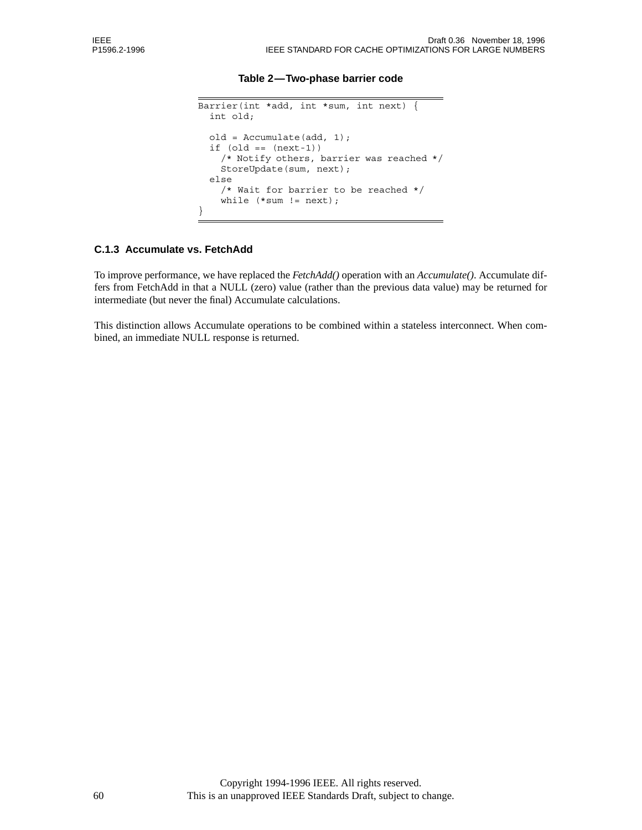#### **Table 2—Two-phase barrier code**

```
Barrier(int *add, int *sum, int next) {
  int old;
  old = Accumulate(add, 1);
  if (old == (next-1))/* Notify others, barrier was reached */
    StoreUpdate(sum, next);
  else
    /* Wait for barrier to be reached */
    while (*sum != next);
}
```
#### **C.1.3 Accumulate vs. FetchAdd**

To improve performance, we have replaced the *FetchAdd()* operation with an *Accumulate()*. Accumulate differs from FetchAdd in that a NULL (zero) value (rather than the previous data value) may be returned for intermediate (but never the final) Accumulate calculations.

This distinction allows Accumulate operations to be combined within a stateless interconnect. When combined, an immediate NULL response is returned.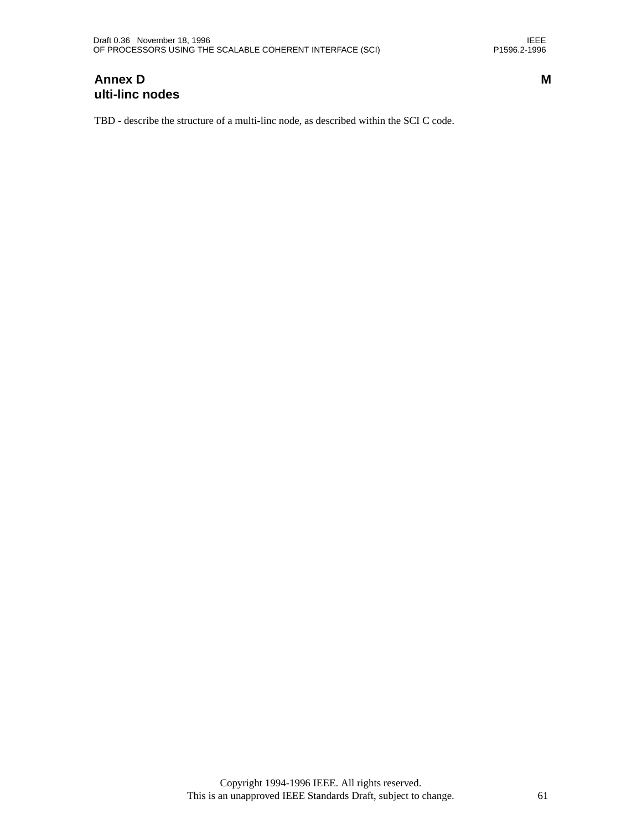## **Annex D M ulti-linc nodes**

TBD - describe the structure of a multi-linc node, as described within the SCI C code.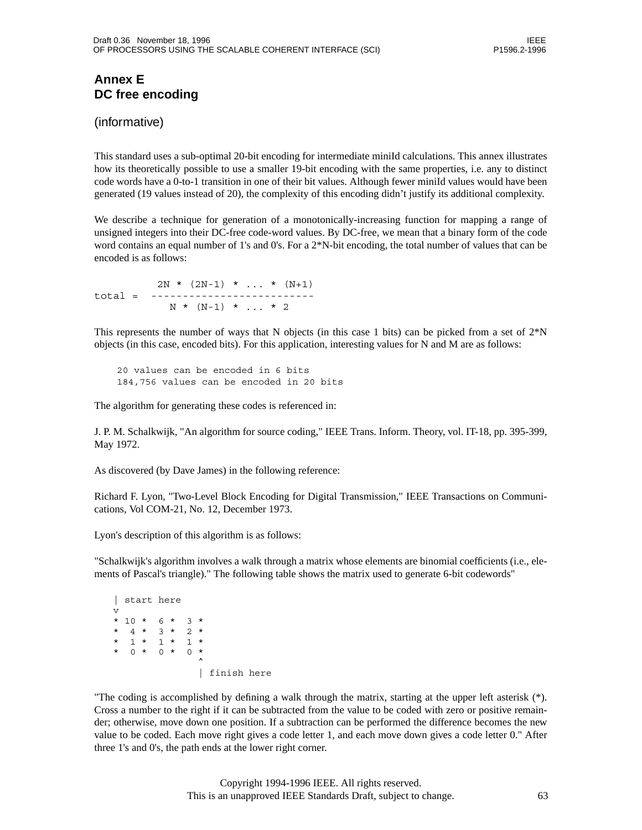## **Annex E DC free encoding**

## (informative)

This standard uses a sub-optimal 20-bit encoding for intermediate miniId calculations. This annex illustrates how its theoretically possible to use a smaller 19-bit encoding with the same properties, i.e. any to distinct code words have a 0-to-1 transition in one of their bit values. Although fewer miniId values would have been generated (19 values instead of 20), the complexity of this encoding didn't justify its additional complexity.

We describe a technique for generation of a monotonically-increasing function for mapping a range of unsigned integers into their DC-free code-word values. By DC-free, we mean that a binary form of the code word contains an equal number of 1's and 0's. For a 2<sup>\*</sup>N-bit encoding, the total number of values that can be encoded is as follows:

 $2N * (2N-1) * ... * (N+1)$ total = --------------------------  $N * (N-1) * ... * 2$ 

This represents the number of ways that N objects (in this case 1 bits) can be picked from a set of  $2*N$ objects (in this case, encoded bits). For this application, interesting values for N and M are as follows:

20 values can be encoded in 6 bits 184,756 values can be encoded in 20 bits

The algorithm for generating these codes is referenced in:

J. P. M. Schalkwijk, "An algorithm for source coding," IEEE Trans. Inform. Theory, vol. IT-18, pp. 395-399, May 1972.

As discovered (by Dave James) in the following reference:

Richard F. Lyon, "Two-Level Block Encoding for Digital Transmission," IEEE Transactions on Communications, Vol COM-21, No. 12, December 1973.

Lyon's description of this algorithm is as follows:

"Schalkwijk's algorithm involves a walk through a matrix whose elements are binomial coefficients (i.e., elements of Pascal's triangle)." The following table shows the matrix used to generate 6-bit codewords"

```
| start here
v
* 10 * 6 * 3 *
* 4* 3* 2*
* 1* 1* 1*
* 0* 0* 0*
               \hat{\phantom{1}}| finish here
```
"The coding is accomplished by defining a walk through the matrix, starting at the upper left asterisk (\*). Cross a number to the right if it can be subtracted from the value to be coded with zero or positive remainder; otherwise, move down one position. If a subtraction can be performed the difference becomes the new value to be coded. Each move right gives a code letter 1, and each move down gives a code letter 0." After three 1's and 0's, the path ends at the lower right corner.